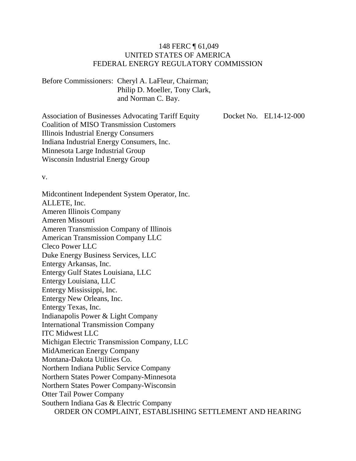#### 148 FERC ¶ 61,049 UNITED STATES OF AMERICA FEDERAL ENERGY REGULATORY COMMISSION

Before Commissioners: Cheryl A. LaFleur, Chairman; Philip D. Moeller, Tony Clark, and Norman C. Bay.

Association of Businesses Advocating Tariff Equity Coalition of MISO Transmission Customers Illinois Industrial Energy Consumers Indiana Industrial Energy Consumers, Inc. Minnesota Large Industrial Group Wisconsin Industrial Energy Group

Docket No. EL14-12-000

v.

Midcontinent Independent System Operator, Inc. ALLETE, Inc. Ameren Illinois Company Ameren Missouri Ameren Transmission Company of Illinois American Transmission Company LLC Cleco Power LLC Duke Energy Business Services, LLC Entergy Arkansas, Inc. Entergy Gulf States Louisiana, LLC Entergy Louisiana, LLC Entergy Mississippi, Inc. Entergy New Orleans, Inc. Entergy Texas, Inc. Indianapolis Power & Light Company International Transmission Company ITC Midwest LLC Michigan Electric Transmission Company, LLC MidAmerican Energy Company Montana-Dakota Utilities Co. Northern Indiana Public Service Company Northern States Power Company-Minnesota Northern States Power Company-Wisconsin Otter Tail Power Company Southern Indiana Gas & Electric Company ORDER ON COMPLAINT, ESTABLISHING SETTLEMENT AND HEARING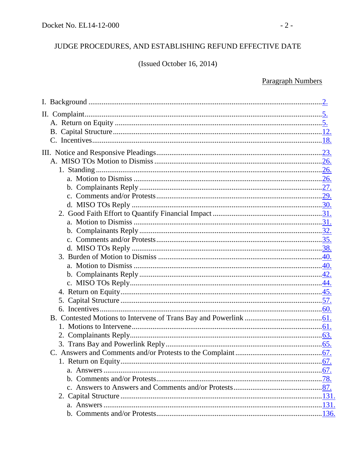## JUDGE PROCEDURES, AND ESTABLISHING REFUND EFFECTIVE DATE

(Issued October 16, 2014)

## **Paragraph Numbers**

| 5. |  |
|----|--|
|    |  |
|    |  |
|    |  |
|    |  |
|    |  |
|    |  |
|    |  |
|    |  |
|    |  |
|    |  |
|    |  |
|    |  |
|    |  |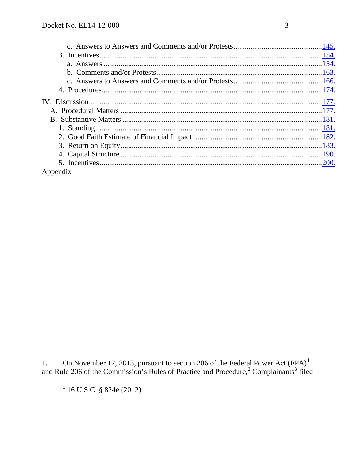<span id="page-2-2"></span><span id="page-2-1"></span>

| Appendix |  |
|----------|--|

<span id="page-2-0"></span>1. On November 12, 2013, pursuant to section 206 of the Federal Power Act  $(FPA)^1$ <br>and Rule 206 of the Commission's Rules of Practice and Procedure,<sup>2</sup> Complainants<sup>3</sup> filed

 $1$  16 U.S.C. § 824e (2012).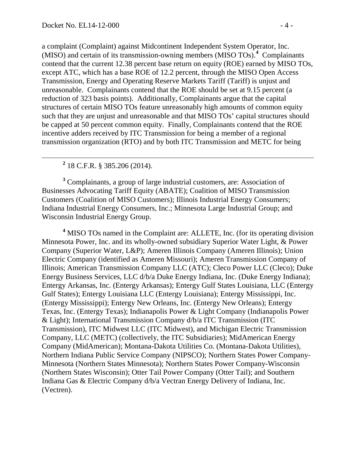a complaint (Complaint) against Midcontinent Independent System Operator, Inc. (MISO) and certain of its transmission-owning members (MISO TOs). **[4](#page-3-0)** Complainants contend that the current 12.38 percent base return on equity (ROE) earned by MISO TOs, except ATC, which has a base ROE of 12.2 percent, through the MISO Open Access Transmission, Energy and Operating Reserve Markets Tariff (Tariff) is unjust and unreasonable. Complainants contend that the ROE should be set at 9.15 percent (a reduction of 323 basis points). Additionally, Complainants argue that the capital structures of certain MISO TOs feature unreasonably high amounts of common equity such that they are unjust and unreasonable and that MISO TOs' capital structures should be capped at 50 percent common equity. Finally, Complainants contend that the ROE incentive adders received by ITC Transmission for being a member of a regional transmission organization (RTO) and by both ITC Transmission and METC for being

**<sup>2</sup>** 18 C.F.R. § 385.206 (2014).

**<sup>3</sup>** Complainants, a group of large industrial customers, are: Association of Businesses Advocating Tariff Equity (ABATE); Coalition of MISO Transmission Customers (Coalition of MISO Customers); Illinois Industrial Energy Consumers; Indiana Industrial Energy Consumers, Inc.; Minnesota Large Industrial Group; and Wisconsin Industrial Energy Group.

<span id="page-3-0"></span>**<sup>4</sup>** MISO TOs named in the Complaint are: ALLETE, Inc. (for its operating division Minnesota Power, Inc. and its wholly-owned subsidiary Superior Water Light, & Power Company (Superior Water, L&P); Ameren Illinois Company (Ameren Illinois); Union Electric Company (identified as Ameren Missouri); Ameren Transmission Company of Illinois; American Transmission Company LLC (ATC); Cleco Power LLC (Cleco); Duke Energy Business Services, LLC d/b/a Duke Energy Indiana, Inc. (Duke Energy Indiana); Entergy Arkansas, Inc. (Entergy Arkansas); Entergy Gulf States Louisiana, LLC (Entergy Gulf States); Entergy Louisiana LLC (Entergy Louisiana); Entergy Mississippi, Inc. (Entergy Mississippi); Entergy New Orleans, Inc. (Entergy New Orleans); Entergy Texas, Inc. (Entergy Texas); Indianapolis Power & Light Company (Indianapolis Power & Light); International Transmission Company d/b/a ITC Transmission (ITC Transmission), ITC Midwest LLC (ITC Midwest), and Michigan Electric Transmission Company, LLC (METC) (collectively, the ITC Subsidiaries); MidAmerican Energy Company (MidAmerican); Montana-Dakota Utilities Co. (Montana-Dakota Utilities), Northern Indiana Public Service Company (NIPSCO); Northern States Power Company-Minnesota (Northern States Minnesota); Northern States Power Company-Wisconsin (Northern States Wisconsin); Otter Tail Power Company (Otter Tail); and Southern Indiana Gas & Electric Company d/b/a Vectran Energy Delivery of Indiana, Inc. (Vectren).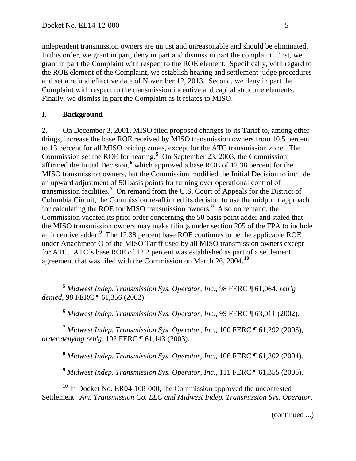independent transmission owners are unjust and unreasonable and should be eliminated. In this order, we grant in part, deny in part and dismiss in part the complaint. First, we grant in part the Complaint with respect to the ROE element. Specifically, with regard to the ROE element of the Complaint, we establish hearing and settlement judge procedures and set a refund effective date of November 12, 2013. Second, we deny in part the Complaint with respect to the transmission incentive and capital structure elements. Finally, we dismiss in part the Complaint as it relates to MISO.

#### <span id="page-4-0"></span>**I. Background**

2. On December 3, 2001, MISO filed proposed changes to its Tariff to, among other things, increase the base ROE received by MISO transmission owners from 10.5 percent to 13 percent for all MISO pricing zones, except for the ATC transmission zone. The Commission set the ROE for hearing.**[5](#page-4-1)** On September 23, 2003, the Commission affirmed the Initial Decision, **[6](#page-4-2)** which approved a base ROE of 12.38 percent for the MISO transmission owners, but the Commission modified the Initial Decision to include an upward adjustment of 50 basis points for turning over operational control of transmission facilities.**[7](#page-4-3)** On remand from the U.S. Court of Appeals for the District of Columbia Circuit, the Commission re-affirmed its decision to use the midpoint approach for calculating the ROE for MISO transmission owners.**[8](#page-4-4)** Also on remand, the Commission vacated its prior order concerning the 50 basis point adder and stated that the MISO transmission owners may make filings under section 205 of the FPA to include an incentive adder.**[9](#page-4-5)** The 12.38 percent base ROE continues to be the applicable ROE under Attachment O of the MISO Tariff used by all MISO transmission owners except for ATC. ATC's base ROE of 12.2 percent was established as part of a settlement agreement that was filed with the Commission on March 26, 2004.**[10](#page-4-6)**

<span id="page-4-1"></span> **<sup>5</sup>** *Midwest Indep. Transmission Sys. Operator, Inc.*, 98 FERC ¶ 61,064, *reh'g denied*, 98 FERC ¶ 61,356 (2002).

**<sup>6</sup>** *Midwest Indep. Transmission Sys. Operator, Inc.*, 99 FERC ¶ 63,011 (2002).

<span id="page-4-4"></span><span id="page-4-3"></span><span id="page-4-2"></span>**<sup>7</sup>** *Midwest Indep. Transmission Sys. Operator, Inc.*, 100 FERC ¶ 61,292 (2003), *order denying reh'g*, 102 FERC ¶ 61,143 (2003).

**<sup>8</sup>** *Midwest Indep. Transmission Sys. Operator, Inc.*, 106 FERC ¶ 61,302 (2004).

**<sup>9</sup>** *Midwest Indep. Transmission Sys. Operator, Inc.*, 111 FERC ¶ 61,355 (2005).

<span id="page-4-6"></span><span id="page-4-5"></span>**<sup>10</sup>** In Docket No. ER04-108-000, the Commission approved the uncontested Settlement. *Am. Transmission Co. LLC and Midwest Indep. Transmission Sys. Operator,* 

(continued ...)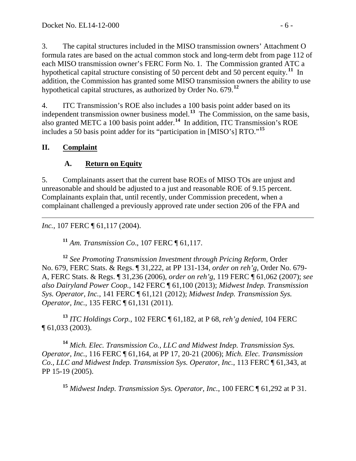3. The capital structures included in the MISO transmission owners' Attachment O formula rates are based on the actual common stock and long-term debt from page 112 of each MISO transmission owner's FERC Form No. 1. The Commission granted ATC a hypothetical capital structure consisting of 50 percent debt and 50 percent equity.**[11](#page-5-2)** In addition, the Commission has granted some MISO transmission owners the ability to use hypothetical capital structures, as authorized by Order No. 679.**[12](#page-5-3)**

4. ITC Transmission's ROE also includes a 100 basis point adder based on its independent transmission owner business model. **[13](#page-5-4)** The Commission, on the same basis, also granted METC a 100 basis point adder. **[14](#page-5-5)** In addition, ITC Transmission's ROE includes a 50 basis point adder for its "participation in [MISO's] RTO."**[15](#page-5-6)**

#### **II. Complaint**

## <span id="page-5-1"></span><span id="page-5-0"></span>**A. Return on Equity**

5. Complainants assert that the current base ROEs of MISO TOs are unjust and unreasonable and should be adjusted to a just and reasonable ROE of 9.15 percent. Complainants explain that, until recently, under Commission precedent, when a complainant challenged a previously approved rate under section 206 of the FPA and

 $\overline{a}$ *Inc.*, 107 FERC ¶ 61,117 (2004).

**<sup>11</sup>** *Am. Transmission Co*., 107 FERC ¶ 61,117.

<span id="page-5-3"></span><span id="page-5-2"></span>**<sup>12</sup>** *See Promoting Transmission Investment through Pricing Reform,* Order No. 679, FERC Stats. & Regs. ¶ 31,222, at PP 131-134, *order on reh'g*, Order No. 679- A, FERC Stats. & Regs. ¶ 31,236 (2006), *order on reh'g*, 119 FERC ¶ 61,062 (2007); *see also Dairyland Power Coop.*, 142 FERC ¶ 61,100 (2013); *Midwest Indep. Transmission Sys. Operator, Inc.*, 141 FERC ¶ 61,121 (2012); *Midwest Indep. Transmission Sys. Operator, Inc.*, 135 FERC ¶ 61,131 (2011).

<span id="page-5-4"></span>**<sup>13</sup>** *ITC Holdings Corp.*, 102 FERC ¶ 61,182, at P 68, *reh'g denied*, 104 FERC ¶ 61,033 (2003).

<span id="page-5-6"></span><span id="page-5-5"></span>**<sup>14</sup>** *Mich. Elec. Transmission Co., LLC and Midwest Indep. Transmission Sys. Operator, Inc.*, 116 FERC ¶ 61,164, at PP 17, 20-21 (2006); *Mich. Elec. Transmission Co., LLC and Midwest Indep. Transmission Sys. Operator, Inc.*, 113 FERC ¶ 61,343, at PP 15-19 (2005).

**<sup>15</sup>** *Midwest Indep. Transmission Sys. Operator, Inc.*, 100 FERC ¶ 61,292 at P 31.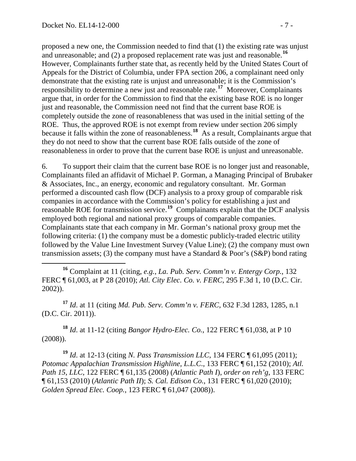proposed a new one, the Commission needed to find that (1) the existing rate was unjust and unreasonable; and (2) a proposed replacement rate was just and reasonable.**[16](#page-6-0)** However, Complainants further state that, as recently held by the United States Court of Appeals for the District of Columbia, under FPA section 206, a complainant need only demonstrate that the existing rate is unjust and unreasonable; it is the Commission's responsibility to determine a new just and reasonable rate.**[17](#page-6-1)** Moreover, Complainants argue that, in order for the Commission to find that the existing base ROE is no longer just and reasonable, the Commission need not find that the current base ROE is completely outside the zone of reasonableness that was used in the initial setting of the ROE. Thus, the approved ROE is not exempt from review under section 206 simply because it falls within the zone of reasonableness.<sup>[18](#page-6-2)</sup> As a result, Complainants argue that they do not need to show that the current base ROE falls outside of the zone of reasonableness in order to prove that the current base ROE is unjust and unreasonable.

6. To support their claim that the current base ROE is no longer just and reasonable, Complainants filed an affidavit of Michael P. Gorman, a Managing Principal of Brubaker & Associates, Inc., an energy, economic and regulatory consultant. Mr. Gorman performed a discounted cash flow (DCF) analysis to a proxy group of comparable risk companies in accordance with the Commission's policy for establishing a just and reasonable ROE for transmission service. **[19](#page-6-3)** Complainants explain that the DCF analysis employed both regional and national proxy groups of comparable companies. Complainants state that each company in Mr. Gorman's national proxy group met the following criteria: (1) the company must be a domestic publicly-traded electric utility followed by the Value Line Investment Survey (Value Line); (2) the company must own transmission assets; (3) the company must have a Standard & Poor's (S&P) bond rating

<span id="page-6-0"></span> **<sup>16</sup>** Complaint at 11 (citing, *e.g.*, *La. Pub. Serv. Comm'n v. Entergy Corp.*, 132 FERC ¶ 61,003, at P 28 (2010); *Atl. City Elec. Co. v. FERC*, 295 F.3d 1, 10 (D.C. Cir. 2002)).

<span id="page-6-1"></span>**<sup>17</sup>** *Id*. at 11 (citing *Md. Pub. Serv. Comm'n v. FERC*, 632 F.3d 1283, 1285, n.1 (D.C. Cir. 2011)).

<span id="page-6-2"></span>**<sup>18</sup>** *Id*. at 11-12 (citing *Bangor Hydro-Elec. Co.*, 122 FERC ¶ 61,038, at P 10 (2008)).

<span id="page-6-3"></span>**<sup>19</sup>** *Id*. at 12-13 (citing *N. Pass Transmission LLC*, 134 FERC ¶ 61,095 (2011); *Potomac Appalachian Transmission Highline, L.L.C*., 133 FERC ¶ 61,152 (2010); *Atl. Path 15, LLC*, 122 FERC ¶ 61,135 (2008) (*Atlantic Path I*), *order on reh'g*, 133 FERC ¶ 61,153 (2010) (*Atlantic Path II*); *S. Cal. Edison Co.*, 131 FERC ¶ 61,020 (2010); *Golden Spread Elec. Coop.*, 123 FERC ¶ 61,047 (2008)).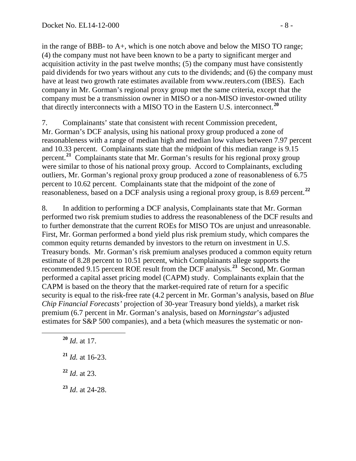in the range of BBB- to A+, which is one notch above and below the MISO TO range; (4) the company must not have been known to be a party to significant merger and acquisition activity in the past twelve months; (5) the company must have consistently paid dividends for two years without any cuts to the dividends; and (6) the company must have at least two growth rate estimates available from www.reuters.com (IBES). Each company in Mr. Gorman's regional proxy group met the same criteria, except that the company must be a transmission owner in MISO or a non-MISO investor-owned utility that directly interconnects with a MISO TO in the Eastern U.S. interconnect. **[20](#page-7-0)**

7. Complainants' state that consistent with recent Commission precedent, Mr. Gorman's DCF analysis, using his national proxy group produced a zone of reasonableness with a range of median high and median low values between 7.97 percent and 10.33 percent. Complainants state that the midpoint of this median range is 9.15 percent.<sup>[21](#page-7-1)</sup> Complainants state that Mr. Gorman's results for his regional proxy group were similar to those of his national proxy group. Accord to Complainants, excluding outliers, Mr. Gorman's regional proxy group produced a zone of reasonableness of 6.75 percent to 10.62 percent. Complainants state that the midpoint of the zone of reasonableness, based on a DCF analysis using a regional proxy group, is 8.69 percent.**[22](#page-7-2)**

8. In addition to performing a DCF analysis, Complainants state that Mr. Gorman performed two risk premium studies to address the reasonableness of the DCF results and to further demonstrate that the current ROEs for MISO TOs are unjust and unreasonable. First, Mr. Gorman performed a bond yield plus risk premium study, which compares the common equity returns demanded by investors to the return on investment in U.S. Treasury bonds. Mr. Gorman's risk premium analyses produced a common equity return estimate of 8.28 percent to 10.51 percent, which Complainants allege supports the recommended 9.15 percent ROE result from the DCF analysis.**[23](#page-7-3)** Second, Mr. Gorman performed a capital asset pricing model (CAPM) study. Complainants explain that the CAPM is based on the theory that the market-required rate of return for a specific security is equal to the risk-free rate (4.2 percent in Mr. Gorman's analysis, based on *Blue Chip Financial Forecasts'* projection of 30-year Treasury bond yields), a market risk premium (6.7 percent in Mr. Gorman's analysis, based on *Morningstar*'s adjusted estimates for S&P 500 companies), and a beta (which measures the systematic or non-

- <span id="page-7-0"></span>**<sup>20</sup>** *Id*. at 17.
- <span id="page-7-1"></span>**<sup>21</sup>** *Id.* at 16-23.
- <span id="page-7-2"></span>**<sup>22</sup>** *Id*. at 23.
- <span id="page-7-3"></span>**<sup>23</sup>** *Id*. at 24-28.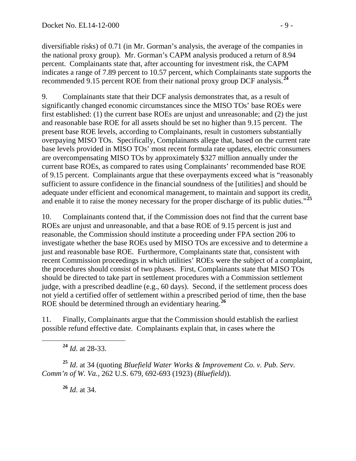diversifiable risks) of 0.71 (in Mr. Gorman's analysis, the average of the companies in the national proxy group). Mr. Gorman's CAPM analysis produced a return of 8.94 percent. Complainants state that, after accounting for investment risk, the CAPM indicates a range of 7.89 percent to 10.57 percent, which Complainants state supports the recommended 9.15 percent ROE from their national proxy group DCF analysis.**[24](#page-8-0)**

9. Complainants state that their DCF analysis demonstrates that, as a result of significantly changed economic circumstances since the MISO TOs' base ROEs were first established: (1) the current base ROEs are unjust and unreasonable; and (2) the just and reasonable base ROE for all assets should be set no higher than 9.15 percent. The present base ROE levels, according to Complainants, result in customers substantially overpaying MISO TOs. Specifically, Complainants allege that, based on the current rate base levels provided in MISO TOs' most recent formula rate updates, electric consumers are overcompensating MISO TOs by approximately \$327 million annually under the current base ROEs, as compared to rates using Complainants' recommended base ROE of 9.15 percent. Complainants argue that these overpayments exceed what is "reasonably sufficient to assure confidence in the financial soundness of the [utilities] and should be adequate under efficient and economical management, to maintain and support its credit, and enable it to raise the money necessary for the proper discharge of its public duties."**[25](#page-8-1)**

10. Complainants contend that, if the Commission does not find that the current base ROEs are unjust and unreasonable, and that a base ROE of 9.15 percent is just and reasonable, the Commission should institute a proceeding under FPA section 206 to investigate whether the base ROEs used by MISO TOs are excessive and to determine a just and reasonable base ROE. Furthermore, Complainants state that, consistent with recent Commission proceedings in which utilities' ROEs were the subject of a complaint, the procedures should consist of two phases. First, Complainants state that MISO TOs should be directed to take part in settlement procedures with a Commission settlement judge, with a prescribed deadline (e.g., 60 days). Second, if the settlement process does not yield a certified offer of settlement within a prescribed period of time, then the base ROE should be determined through an evidentiary hearing.**[26](#page-8-2)**

11. Finally, Complainants argue that the Commission should establish the earliest possible refund effective date. Complainants explain that, in cases where the

**<sup>24</sup>** *Id*. at 28-33.

<span id="page-8-2"></span><span id="page-8-1"></span><span id="page-8-0"></span>**<sup>25</sup>** *Id*. at 34 (quoting *Bluefield Water Works & Improvement Co. v. Pub. Serv. Comm'n of W. Va.*, 262 U.S. 679, 692-693 (1923) (*Bluefield*)).

**<sup>26</sup>** *Id*. at 34.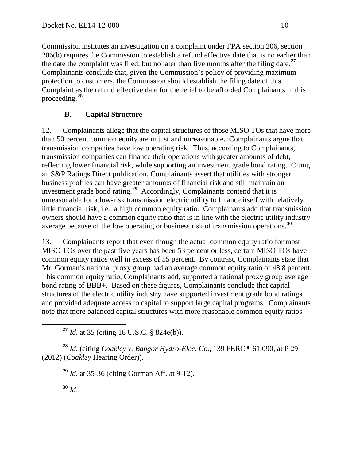Commission institutes an investigation on a complaint under FPA section 206, section 206(b) requires the Commission to establish a refund effective date that is no earlier than the date the complaint was filed, but no later than five months after the filing date.**[27](#page-9-1)** Complainants conclude that, given the Commission's policy of providing maximum protection to customers, the Commission should establish the filing date of this Complaint as the refund effective date for the relief to be afforded Complainants in this proceeding.**[28](#page-9-2)**

## <span id="page-9-0"></span>**B. Capital Structure**

12. Complainants allege that the capital structures of those MISO TOs that have more than 50 percent common equity are unjust and unreasonable. Complainants argue that transmission companies have low operating risk. Thus, according to Complainants, transmission companies can finance their operations with greater amounts of debt, reflecting lower financial risk, while supporting an investment grade bond rating. Citing an S&P Ratings Direct publication, Complainants assert that utilities with stronger business profiles can have greater amounts of financial risk and still maintain an investment grade bond rating.**[29](#page-9-3)** Accordingly, Complainants contend that it is unreasonable for a low-risk transmission electric utility to finance itself with relatively little financial risk, i.e., a high common equity ratio. Complainants add that transmission owners should have a common equity ratio that is in line with the electric utility industry average because of the low operating or business risk of transmission operations.**[30](#page-9-4)**

13. Complainants report that even though the actual common equity ratio for most MISO TOs over the past five years has been 53 percent or less, certain MISO TOs have common equity ratios well in excess of 55 percent. By contrast, Complainants state that Mr. Gorman's national proxy group had an average common equity ratio of 48.8 percent. This common equity ratio, Complainants add, supported a national proxy group average bond rating of BBB+. Based on these figures, Complainants conclude that capital structures of the electric utility industry have supported investment grade bond ratings and provided adequate access to capital to support large capital programs. Complainants note that more balanced capital structures with more reasonable common equity ratios

**<sup>27</sup>** *Id*. at 35 (citing 16 U.S.C. § 824e(b)).

<span id="page-9-4"></span><span id="page-9-3"></span><span id="page-9-2"></span><span id="page-9-1"></span>**<sup>28</sup>** *Id*. (citing *Coakley v. Bangor Hydro-Elec. Co.*, 139 FERC ¶ 61,090, at P 29 (2012) (*Coakley* Hearing Order)).

**<sup>29</sup>** *Id*. at 35-36 (citing Gorman Aff. at 9-12).

**<sup>30</sup>** *Id*.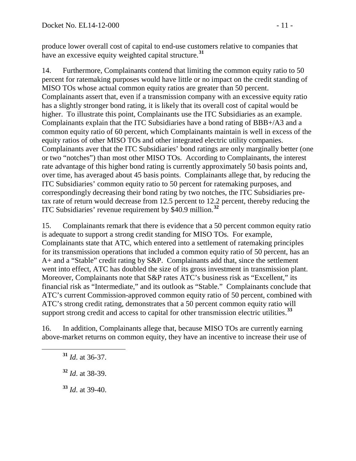produce lower overall cost of capital to end-use customers relative to companies that have an excessive equity weighted capital structure.**[31](#page-10-0)**

14. Furthermore, Complainants contend that limiting the common equity ratio to 50 percent for ratemaking purposes would have little or no impact on the credit standing of MISO TOs whose actual common equity ratios are greater than 50 percent. Complainants assert that, even if a transmission company with an excessive equity ratio has a slightly stronger bond rating, it is likely that its overall cost of capital would be higher. To illustrate this point, Complainants use the ITC Subsidiaries as an example. Complainants explain that the ITC Subsidiaries have a bond rating of BBB+/A3 and a common equity ratio of 60 percent, which Complainants maintain is well in excess of the equity ratios of other MISO TOs and other integrated electric utility companies. Complainants aver that the ITC Subsidiaries' bond ratings are only marginally better (one or two "notches") than most other MISO TOs. According to Complainants, the interest rate advantage of this higher bond rating is currently approximately 50 basis points and, over time, has averaged about 45 basis points. Complainants allege that, by reducing the ITC Subsidiaries' common equity ratio to 50 percent for ratemaking purposes, and correspondingly decreasing their bond rating by two notches, the ITC Subsidiaries pretax rate of return would decrease from 12.5 percent to 12.2 percent, thereby reducing the ITC Subsidiaries' revenue requirement by \$40.9 million.**[32](#page-10-1)**

15. Complainants remark that there is evidence that a 50 percent common equity ratio is adequate to support a strong credit standing for MISO TOs. For example, Complainants state that ATC, which entered into a settlement of ratemaking principles for its transmission operations that included a common equity ratio of 50 percent, has an A+ and a "Stable" credit rating by S&P. Complainants add that, since the settlement went into effect, ATC has doubled the size of its gross investment in transmission plant. Moreover, Complainants note that S&P rates ATC's business risk as "Excellent," its financial risk as "Intermediate," and its outlook as "Stable." Complainants conclude that ATC's current Commission-approved common equity ratio of 50 percent, combined with ATC's strong credit rating, demonstrates that a 50 percent common equity ratio will support strong credit and access to capital for other transmission electric utilities.**[33](#page-10-2)**

<span id="page-10-1"></span><span id="page-10-0"></span>16. In addition, Complainants allege that, because MISO TOs are currently earning above-market returns on common equity, they have an incentive to increase their use of

<span id="page-10-2"></span>**<sup>33</sup>** *Id*. at 39-40.

**<sup>31</sup>** *Id*. at 36-37.

**<sup>32</sup>** *Id*. at 38-39.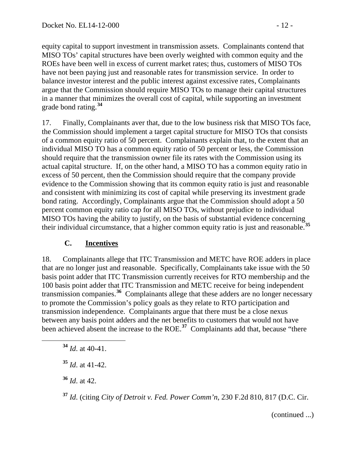equity capital to support investment in transmission assets. Complainants contend that MISO TOs' capital structures have been overly weighted with common equity and the ROEs have been well in excess of current market rates; thus, customers of MISO TOs have not been paying just and reasonable rates for transmission service. In order to balance investor interest and the public interest against excessive rates, Complainants argue that the Commission should require MISO TOs to manage their capital structures in a manner that minimizes the overall cost of capital, while supporting an investment grade bond rating.**[34](#page-11-1)**

17. Finally, Complainants aver that, due to the low business risk that MISO TOs face, the Commission should implement a target capital structure for MISO TOs that consists of a common equity ratio of 50 percent. Complainants explain that, to the extent that an individual MISO TO has a common equity ratio of 50 percent or less, the Commission should require that the transmission owner file its rates with the Commission using its actual capital structure. If, on the other hand, a MISO TO has a common equity ratio in excess of 50 percent, then the Commission should require that the company provide evidence to the Commission showing that its common equity ratio is just and reasonable and consistent with minimizing its cost of capital while preserving its investment grade bond rating. Accordingly, Complainants argue that the Commission should adopt a 50 percent common equity ratio cap for all MISO TOs, without prejudice to individual MISO TOs having the ability to justify, on the basis of substantial evidence concerning their individual circumstance, that a higher common equity ratio is just and reasonable.**[35](#page-11-2)**

#### <span id="page-11-0"></span>**C. Incentives**

18. Complainants allege that ITC Transmission and METC have ROE adders in place that are no longer just and reasonable. Specifically, Complainants take issue with the 50 basis point adder that ITC Transmission currently receives for RTO membership and the 100 basis point adder that ITC Transmission and METC receive for being independent transmission companies.**[36](#page-11-3)** Complainants allege that these adders are no longer necessary to promote the Commission's policy goals as they relate to RTO participation and transmission independence. Complainants argue that there must be a close nexus between any basis point adders and the net benefits to customers that would not have been achieved absent the increase to the ROE.<sup>[37](#page-11-4)</sup> Complainants add that, because "there

<span id="page-11-1"></span>**<sup>34</sup>** *Id*. at 40-41.

<span id="page-11-2"></span>**<sup>35</sup>** *Id*. at 41-42.

<span id="page-11-3"></span>**<sup>36</sup>** *Id*. at 42.

<span id="page-11-4"></span>**<sup>37</sup>** *Id*. (citing *City of Detroit v. Fed. Power Comm'n*, 230 F.2d 810, 817 (D.C. Cir.

(continued ...)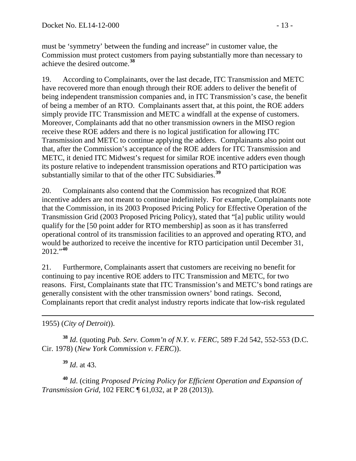must be 'symmetry' between the funding and increase" in customer value, the Commission must protect customers from paying substantially more than necessary to achieve the desired outcome.**[38](#page-12-0)**

19. According to Complainants, over the last decade, ITC Transmission and METC have recovered more than enough through their ROE adders to deliver the benefit of being independent transmission companies and, in ITC Transmission's case, the benefit of being a member of an RTO. Complainants assert that, at this point, the ROE adders simply provide ITC Transmission and METC a windfall at the expense of customers. Moreover, Complainants add that no other transmission owners in the MISO region receive these ROE adders and there is no logical justification for allowing ITC Transmission and METC to continue applying the adders. Complainants also point out that, after the Commission's acceptance of the ROE adders for ITC Transmission and METC, it denied ITC Midwest's request for similar ROE incentive adders even though its posture relative to independent transmission operations and RTO participation was substantially similar to that of the other ITC Subsidiaries.**[39](#page-12-1)**

20. Complainants also contend that the Commission has recognized that ROE incentive adders are not meant to continue indefinitely. For example, Complainants note that the Commission, in its 2003 Proposed Pricing Policy for Effective Operation of the Transmission Grid (2003 Proposed Pricing Policy), stated that "[a] public utility would qualify for the [50 point adder for RTO membership] as soon as it has transferred operational control of its transmission facilities to an approved and operating RTO, and would be authorized to receive the incentive for RTO participation until December 31, 2012."**[40](#page-12-2)**

21. Furthermore, Complainants assert that customers are receiving no benefit for continuing to pay incentive ROE adders to ITC Transmission and METC, for two reasons. First, Complainants state that ITC Transmission's and METC's bond ratings are generally consistent with the other transmission owners' bond ratings. Second, Complainants report that credit analyst industry reports indicate that low-risk regulated

 $\overline{a}$ 1955) (*City of Detroit*)).

<span id="page-12-0"></span>**<sup>38</sup>** *Id*. (quoting *Pub. Serv. Comm'n of N.Y. v. FERC*, 589 F.2d 542, 552-553 (D.C. Cir. 1978) (*New York Commission v. FERC*)).

**<sup>39</sup>** *Id*. at 43.

<span id="page-12-2"></span><span id="page-12-1"></span>**<sup>40</sup>** *Id*. (citing *Proposed Pricing Policy for Efficient Operation and Expansion of Transmission Grid*, 102 FERC ¶ 61,032, at P 28 (2013)).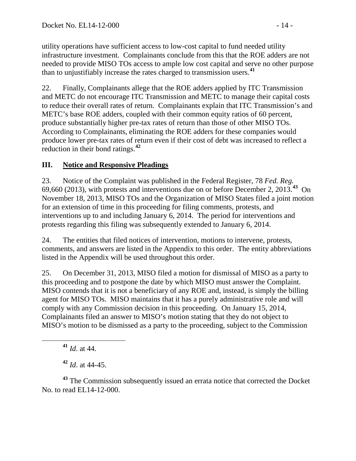utility operations have sufficient access to low-cost capital to fund needed utility infrastructure investment. Complainants conclude from this that the ROE adders are not needed to provide MISO TOs access to ample low cost capital and serve no other purpose than to unjustifiably increase the rates charged to transmission users.**[41](#page-13-1)**

22. Finally, Complainants allege that the ROE adders applied by ITC Transmission and METC do not encourage ITC Transmission and METC to manage their capital costs to reduce their overall rates of return. Complainants explain that ITC Transmission's and METC's base ROE adders, coupled with their common equity ratios of 60 percent, produce substantially higher pre-tax rates of return than those of other MISO TOs. According to Complainants, eliminating the ROE adders for these companies would produce lower pre-tax rates of return even if their cost of debt was increased to reflect a reduction in their bond ratings.**[42](#page-13-2)**

## <span id="page-13-0"></span>**III. Notice and Responsive Pleadings**

23. Notice of the Complaint was published in the Federal Register, 78 *Fed. Reg.* 69,660 (2013), with protests and interventions due on or before December 2, 2013.**[43](#page-13-3)** On November 18, 2013, MISO TOs and the Organization of MISO States filed a joint motion for an extension of time in this proceeding for filing comments, protests, and interventions up to and including January 6, 2014. The period for interventions and protests regarding this filing was subsequently extended to January 6, 2014.

24. The entities that filed notices of intervention, motions to intervene, protests, comments, and answers are listed in the Appendix to this order. The entity abbreviations listed in the Appendix will be used throughout this order.

25. On December 31, 2013, MISO filed a motion for dismissal of MISO as a party to this proceeding and to postpone the date by which MISO must answer the Complaint. MISO contends that it is not a beneficiary of any ROE and, instead, is simply the billing agent for MISO TOs. MISO maintains that it has a purely administrative role and will comply with any Commission decision in this proceeding. On January 15, 2014, Complainants filed an answer to MISO's motion stating that they do not object to MISO's motion to be dismissed as a party to the proceeding, subject to the Commission

**<sup>41</sup>** *Id*. at 44.

**<sup>42</sup>** *Id*. at 44-45.

<span id="page-13-3"></span><span id="page-13-2"></span><span id="page-13-1"></span>**<sup>43</sup>** The Commission subsequently issued an errata notice that corrected the Docket No. to read EL14-12-000.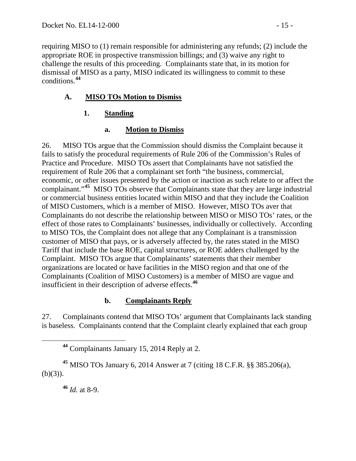requiring MISO to (1) remain responsible for administering any refunds; (2) include the appropriate ROE in prospective transmission billings; and (3) waive any right to challenge the results of this proceeding. Complainants state that, in its motion for dismissal of MISO as a party, MISO indicated its willingness to commit to these conditions.**[44](#page-14-4)**

## **A. MISO TOs Motion to Dismiss**

### **1. Standing**

#### <span id="page-14-2"></span><span id="page-14-1"></span><span id="page-14-0"></span>**a. Motion to Dismiss**

26. MISO TOs argue that the Commission should dismiss the Complaint because it fails to satisfy the procedural requirements of Rule 206 of the Commission's Rules of Practice and Procedure. MISO TOs assert that Complainants have not satisfied the requirement of Rule 206 that a complainant set forth "the business, commercial, economic, or other issues presented by the action or inaction as such relate to or affect the complainant."**[45](#page-14-5)** MISO TOs observe that Complainants state that they are large industrial or commercial business entities located within MISO and that they include the Coalition of MISO Customers, which is a member of MISO. However, MISO TOs aver that Complainants do not describe the relationship between MISO or MISO TOs' rates, or the effect of those rates to Complainants' businesses, individually or collectively. According to MISO TOs, the Complaint does not allege that any Complainant is a transmission customer of MISO that pays, or is adversely affected by, the rates stated in the MISO Tariff that include the base ROE, capital structures, or ROE adders challenged by the Complaint. MISO TOs argue that Complainants' statements that their member organizations are located or have facilities in the MISO region and that one of the Complainants (Coalition of MISO Customers) is a member of MISO are vague and insufficient in their description of adverse effects.**[46](#page-14-6)**

#### <span id="page-14-3"></span>**b. Complainants Reply**

27. Complainants contend that MISO TOs' argument that Complainants lack standing is baseless. Complainants contend that the Complaint clearly explained that each group

**<sup>46</sup>** *Id.* at 8-9.

**<sup>44</sup>** Complainants January 15, 2014 Reply at 2.

<span id="page-14-6"></span><span id="page-14-5"></span><span id="page-14-4"></span>**<sup>45</sup>** MISO TOs January 6, 2014 Answer at 7 (citing 18 C.F.R. §§ 385.206(a),  $(b)(3)$ ).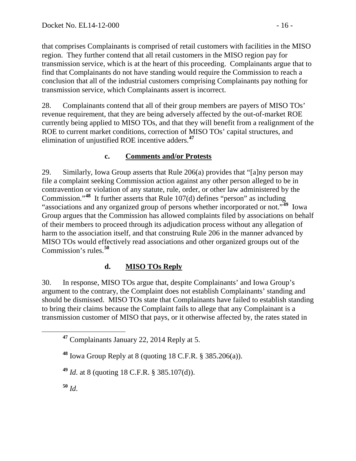that comprises Complainants is comprised of retail customers with facilities in the MISO region. They further contend that all retail customers in the MISO region pay for transmission service, which is at the heart of this proceeding. Complainants argue that to find that Complainants do not have standing would require the Commission to reach a conclusion that all of the industrial customers comprising Complainants pay nothing for transmission service, which Complainants assert is incorrect.

28. Complainants contend that all of their group members are payers of MISO TOs' revenue requirement, that they are being adversely affected by the out-of-market ROE currently being applied to MISO TOs, and that they will benefit from a realignment of the ROE to current market conditions, correction of MISO TOs' capital structures, and elimination of unjustified ROE incentive adders.**[47](#page-15-2)**

#### <span id="page-15-0"></span>**c. Comments and/or Protests**

29. Similarly, Iowa Group asserts that Rule 206(a) provides that "[a]ny person may file a complaint seeking Commission action against any other person alleged to be in contravention or violation of any statute, rule, order, or other law administered by the Commission."**[48](#page-15-3)** It further asserts that Rule 107(d) defines "person" as including "associations and any organized group of persons whether incorporated or not."**[49](#page-15-4)** Iowa Group argues that the Commission has allowed complaints filed by associations on behalf of their members to proceed through its adjudication process without any allegation of harm to the association itself, and that construing Rule 206 in the manner advanced by MISO TOs would effectively read associations and other organized groups out of the Commission's rules.**[50](#page-15-5)**

## <span id="page-15-1"></span>**d. MISO TOs Reply**

30. In response, MISO TOs argue that, despite Complainants' and Iowa Group's argument to the contrary, the Complaint does not establish Complainants' standing and should be dismissed. MISO TOs state that Complainants have failed to establish standing to bring their claims because the Complaint fails to allege that any Complainant is a transmission customer of MISO that pays, or it otherwise affected by, the rates stated in

<span id="page-15-3"></span>**<sup>48</sup>** Iowa Group Reply at 8 (quoting 18 C.F.R. § 385.206(a)).

<span id="page-15-4"></span>**<sup>49</sup>** *Id*. at 8 (quoting 18 C.F.R. § 385.107(d)).

<span id="page-15-5"></span>**<sup>50</sup>** *Id*.

<span id="page-15-2"></span>**<sup>47</sup>** Complainants January 22, 2014 Reply at 5.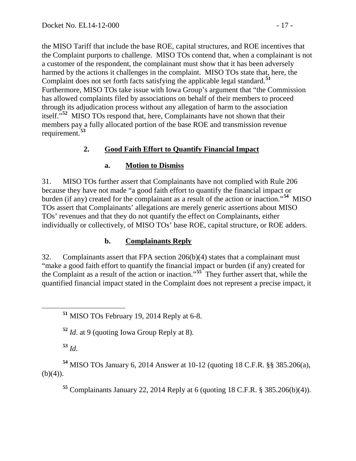the MISO Tariff that include the base ROE, capital structures, and ROE incentives that the Complaint purports to challenge. MISO TOs contend that, when a complainant is not a customer of the respondent, the complainant must show that it has been adversely harmed by the actions it challenges in the complaint. MISO TOs state that, here, the Complaint does not set forth facts satisfying the applicable legal standard.**[51](#page-16-3)** Furthermore, MISO TOs take issue with Iowa Group's argument that "the Commission has allowed complaints filed by associations on behalf of their members to proceed through its adjudication process without any allegation of harm to the association itself."**[52](#page-16-4)** MISO TOs respond that, here, Complainants have not shown that their members pay a fully allocated portion of the base ROE and transmission revenue requirement.**[53](#page-16-5)**

#### **2. Good Faith Effort to Quantify Financial Impact**

#### <span id="page-16-1"></span><span id="page-16-0"></span>**a. Motion to Dismiss**

31. MISO TOs further assert that Complainants have not complied with Rule 206 because they have not made "a good faith effort to quantify the financial impact or burden (if any) created for the complainant as a result of the action or inaction."**[54](#page-16-6)** MISO TOs assert that Complainants' allegations are merely generic assertions about MISO TOs' revenues and that they do not quantify the effect on Complainants, either individually or collectively, of MISO TOs' base ROE, capital structure, or ROE adders.

#### <span id="page-16-2"></span>**b. Complainants Reply**

32. Complainants assert that FPA section 206(b)(4) states that a complainant must "make a good faith effort to quantify the financial impact or burden (if any) created for the Complaint as a result of the action or inaction."**[55](#page-16-7)** They further assert that, while the quantified financial impact stated in the Complaint does not represent a precise impact, it

**<sup>52</sup>** *Id*. at 9 (quoting Iowa Group Reply at 8).

**<sup>53</sup>** *Id*.

<span id="page-16-7"></span><span id="page-16-6"></span><span id="page-16-5"></span><span id="page-16-4"></span>**<sup>54</sup>** MISO TOs January 6, 2014 Answer at 10-12 (quoting 18 C.F.R. §§ 385.206(a),  $(b)(4)$ ).

**<sup>55</sup>** Complainants January 22, 2014 Reply at 6 (quoting 18 C.F.R. § 385.206(b)(4)).

<span id="page-16-3"></span>**<sup>51</sup>** MISO TOs February 19, 2014 Reply at 6-8.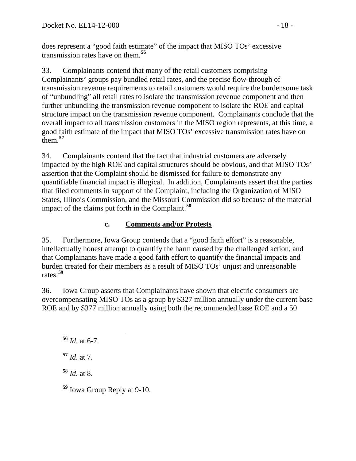does represent a "good faith estimate" of the impact that MISO TOs' excessive transmission rates have on them.**[56](#page-17-1)**

33. Complainants contend that many of the retail customers comprising Complainants' groups pay bundled retail rates, and the precise flow-through of transmission revenue requirements to retail customers would require the burdensome task of "unbundling" all retail rates to isolate the transmission revenue component and then further unbundling the transmission revenue component to isolate the ROE and capital structure impact on the transmission revenue component. Complainants conclude that the overall impact to all transmission customers in the MISO region represents, at this time, a good faith estimate of the impact that MISO TOs' excessive transmission rates have on them.**[57](#page-17-2)**

34. Complainants contend that the fact that industrial customers are adversely impacted by the high ROE and capital structures should be obvious, and that MISO TOs' assertion that the Complaint should be dismissed for failure to demonstrate any quantifiable financial impact is illogical. In addition, Complainants assert that the parties that filed comments in support of the Complaint, including the Organization of MISO States, Illinois Commission, and the Missouri Commission did so because of the material impact of the claims put forth in the Complaint.**[58](#page-17-3)**

## <span id="page-17-0"></span>**c. Comments and/or Protests**

35. Furthermore, Iowa Group contends that a "good faith effort" is a reasonable, intellectually honest attempt to quantify the harm caused by the challenged action, and that Complainants have made a good faith effort to quantify the financial impacts and burden created for their members as a result of MISO TOs' unjust and unreasonable rates.**[59](#page-17-4)**

36. Iowa Group asserts that Complainants have shown that electric consumers are overcompensating MISO TOs as a group by \$327 million annually under the current base ROE and by \$377 million annually using both the recommended base ROE and a 50

<span id="page-17-2"></span>**<sup>57</sup>** *Id*. at 7.

<span id="page-17-3"></span>**<sup>58</sup>** *Id*. at 8.

<span id="page-17-4"></span>**<sup>59</sup>** Iowa Group Reply at 9-10.

<span id="page-17-1"></span>**<sup>56</sup>** *Id*. at 6-7.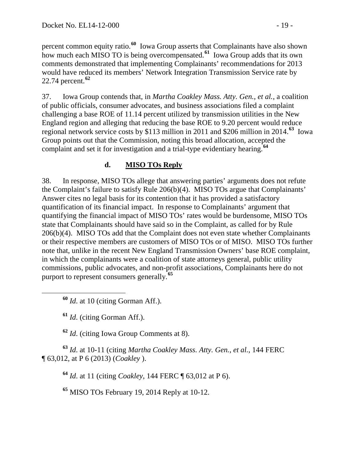percent common equity ratio.**[60](#page-18-1)** Iowa Group asserts that Complainants have also shown how much each MISO TO is being overcompensated.**[61](#page-18-2)** Iowa Group adds that its own comments demonstrated that implementing Complainants' recommendations for 2013 would have reduced its members' Network Integration Transmission Service rate by 22.74 percent.**[62](#page-18-3)**

37. Iowa Group contends that, in *Martha Coakley Mass. Atty. Gen.*, *et al.,* a coalition of public officials, consumer advocates, and business associations filed a complaint challenging a base ROE of 11.14 percent utilized by transmission utilities in the New England region and alleging that reducing the base ROE to 9.20 percent would reduce regional network service costs by \$113 million in 2011 and \$206 million in 2014.**[63](#page-18-4)** Iowa Group points out that the Commission, noting this broad allocation, accepted the complaint and set it for investigation and a trial-type evidentiary hearing.**[64](#page-18-5)**

## <span id="page-18-0"></span>**d. MISO TOs Reply**

38. In response, MISO TOs allege that answering parties' arguments does not refute the Complaint's failure to satisfy Rule 206(b)(4). MISO TOs argue that Complainants' Answer cites no legal basis for its contention that it has provided a satisfactory quantification of its financial impact. In response to Complainants' argument that quantifying the financial impact of MISO TOs' rates would be burdensome, MISO TOs state that Complainants should have said so in the Complaint, as called for by Rule 206(b)(4). MISO TOs add that the Complaint does not even state whether Complainants or their respective members are customers of MISO TOs or of MISO. MISO TOs further note that, unlike in the recent New England Transmission Owners' base ROE complaint, in which the complainants were a coalition of state attorneys general, public utility commissions, public advocates, and non-profit associations, Complainants here do not purport to represent consumers generally.**[65](#page-18-6)**

<span id="page-18-1"></span>**<sup>60</sup>** *Id*. at 10 (citing Gorman Aff.).

**<sup>61</sup>** *Id*. (citing Gorman Aff.).

**<sup>62</sup>** *Id*. (citing Iowa Group Comments at 8).

<span id="page-18-6"></span><span id="page-18-5"></span><span id="page-18-4"></span><span id="page-18-3"></span><span id="page-18-2"></span>**<sup>63</sup>** *Id*. at 10-11 (citing *Martha Coakley Mass. Atty. Gen.*, *et al.*, 144 FERC ¶ 63,012, at P 6 (2013) (*Coakley* ).

**<sup>64</sup>** *Id*. at 11 (citing *Coakley*, 144 FERC ¶ 63,012 at P 6).

**<sup>65</sup>** MISO TOs February 19, 2014 Reply at 10-12.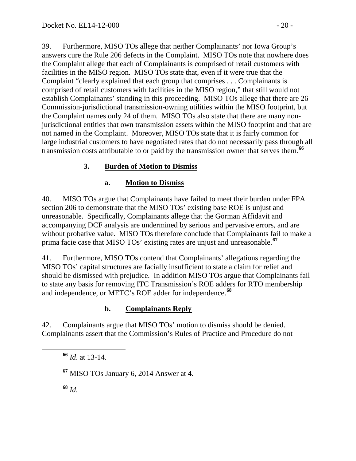39. Furthermore, MISO TOs allege that neither Complainants' nor Iowa Group's answers cure the Rule 206 defects in the Complaint. MISO TOs note that nowhere does the Complaint allege that each of Complainants is comprised of retail customers with facilities in the MISO region. MISO TOs state that, even if it were true that the Complaint "clearly explained that each group that comprises . . . Complainants is comprised of retail customers with facilities in the MISO region," that still would not establish Complainants' standing in this proceeding. MISO TOs allege that there are 26 Commission-jurisdictional transmission-owning utilities within the MISO footprint, but the Complaint names only 24 of them. MISO TOs also state that there are many nonjurisdictional entities that own transmission assets within the MISO footprint and that are not named in the Complaint. Moreover, MISO TOs state that it is fairly common for large industrial customers to have negotiated rates that do not necessarily pass through all transmission costs attributable to or paid by the transmission owner that serves them.**[66](#page-19-3)**

# **3. Burden of Motion to Dismiss**

## <span id="page-19-1"></span><span id="page-19-0"></span>**a. Motion to Dismiss**

40. MISO TOs argue that Complainants have failed to meet their burden under FPA section 206 to demonstrate that the MISO TOs' existing base ROE is unjust and unreasonable. Specifically, Complainants allege that the Gorman Affidavit and accompanying DCF analysis are undermined by serious and pervasive errors, and are without probative value. MISO TOs therefore conclude that Complainants fail to make a prima facie case that MISO TOs' existing rates are unjust and unreasonable.**[67](#page-19-4)**

41. Furthermore, MISO TOs contend that Complainants' allegations regarding the MISO TOs' capital structures are facially insufficient to state a claim for relief and should be dismissed with prejudice. In addition MISO TOs argue that Complainants fail to state any basis for removing ITC Transmission's ROE adders for RTO membership and independence, or METC's ROE adder for independence.**[68](#page-19-5)**

## <span id="page-19-2"></span>**b. Complainants Reply**

<span id="page-19-3"></span>42. Complainants argue that MISO TOs' motion to dismiss should be denied. Complainants assert that the Commission's Rules of Practice and Procedure do not

**<sup>66</sup>** *Id*. at 13-14.

<span id="page-19-5"></span>**<sup>68</sup>** *Id*.

<span id="page-19-4"></span>**<sup>67</sup>** MISO TOs January 6, 2014 Answer at 4.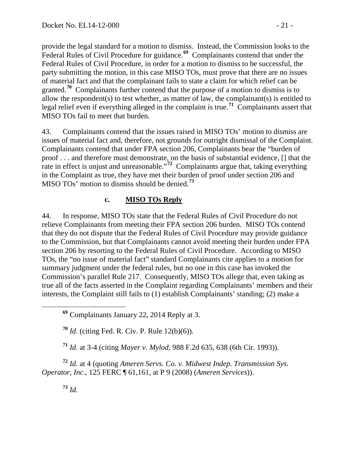provide the legal standard for a motion to dismiss. Instead, the Commission looks to the Federal Rules of Civil Procedure for guidance.<sup>[69](#page-20-1)</sup> Complainants contend that under the Federal Rules of Civil Procedure, in order for a motion to dismiss to be successful, the party submitting the motion, in this case MISO TOs, must prove that there are no issues of material fact and that the complainant fails to state a claim for which relief can be granted.**[70](#page-20-2)** Complainants further contend that the purpose of a motion to dismiss is to allow the respondent(s) to test whether, as matter of law, the complainant(s) is entitled to legal relief even if everything alleged in the complaint is true.<sup>[71](#page-20-3)</sup> Complainants assert that MISO TOs fail to meet that burden.

43. Complainants contend that the issues raised in MISO TOs' motion to dismiss are issues of material fact and, therefore, not grounds for outright dismissal of the Complaint. Complainants contend that under FPA section 206, Complainants bear the "burden of proof . . . and therefore must demonstrate, on the basis of substantial evidence, [] that the rate in effect is unjust and unreasonable.<sup>77</sup> Complainants argue that, taking everything in the Complaint as true, they have met their burden of proof under section 206 and MISO TOs' motion to dismiss should be denied.**[73](#page-20-5)**

#### <span id="page-20-0"></span>**c. MISO TOs Reply**

44. In response, MISO TOs state that the Federal Rules of Civil Procedure do not relieve Complainants from meeting their FPA section 206 burden. MISO TOs contend that they do not dispute that the Federal Rules of Civil Procedure may provide guidance to the Commission, but that Complainants cannot avoid meeting their burden under FPA section 206 by resorting to the Federal Rules of Civil Procedure. According to MISO TOs, the "no issue of material fact" standard Complainants cite applies to a motion for summary judgment under the federal rules, but no one in this case has invoked the Commission's parallel Rule 217. Consequently, MISO TOs allege that, even taking as true all of the facts asserted in the Complaint regarding Complainants' members and their interests, the Complaint still fails to (1) establish Complainants' standing; (2) make a

**<sup>70</sup>** *Id*. (citing Fed. R. Civ. P. Rule 12(b)(6)).

**<sup>71</sup>** *Id*. at 3-4 (citing *Mayer v. Mylod*, 988 F.2d 635, 638 (6th Cir. 1993)).

<span id="page-20-5"></span><span id="page-20-4"></span><span id="page-20-3"></span><span id="page-20-2"></span>**<sup>72</sup>** *Id*. at 4 (quoting *Ameren Servs. Co. v. Midwest Indep. Transmission Sys. Operator, Inc.*, 125 FERC ¶ 61,161, at P 9 (2008) (*Ameren Services*)).

**<sup>73</sup>** *Id.*

<span id="page-20-1"></span>**<sup>69</sup>** Complainants January 22, 2014 Reply at 3.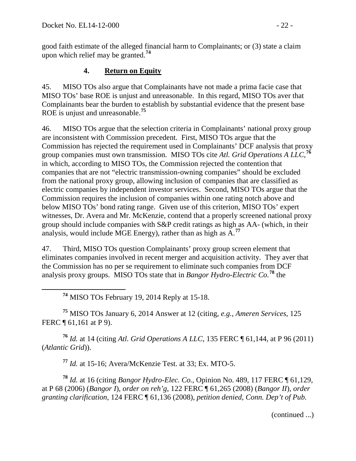good faith estimate of the alleged financial harm to Complainants; or (3) state a claim upon which relief may be granted.**[74](#page-21-1)**

## <span id="page-21-0"></span>**4. Return on Equity**

45. MISO TOs also argue that Complainants have not made a prima facie case that MISO TOs' base ROE is unjust and unreasonable. In this regard, MISO TOs aver that Complainants bear the burden to establish by substantial evidence that the present base ROE is unjust and unreasonable.**[75](#page-21-2)**

46. MISO TOs argue that the selection criteria in Complainants' national proxy group are inconsistent with Commission precedent. First, MISO TOs argue that the Commission has rejected the requirement used in Complainants' DCF analysis that proxy group companies must own transmission. MISO TOs cite *Atl. Grid Operations A LLC*, **[76](#page-21-3)** in which, according to MISO TOs, the Commission rejected the contention that companies that are not "electric transmission-owning companies" should be excluded from the national proxy group, allowing inclusion of companies that are classified as electric companies by independent investor services. Second, MISO TOs argue that the Commission requires the inclusion of companies within one rating notch above and below MISO TOs' bond rating range. Given use of this criterion, MISO TOs' expert witnesses, Dr. Avera and Mr. McKenzie, contend that a properly screened national proxy group should include companies with S&P credit ratings as high as AA- (which, in their analysis, would include MGE Energy), rather than as high as A.**[77](#page-21-4)**

47. Third, MISO TOs question Complainants' proxy group screen element that eliminates companies involved in recent merger and acquisition activity. They aver that the Commission has no per se requirement to eliminate such companies from DCF analysis proxy groups. MISO TOs state that in *Bangor Hydro-Electric Co.***[78](#page-21-5)** the

**<sup>74</sup>** MISO TOs February 19, 2014 Reply at 15-18.

<span id="page-21-2"></span><span id="page-21-1"></span>**<sup>75</sup>** MISO TOs January 6, 2014 Answer at 12 (citing, *e.g.*, *Ameren Services*, 125 FERC ¶ 61,161 at P 9).

<span id="page-21-3"></span>**<sup>76</sup>** *Id.* at 14 (citing *Atl. Grid Operations A LLC*, 135 FERC ¶ 61,144, at P 96 (2011) (*Atlantic Grid*)).

**<sup>77</sup>** *Id.* at 15-16; Avera/McKenzie Test. at 33; Ex. MTO-5.

<span id="page-21-5"></span><span id="page-21-4"></span>**<sup>78</sup>** *Id.* at 16 (citing *Bangor Hydro-Elec. Co.*, Opinion No. 489, 117 FERC ¶ 61,129, at P 68 (2006) (*Bangor I*), *order on reh'g*, 122 FERC ¶ 61,265 (2008) (*Bangor II*), *order granting clarification*, 124 FERC ¶ 61,136 (2008), *petition denied*, *Conn. Dep't of Pub.* 

(continued ...)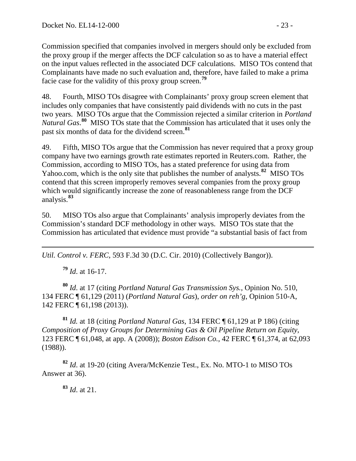Commission specified that companies involved in mergers should only be excluded from the proxy group if the merger affects the DCF calculation so as to have a material effect on the input values reflected in the associated DCF calculations. MISO TOs contend that Complainants have made no such evaluation and, therefore, have failed to make a prima facie case for the validity of this proxy group screen.**[79](#page-22-0)**

48. Fourth, MISO TOs disagree with Complainants' proxy group screen element that includes only companies that have consistently paid dividends with no cuts in the past two years. MISO TOs argue that the Commission rejected a similar criterion in *Portland Natural Gas*. **[80](#page-22-1)** MISO TOs state that the Commission has articulated that it uses only the past six months of data for the dividend screen.**[81](#page-22-2)**

49. Fifth, MISO TOs argue that the Commission has never required that a proxy group company have two earnings growth rate estimates reported in Reuters.com. Rather, the Commission, according to MISO TOs, has a stated preference for using data from Yahoo.com, which is the only site that publishes the number of analysts.**[82](#page-22-3)** MISO TOs contend that this screen improperly removes several companies from the proxy group which would significantly increase the zone of reasonableness range from the DCF analysis.**[83](#page-22-4)**

50. MISO TOs also argue that Complainants' analysis improperly deviates from the Commission's standard DCF methodology in other ways. MISO TOs state that the Commission has articulated that evidence must provide "a substantial basis of fact from

 $\overline{a}$ *Util. Control v. FERC*, 593 F.3d 30 (D.C. Cir. 2010) (Collectively Bangor)).

**<sup>79</sup>** *Id*. at 16-17.

<span id="page-22-1"></span><span id="page-22-0"></span>**<sup>80</sup>** *Id*. at 17 (citing *Portland Natural Gas Transmission Sys.*, Opinion No. 510, 134 FERC ¶ 61,129 (2011) (*Portland Natural Gas*), *order on reh'g*, Opinion 510-A, 142 FERC ¶ 61,198 (2013)).

<span id="page-22-2"></span>**<sup>81</sup>** *Id.* at 18 (citing *Portland Natural Gas*, 134 FERC ¶ 61,129 at P 186) (citing *Composition of Proxy Groups for Determining Gas & Oil Pipeline Return on Equity*, 123 FERC ¶ 61,048, at app. A (2008)); *Boston Edison Co.*, 42 FERC ¶ 61,374, at 62,093 (1988)).

<span id="page-22-4"></span><span id="page-22-3"></span>**<sup>82</sup>** *Id*. at 19-20 (citing Avera/McKenzie Test., Ex. No. MTO-1 to MISO TOs Answer at 36).

**<sup>83</sup>** *Id*. at 21.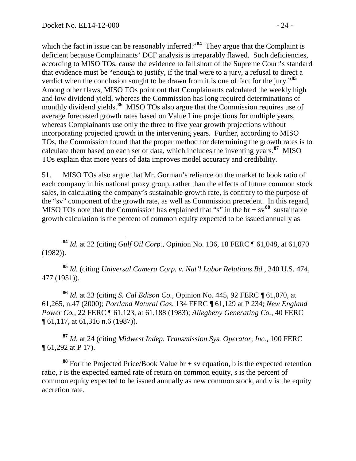which the fact in issue can be reasonably inferred."<sup>[84](#page-23-0)</sup> They argue that the Complaint is deficient because Complainants' DCF analysis is irreparably flawed. Such deficiencies, according to MISO TOs, cause the evidence to fall short of the Supreme Court's standard that evidence must be "enough to justify, if the trial were to a jury, a refusal to direct a verdict when the conclusion sought to be drawn from it is one of fact for the jury."**[85](#page-23-1)** Among other flaws, MISO TOs point out that Complainants calculated the weekly high and low dividend yield, whereas the Commission has long required determinations of monthly dividend yields.<sup>[86](#page-23-2)</sup> MISO TOs also argue that the Commission requires use of average forecasted growth rates based on Value Line projections for multiple years, whereas Complainants use only the three to five year growth projections without incorporating projected growth in the intervening years. Further, according to MISO TOs, the Commission found that the proper method for determining the growth rates is to calculate them based on each set of data, which includes the inventing years.**[87](#page-23-3)** MISO TOs explain that more years of data improves model accuracy and credibility.

51. MISO TOs also argue that Mr. Gorman's reliance on the market to book ratio of each company in his national proxy group, rather than the effects of future common stock sales, in calculating the company's sustainable growth rate, is contrary to the purpose of the "sv" component of the growth rate, as well as Commission precedent. In this regard, MISO TOs note that the Commission has explained that "s" in the  $br + sv<sup>88</sup>$  $br + sv<sup>88</sup>$  $br + sv<sup>88</sup>$  sustainable growth calculation is the percent of common equity expected to be issued annually as

<span id="page-23-1"></span>**<sup>85</sup>** *Id.* (citing *Universal Camera Corp. v. Nat'l Labor Relations Bd.*, 340 U.S. 474, 477 (1951)).

<span id="page-23-2"></span>**<sup>86</sup>** *Id.* at 23 (citing *S. Cal Edison Co.*, Opinion No. 445, 92 FERC ¶ 61,070, at 61,265, n.47 (2000); *Portland Natural Gas*, 134 FERC ¶ 61,129 at P 234; *New England Power Co.*, 22 FERC ¶ 61,123, at 61,188 (1983); *Allegheny Generating Co.*, 40 FERC ¶ 61,117, at 61,316 n.6 (1987)).

<span id="page-23-3"></span>**<sup>87</sup>** *Id.* at 24 (citing *Midwest Indep. Transmission Sys. Operator, Inc.*, 100 FERC ¶ 61,292 at P 17).

<span id="page-23-4"></span>**<sup>88</sup>** For the Projected Price/Book Value br + sv equation, b is the expected retention ratio, r is the expected earned rate of return on common equity, s is the percent of common equity expected to be issued annually as new common stock, and v is the equity accretion rate.

<span id="page-23-0"></span>**<sup>84</sup>** *Id.* at 22 (citing *Gulf Oil Corp.*, Opinion No. 136, 18 FERC ¶ 61,048, at 61,070 (1982)).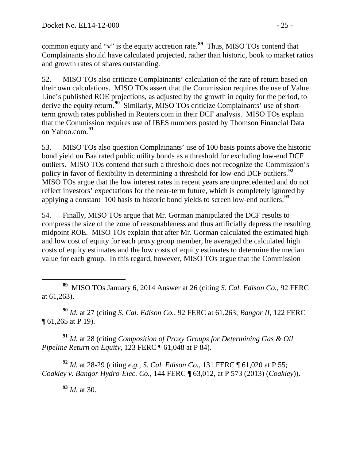common equity and "v" is the equity accretion rate.**[89](#page-24-0)** Thus, MISO TOs contend that Complainants should have calculated projected, rather than historic, book to market ratios and growth rates of shares outstanding.

52. MISO TOs also criticize Complainants' calculation of the rate of return based on their own calculations. MISO TOs assert that the Commission requires the use of Value Line's published ROE projections, as adjusted by the growth in equity for the period, to derive the equity return.<sup>[90](#page-24-1)</sup> Similarly, MISO TOs criticize Complainants' use of shortterm growth rates published in Reuters.com in their DCF analysis. MISO TOs explain that the Commission requires use of IBES numbers posted by Thomson Financial Data on Yahoo.com.**[91](#page-24-2)**

53. MISO TOs also question Complainants' use of 100 basis points above the historic bond yield on Baa rated public utility bonds as a threshold for excluding low-end DCF outliers. MISO TOs contend that such a threshold does not recognize the Commission's policy in favor of flexibility in determining a threshold for low-end DCF outliers.**[92](#page-24-3)** MISO TOs argue that the low interest rates in recent years are unprecedented and do not reflect investors' expectations for the near-term future, which is completely ignored by applying a constant 100 basis to historic bond yields to screen low-end outliers. **[93](#page-24-4)**

54. Finally, MISO TOs argue that Mr. Gorman manipulated the DCF results to compress the size of the zone of reasonableness and thus artificially depress the resulting midpoint ROE. MISO TOs explain that after Mr. Gorman calculated the estimated high and low cost of equity for each proxy group member, he averaged the calculated high costs of equity estimates and the low costs of equity estimates to determine the median value for each group. In this regard, however, MISO TOs argue that the Commission

<span id="page-24-1"></span>**<sup>90</sup>** *Id.* at 27 (citing *S. Cal. Edison Co.*, 92 FERC at 61,263; *Bangor II*, 122 FERC ¶ 61,265 at P 19).

<span id="page-24-2"></span>**<sup>91</sup>** *Id.* at 28 (citing *Composition of Proxy Groups for Determining Gas & Oil Pipeline Return on Equity*, 123 FERC ¶ 61,048 at P 84).

<span id="page-24-4"></span><span id="page-24-3"></span>**<sup>92</sup>** *Id.* at 28-29 (citing *e.g.*, *S. Cal. Edison Co.*, 131 FERC ¶ 61,020 at P 55; *Coakley v. Bangor Hydro-Elec. Co.*, 144 FERC ¶ 63,012, at P 573 (2013) (*Coakley*)).

**<sup>93</sup>** *Id.* at 30.

<span id="page-24-0"></span>**<sup>89</sup>** MISO TOs January 6, 2014 Answer at 26 (citing *S. Cal. Edison Co.*, 92 FERC at 61,263).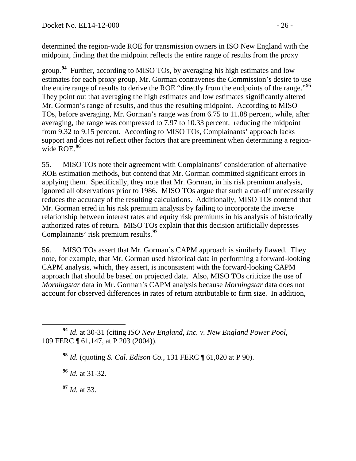determined the region-wide ROE for transmission owners in ISO New England with the midpoint, finding that the midpoint reflects the entire range of results from the proxy

group.**[94](#page-25-0)** Further, according to MISO TOs, by averaging his high estimates and low estimates for each proxy group, Mr. Gorman contravenes the Commission's desire to use the entire range of results to derive the ROE "directly from the endpoints of the range."**[95](#page-25-1)** They point out that averaging the high estimates and low estimates significantly altered Mr. Gorman's range of results, and thus the resulting midpoint. According to MISO TOs, before averaging, Mr. Gorman's range was from 6.75 to 11.88 percent, while, after averaging, the range was compressed to 7.97 to 10.33 percent, reducing the midpoint from 9.32 to 9.15 percent. According to MISO TOs, Complainants' approach lacks support and does not reflect other factors that are preeminent when determining a regionwide ROE.**[96](#page-25-2)**

55. MISO TOs note their agreement with Complainants' consideration of alternative ROE estimation methods, but contend that Mr. Gorman committed significant errors in applying them. Specifically, they note that Mr. Gorman, in his risk premium analysis, ignored all observations prior to 1986. MISO TOs argue that such a cut-off unnecessarily reduces the accuracy of the resulting calculations. Additionally, MISO TOs contend that Mr. Gorman erred in his risk premium analysis by failing to incorporate the inverse relationship between interest rates and equity risk premiums in his analysis of historically authorized rates of return. MISO TOs explain that this decision artificially depresses Complainants' risk premium results.**[97](#page-25-3)**

56. MISO TOs assert that Mr. Gorman's CAPM approach is similarly flawed. They note, for example, that Mr. Gorman used historical data in performing a forward-looking CAPM analysis, which, they assert, is inconsistent with the forward-looking CAPM approach that should be based on projected data. Also, MISO TOs criticize the use of *Morningstar* data in Mr. Gorman's CAPM analysis because *Morningstar* data does not account for observed differences in rates of return attributable to firm size. In addition,

**<sup>96</sup>** *Id.* at 31-32.

<span id="page-25-3"></span>**<sup>97</sup>** *Id.* at 33.

<span id="page-25-2"></span><span id="page-25-1"></span><span id="page-25-0"></span>**<sup>94</sup>** *Id*. at 30-31 (citing *ISO New England, Inc. v. New England Power Pool*, 109 FERC ¶ 61,147, at P 203 (2004)).

**<sup>95</sup>** *Id.* (quoting *S. Cal. Edison Co.*, 131 FERC ¶ 61,020 at P 90).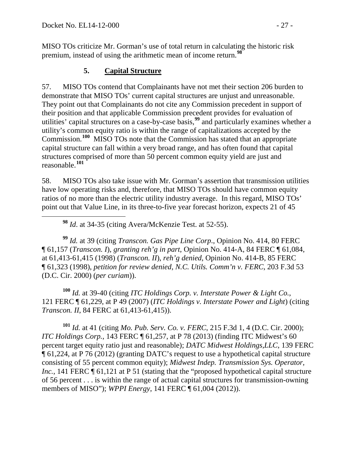MISO TOs criticize Mr. Gorman's use of total return in calculating the historic risk premium, instead of using the arithmetic mean of income return.**[98](#page-26-1)**

### <span id="page-26-0"></span>**5. Capital Structure**

57. MISO TOs contend that Complainants have not met their section 206 burden to demonstrate that MISO TOs' current capital structures are unjust and unreasonable. They point out that Complainants do not cite any Commission precedent in support of their position and that applicable Commission precedent provides for evaluation of utilities' capital structures on a case-by-case basis, **[99](#page-26-2)** and particularly examines whether a utility's common equity ratio is within the range of capitalizations accepted by the Commission.**[100](#page-26-3)** MISO TOs note that the Commission has stated that an appropriate capital structure can fall within a very broad range, and has often found that capital structures comprised of more than 50 percent common equity yield are just and reasonable. **[101](#page-26-4)**

58. MISO TOs also take issue with Mr. Gorman's assertion that transmission utilities have low operating risks and, therefore, that MISO TOs should have common equity ratios of no more than the electric utility industry average. In this regard, MISO TOs' point out that Value Line, in its three-to-five year forecast horizon, expects 21 of 45

**<sup>98</sup>** *Id*. at 34-35 (citing Avera/McKenzie Test. at 52-55).

<span id="page-26-2"></span><span id="page-26-1"></span>**<sup>99</sup>** *Id.* at 39 (citing *Transcon. Gas Pipe Line Corp*., Opinion No. 414, 80 FERC ¶ 61,157 (*Transcon. I*), *granting reh'g in part*, Opinion No. 414-A, 84 FERC ¶ 61,084, at 61,413-61,415 (1998) (*Transcon. II*), *reh'g denied*, Opinion No. 414-B, 85 FERC ¶ 61,323 (1998), *petition for review denied*, *N.C. Utils. Comm'n v. FERC*, 203 F.3d 53 (D.C. Cir. 2000) (*per curiam*)).

<span id="page-26-3"></span>**<sup>100</sup>** *Id.* at 39-40 (citing *ITC Holdings Corp. v. Interstate Power & Light Co.*, 121 FERC ¶ 61,229, at P 49 (2007) (*ITC Holdings v. Interstate Power and Light*) (citing *Transcon. II*, 84 FERC at 61,413-61,415)).

<span id="page-26-4"></span>**<sup>101</sup>** *Id.* at 41 (citing *Mo. Pub. Serv. Co. v. FERC*, 215 F.3d 1, 4 (D.C. Cir. 2000); *ITC Holdings Corp.*, 143 FERC ¶ 61,257, at P 78 (2013) (finding ITC Midwest's 60 percent target equity ratio just and reasonable); *DATC Midwest Holdings,LLC*, 139 FERC ¶ 61,224, at P 76 (2012) (granting DATC's request to use a hypothetical capital structure consisting of 55 percent common equity); *Midwest Indep. Transmission Sys. Operator, Inc.*, 141 FERC  $\P$  61,121 at P 51 (stating that the "proposed hypothetical capital structure of 56 percent . . . is within the range of actual capital structures for transmission-owning members of MISO"); *WPPI Energy*, 141 FERC ¶ 61,004 (2012)).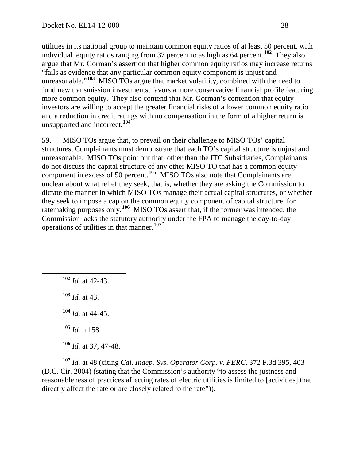utilities in its national group to maintain common equity ratios of at least 50 percent, with individual equity ratios ranging from 37 percent to as high as 64 percent. **[102](#page-27-0)** They also argue that Mr. Gorman's assertion that higher common equity ratios may increase returns "fails as evidence that any particular common equity component is unjust and unreasonable."<sup>[103](#page-27-1)</sup> MISO TOs argue that market volatility, combined with the need to fund new transmission investments, favors a more conservative financial profile featuring more common equity. They also contend that Mr. Gorman's contention that equity investors are willing to accept the greater financial risks of a lower common equity ratio and a reduction in credit ratings with no compensation in the form of a higher return is unsupported and incorrect.**[104](#page-27-2)**

59. MISO TOs argue that, to prevail on their challenge to MISO TOs' capital structures, Complainants must demonstrate that each TO's capital structure is unjust and unreasonable. MISO TOs point out that, other than the ITC Subsidiaries, Complainants do not discuss the capital structure of any other MISO TO that has a common equity component in excess of 50 percent. **[105](#page-27-3)** MISO TOs also note that Complainants are unclear about what relief they seek, that is, whether they are asking the Commission to dictate the manner in which MISO TOs manage their actual capital structures, or whether they seek to impose a cap on the common equity component of capital structure for ratemaking purposes only.<sup>[106](#page-27-4)</sup> MISO TOs assert that, if the former was intended, the Commission lacks the statutory authority under the FPA to manage the day-to-day operations of utilities in that manner.**[107](#page-27-5)**

<span id="page-27-1"></span><span id="page-27-0"></span> **<sup>102</sup>** *Id.* at 42-43. **<sup>103</sup>** *Id.* at 43. **<sup>104</sup>** *Id.* at 44-45.

**<sup>105</sup>** *Id.* n.158.

**<sup>106</sup>** *Id.* at 37, 47-48.

<span id="page-27-5"></span><span id="page-27-4"></span><span id="page-27-3"></span><span id="page-27-2"></span>**<sup>107</sup>** *Id.* at 48 (citing *Cal. Indep. Sys. Operator Corp. v. FERC*, 372 F.3d 395, 403 (D.C. Cir. 2004) (stating that the Commission's authority "to assess the justness and reasonableness of practices affecting rates of electric utilities is limited to [activities] that directly affect the rate or are closely related to the rate")).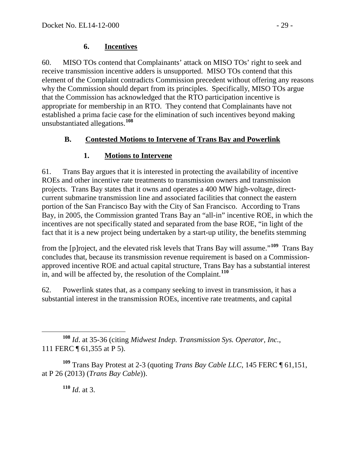#### <span id="page-28-0"></span>**6. Incentives**

60. MISO TOs contend that Complainants' attack on MISO TOs' right to seek and receive transmission incentive adders is unsupported. MISO TOs contend that this element of the Complaint contradicts Commission precedent without offering any reasons why the Commission should depart from its principles. Specifically, MISO TOs argue that the Commission has acknowledged that the RTO participation incentive is appropriate for membership in an RTO. They contend that Complainants have not established a prima facie case for the elimination of such incentives beyond making unsubstantiated allegations.**[108](#page-28-3)**

## **B. Contested Motions to Intervene of Trans Bay and Powerlink**

## <span id="page-28-2"></span><span id="page-28-1"></span>**1. Motions to Intervene**

61. Trans Bay argues that it is interested in protecting the availability of incentive ROEs and other incentive rate treatments to transmission owners and transmission projects. Trans Bay states that it owns and operates a 400 MW high-voltage, directcurrent submarine transmission line and associated facilities that connect the eastern portion of the San Francisco Bay with the City of San Francisco. According to Trans Bay, in 2005, the Commission granted Trans Bay an "all-in" incentive ROE, in which the incentives are not specifically stated and separated from the base ROE, "in light of the fact that it is a new project being undertaken by a start-up utility, the benefits stemming

from the [p]roject, and the elevated risk levels that Trans Bay will assume."**[109](#page-28-4)** Trans Bay concludes that, because its transmission revenue requirement is based on a Commissionapproved incentive ROE and actual capital structure, Trans Bay has a substantial interest in, and will be affected by, the resolution of the Complaint.**[110](#page-28-5)**

62. Powerlink states that, as a company seeking to invest in transmission, it has a substantial interest in the transmission ROEs, incentive rate treatments, and capital

**<sup>110</sup>** *Id*. at 3.

<span id="page-28-3"></span>**<sup>108</sup>** *Id*. at 35-36 (citing *Midwest Indep. Transmission Sys. Operator, Inc.*, 111 FERC ¶ 61,355 at P 5).

<span id="page-28-5"></span><span id="page-28-4"></span>**<sup>109</sup>** Trans Bay Protest at 2-3 (quoting *Trans Bay Cable LLC*, 145 FERC ¶ 61,151, at P 26 (2013) (*Trans Bay Cable*)).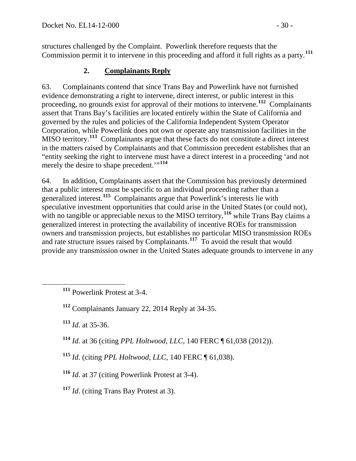structures challenged by the Complaint. Powerlink therefore requests that the Commission permit it to intervene in this proceeding and afford it full rights as a party.**[111](#page-29-1)**

## <span id="page-29-0"></span>**2. Complainants Reply**

63. Complainants contend that since Trans Bay and Powerlink have not furnished evidence demonstrating a right to intervene, direct interest, or public interest in this proceeding, no grounds exist for approval of their motions to intervene.**[112](#page-29-2)** Complainants assert that Trans Bay's facilities are located entirely within the State of California and governed by the rules and policies of the California Independent System Operator Corporation, while Powerlink does not own or operate any transmission facilities in the MISO territory.**[113](#page-29-3)** Complainants argue that these facts do not constitute a direct interest in the matters raised by Complainants and that Commission precedent establishes that an "entity seeking the right to intervene must have a direct interest in a proceeding 'and not merely the desire to shape precedent."<sup>[114](#page-29-4)</sup>

64. In addition, Complainants assert that the Commission has previously determined that a public interest must be specific to an individual proceeding rather than a generalized interest.**[115](#page-29-5)** Complainants argue that Powerlink's interests lie with speculative investment opportunities that could arise in the United States (or could not), with no tangible or appreciable nexus to the MISO territory,<sup>[116](#page-29-6)</sup> while Trans Bay claims a generalized interest in protecting the availability of incentive ROEs for transmission owners and transmission projects, but establishes no particular MISO transmission ROEs and rate structure issues raised by Complainants.**[117](#page-29-7)** To avoid the result that would provide any transmission owner in the United States adequate grounds to intervene in any

<span id="page-29-3"></span>**<sup>113</sup>** *Id*. at 35-36.

<span id="page-29-4"></span>**<sup>114</sup>** *Id*. at 36 (citing *PPL Holtwood, LLC*, 140 FERC ¶ 61,038 (2012)).

- <span id="page-29-5"></span>**<sup>115</sup>** *Id*. (citing *PPL Holtwood, LLC*, 140 FERC ¶ 61,038).
- <span id="page-29-6"></span>**<sup>116</sup>** *Id*. at 37 (citing Powerlink Protest at 3-4).
- <span id="page-29-7"></span>**<sup>117</sup>** *Id*. (citing Trans Bay Protest at 3).

<span id="page-29-1"></span>**<sup>111</sup>** Powerlink Protest at 3-4.

<span id="page-29-2"></span>**<sup>112</sup>** Complainants January 22, 2014 Reply at 34-35.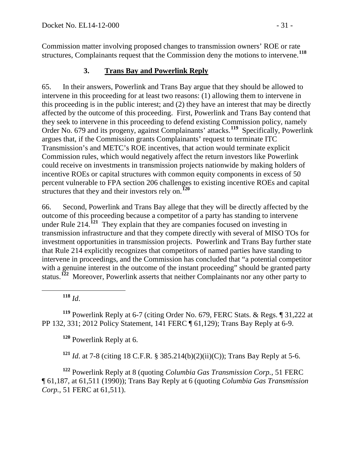Commission matter involving proposed changes to transmission owners' ROE or rate structures, Complainants request that the Commission deny the motions to intervene.**[118](#page-30-1)**

## <span id="page-30-0"></span>**3. Trans Bay and Powerlink Reply**

65. In their answers, Powerlink and Trans Bay argue that they should be allowed to intervene in this proceeding for at least two reasons: (1) allowing them to intervene in this proceeding is in the public interest; and (2) they have an interest that may be directly affected by the outcome of this proceeding. First, Powerlink and Trans Bay contend that they seek to intervene in this proceeding to defend existing Commission policy, namely Order No. 679 and its progeny, against Complainants' attacks.**[119](#page-30-2)** Specifically, Powerlink argues that, if the Commission grants Complainants' request to terminate ITC Transmission's and METC's ROE incentives, that action would terminate explicit Commission rules, which would negatively affect the return investors like Powerlink could receive on investments in transmission projects nationwide by making holders of incentive ROEs or capital structures with common equity components in excess of 50 percent vulnerable to FPA section 206 challenges to existing incentive ROEs and capital structures that they and their investors rely on.**[120](#page-30-3)**

66. Second, Powerlink and Trans Bay allege that they will be directly affected by the outcome of this proceeding because a competitor of a party has standing to intervene under Rule 214.**[121](#page-30-4)** They explain that they are companies focused on investing in transmission infrastructure and that they compete directly with several of MISO TOs for investment opportunities in transmission projects. Powerlink and Trans Bay further state that Rule 214 explicitly recognizes that competitors of named parties have standing to intervene in proceedings, and the Commission has concluded that "a potential competitor with a genuine interest in the outcome of the instant proceeding" should be granted party status.<sup>[122](#page-30-5)</sup> Moreover, Powerlink asserts that neither Complainants nor any other party to

**<sup>118</sup>** *Id*.

<span id="page-30-3"></span><span id="page-30-2"></span><span id="page-30-1"></span>**<sup>119</sup>** Powerlink Reply at 6-7 (citing Order No. 679, FERC Stats. & Regs. ¶ 31,222 at PP 132, 331; 2012 Policy Statement, 141 FERC ¶ 61,129); Trans Bay Reply at 6-9.

**<sup>120</sup>** Powerlink Reply at 6.

**<sup>121</sup>** *Id*. at 7-8 (citing 18 C.F.R. § 385.214(b)(2)(ii)(C)); Trans Bay Reply at 5-6.

<span id="page-30-5"></span><span id="page-30-4"></span>**<sup>122</sup>** Powerlink Reply at 8 (quoting *Columbia Gas Transmission Corp.*, 51 FERC ¶ 61,187, at 61,511 (1990)); Trans Bay Reply at 6 (quoting *Columbia Gas Transmission Corp.*, 51 FERC at 61,511).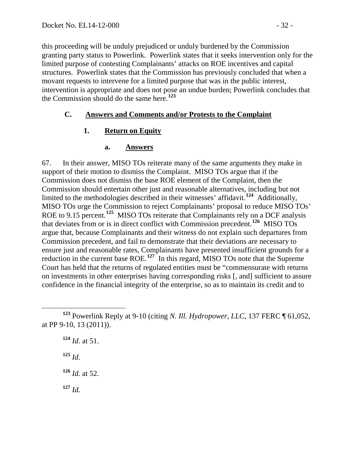this proceeding will be unduly prejudiced or unduly burdened by the Commission granting party status to Powerlink. Powerlink states that it seeks intervention only for the limited purpose of contesting Complainants' attacks on ROE incentives and capital structures. Powerlink states that the Commission has previously concluded that when a movant requests to intervene for a limited purpose that was in the public interest, intervention is appropriate and does not pose an undue burden; Powerlink concludes that the Commission should do the same here. **[123](#page-31-3)**

#### **C. Answers and Comments and/or Protests to the Complaint**

#### **1. Return on Equity**

#### <span id="page-31-2"></span><span id="page-31-1"></span><span id="page-31-0"></span>**a. Answers**

67. In their answer, MISO TOs reiterate many of the same arguments they make in support of their motion to dismiss the Complaint. MISO TOs argue that if the Commission does not dismiss the base ROE element of the Complaint, then the Commission should entertain other just and reasonable alternatives, including but not limited to the methodologies described in their witnesses' affidavit. **[124](#page-31-4)** Additionally, MISO TOs urge the Commission to reject Complainants' proposal to reduce MISO TOs' ROE to 9.15 percent.**[125](#page-31-5)** MISO TOs reiterate that Complainants rely on a DCF analysis that deviates from or is in direct conflict with Commission precedent. **[126](#page-31-6)** MISO TOs argue that, because Complainants and their witness do not explain such departures from Commission precedent, and fail to demonstrate that their deviations are necessary to ensure just and reasonable rates, Complainants have presented insufficient grounds for a reduction in the current base ROE.<sup>[127](#page-31-7)</sup> In this regard, MISO TOs note that the Supreme Court has held that the returns of regulated entities must be "commensurate with returns on investments in other enterprises having corresponding risks [, and] sufficient to assure confidence in the financial integrity of the enterprise, so as to maintain its credit and to

**<sup>124</sup>** *Id*. at 51. **<sup>125</sup>** *Id.* **<sup>126</sup>** *Id.* at 52.

<span id="page-31-7"></span><span id="page-31-6"></span>**<sup>127</sup>** *Id.*

<span id="page-31-5"></span><span id="page-31-4"></span><span id="page-31-3"></span>**<sup>123</sup>** Powerlink Reply at 9-10 (citing *N. Ill. Hydropower, LLC*, 137 FERC ¶ 61,052, at PP 9-10, 13 (2011)).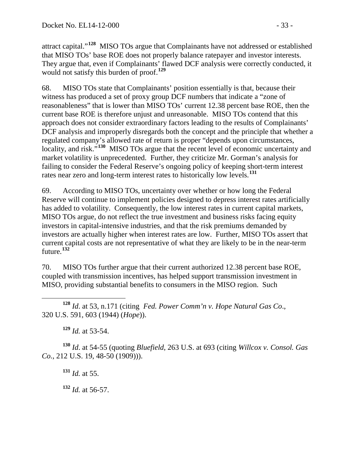attract capital."**[128](#page-32-0)** MISO TOs argue that Complainants have not addressed or established that MISO TOs' base ROE does not properly balance ratepayer and investor interests. They argue that, even if Complainants' flawed DCF analysis were correctly conducted, it would not satisfy this burden of proof.**[129](#page-32-1)**

68. MISO TOs state that Complainants' position essentially is that, because their witness has produced a set of proxy group DCF numbers that indicate a "zone of reasonableness" that is lower than MISO TOs' current 12.38 percent base ROE, then the current base ROE is therefore unjust and unreasonable. MISO TOs contend that this approach does not consider extraordinary factors leading to the results of Complainants' DCF analysis and improperly disregards both the concept and the principle that whether a regulated company's allowed rate of return is proper "depends upon circumstances, locality, and risk.<sup>5[130](#page-32-2)</sup> MISO TOs argue that the recent level of economic uncertainty and market volatility is unprecedented. Further, they criticize Mr. Gorman's analysis for failing to consider the Federal Reserve's ongoing policy of keeping short-term interest rates near zero and long-term interest rates to historically low levels.**[131](#page-32-3)**

69. According to MISO TOs, uncertainty over whether or how long the Federal Reserve will continue to implement policies designed to depress interest rates artificially has added to volatility. Consequently, the low interest rates in current capital markets, MISO TOs argue, do not reflect the true investment and business risks facing equity investors in capital-intensive industries, and that the risk premiums demanded by investors are actually higher when interest rates are low. Further, MISO TOs assert that current capital costs are not representative of what they are likely to be in the near-term future.**[132](#page-32-4)**

70. MISO TOs further argue that their current authorized 12.38 percent base ROE, coupled with transmission incentives, has helped support transmission investment in MISO, providing substantial benefits to consumers in the MISO region. Such

<span id="page-32-0"></span> **<sup>128</sup>** *Id*. at 53, n.171 (citing *Fed. Power Comm'n v. Hope Natural Gas Co*., 320 U.S. 591, 603 (1944) (*Hope*)).

**<sup>129</sup>** *Id.* at 53-54.

<span id="page-32-4"></span><span id="page-32-3"></span><span id="page-32-2"></span><span id="page-32-1"></span>**<sup>130</sup>** *Id*. at 54-55 (quoting *Bluefield*, 263 U.S. at 693 (citing *Willcox v. Consol. Gas Co.*, 212 U.S. 19, 48-50 (1909))).

**<sup>131</sup>** *Id.* at 55.

**<sup>132</sup>** *Id.* at 56-57.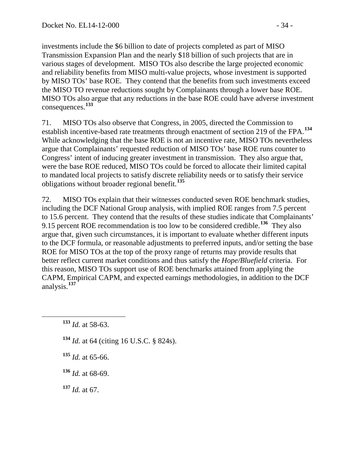investments include the \$6 billion to date of projects completed as part of MISO Transmission Expansion Plan and the nearly \$18 billion of such projects that are in various stages of development. MISO TOs also describe the large projected economic and reliability benefits from MISO multi-value projects, whose investment is supported by MISO TOs' base ROE. They contend that the benefits from such investments exceed the MISO TO revenue reductions sought by Complainants through a lower base ROE. MISO TOs also argue that any reductions in the base ROE could have adverse investment consequences.**[133](#page-33-0)**

71. MISO TOs also observe that Congress, in 2005, directed the Commission to establish incentive-based rate treatments through enactment of section 219 of the FPA.**[134](#page-33-1)** While acknowledging that the base ROE is not an incentive rate, MISO TOs nevertheless argue that Complainants' requested reduction of MISO TOs' base ROE runs counter to Congress' intent of inducing greater investment in transmission. They also argue that, were the base ROE reduced, MISO TOs could be forced to allocate their limited capital to mandated local projects to satisfy discrete reliability needs or to satisfy their service obligations without broader regional benefit. **[135](#page-33-2)**

72. MISO TOs explain that their witnesses conducted seven ROE benchmark studies, including the DCF National Group analysis, with implied ROE ranges from 7.5 percent to 15.6 percent. They contend that the results of these studies indicate that Complainants' 9.15 percent ROE recommendation is too low to be considered credible.**[136](#page-33-3)** They also argue that, given such circumstances, it is important to evaluate whether different inputs to the DCF formula, or reasonable adjustments to preferred inputs, and/or setting the base ROE for MISO TOs at the top of the proxy range of returns may provide results that better reflect current market conditions and thus satisfy the *Hope/Bluefield* criteria. For this reason, MISO TOs support use of ROE benchmarks attained from applying the CAPM, Empirical CAPM, and expected earnings methodologies, in addition to the DCF analysis.**[137](#page-33-4)**

- <span id="page-33-1"></span>**<sup>134</sup>** *Id.* at 64 (citing 16 U.S.C. § 824s).
- <span id="page-33-2"></span> $135$  *Id.* at 65-66.
- <span id="page-33-3"></span>**<sup>136</sup>** *Id.* at 68-69.

<span id="page-33-4"></span>**<sup>137</sup>** *Id.* at 67.

<span id="page-33-0"></span>**<sup>133</sup>** *Id.* at 58-63.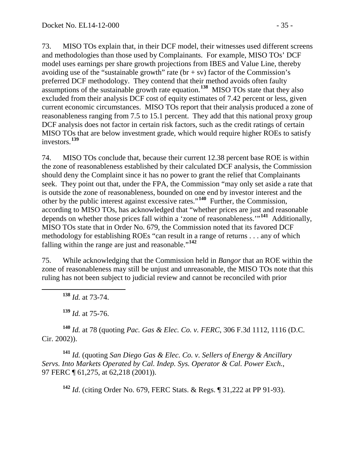73. MISO TOs explain that, in their DCF model, their witnesses used different screens and methodologies than those used by Complainants. For example, MISO TOs' DCF model uses earnings per share growth projections from IBES and Value Line, thereby avoiding use of the "sustainable growth" rate ( $br + sv$ ) factor of the Commission's preferred DCF methodology. They contend that their method avoids often faulty assumptions of the sustainable growth rate equation.**[138](#page-34-0)** MISO TOs state that they also excluded from their analysis DCF cost of equity estimates of 7.42 percent or less, given current economic circumstances. MISO TOs report that their analysis produced a zone of reasonableness ranging from 7.5 to 15.1 percent. They add that this national proxy group DCF analysis does not factor in certain risk factors, such as the credit ratings of certain MISO TOs that are below investment grade, which would require higher ROEs to satisfy investors.**[139](#page-34-1)**

74. MISO TOs conclude that, because their current 12.38 percent base ROE is within the zone of reasonableness established by their calculated DCF analysis, the Commission should deny the Complaint since it has no power to grant the relief that Complainants seek. They point out that, under the FPA, the Commission "may only set aside a rate that is outside the zone of reasonableness, bounded on one end by investor interest and the other by the public interest against excessive rates."**[140](#page-34-2)** Further, the Commission, according to MISO TOs, has acknowledged that "whether prices are just and reasonable depends on whether those prices fall within a 'zone of reasonableness.'"**[141](#page-34-3)** Additionally, MISO TOs state that in Order No. 679, the Commission noted that its favored DCF methodology for establishing ROEs "can result in a range of returns . . . any of which falling within the range are just and reasonable."**[142](#page-34-4)**

75. While acknowledging that the Commission held in *Bangor* that an ROE within the zone of reasonableness may still be unjust and unreasonable, the MISO TOs note that this ruling has not been subject to judicial review and cannot be reconciled with prior

**<sup>138</sup>** *Id.* at 73-74.

**<sup>139</sup>** *Id.* at 75-76.

<span id="page-34-2"></span><span id="page-34-1"></span><span id="page-34-0"></span>**<sup>140</sup>** *Id.* at 78 (quoting *Pac. Gas & Elec. Co. v. FERC*, 306 F.3d 1112, 1116 (D.C. Cir. 2002)).

<span id="page-34-4"></span><span id="page-34-3"></span>**<sup>141</sup>** *Id.* (quoting *San Diego Gas & Elec. Co. v. Sellers of Energy & Ancillary Servs. Into Markets Operated by Cal. Indep. Sys. Operator & Cal. Power Exch.*, 97 FERC  $\P$  61, 275, at 62, 218 (2001)).

**<sup>142</sup>** *Id*. (citing Order No. 679, FERC Stats. & Regs. ¶ 31,222 at PP 91-93).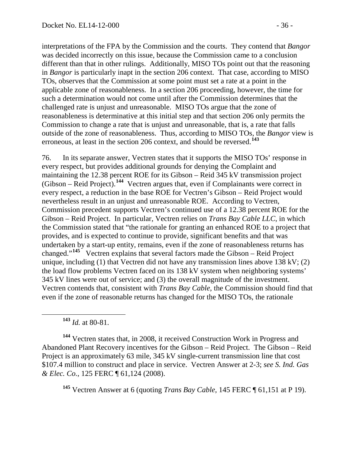interpretations of the FPA by the Commission and the courts. They contend that *Bangor* was decided incorrectly on this issue, because the Commission came to a conclusion different than that in other rulings. Additionally, MISO TOs point out that the reasoning in *Bangor* is particularly inapt in the section 206 context. That case, according to MISO TOs, observes that the Commission at some point must set a rate at a point in the applicable zone of reasonableness. In a section 206 proceeding, however, the time for such a determination would not come until after the Commission determines that the challenged rate is unjust and unreasonable. MISO TOs argue that the zone of reasonableness is determinative at this initial step and that section 206 only permits the Commission to change a rate that is unjust and unreasonable, that is, a rate that falls outside of the zone of reasonableness. Thus, according to MISO TOs, the *Bangor* view is erroneous, at least in the section 206 context, and should be reversed.**[143](#page-35-0)**

76. In its separate answer, Vectren states that it supports the MISO TOs' response in every respect, but provides additional grounds for denying the Complaint and maintaining the 12.38 percent ROE for its Gibson – Reid 345 kV transmission project (Gibson – Reid Project). **[144](#page-35-1)** Vectren argues that, even if Complainants were correct in every respect, a reduction in the base ROE for Vectren's Gibson – Reid Project would nevertheless result in an unjust and unreasonable ROE. According to Vectren, Commission precedent supports Vectren's continued use of a 12.38 percent ROE for the Gibson – Reid Project. In particular, Vectren relies on *Trans Bay Cable LLC*, in which the Commission stated that "the rationale for granting an enhanced ROE to a project that provides, and is expected to continue to provide, significant benefits and that was undertaken by a start-up entity, remains, even if the zone of reasonableness returns has changed."**[145](#page-35-2)** Vectren explains that several factors made the Gibson – Reid Project unique, including (1) that Vectren did not have any transmission lines above  $138 \text{ kV}$ ; (2) the load flow problems Vectren faced on its 138 kV system when neighboring systems' 345 kV lines were out of service; and (3) the overall magnitude of the investment. Vectren contends that, consistent with *Trans Bay Cable*, the Commission should find that even if the zone of reasonable returns has changed for the MISO TOs, the rationale

**<sup>143</sup>** *Id.* at 80-81.

<span id="page-35-1"></span><span id="page-35-0"></span>**<sup>144</sup>** Vectren states that, in 2008, it received Construction Work in Progress and Abandoned Plant Recovery incentives for the Gibson – Reid Project. The Gibson – Reid Project is an approximately 63 mile, 345 kV single-current transmission line that cost \$107.4 million to construct and place in service. Vectren Answer at 2-3; *see S. Ind. Gas & Elec. Co.*, 125 FERC ¶ 61,124 (2008).

<span id="page-35-2"></span>**<sup>145</sup>** Vectren Answer at 6 (quoting *Trans Bay Cable*, 145 FERC ¶ 61,151 at P 19).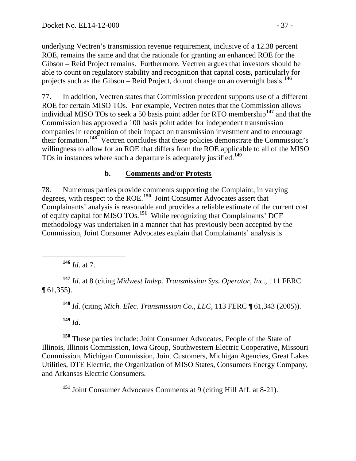underlying Vectren's transmission revenue requirement, inclusive of a 12.38 percent ROE, remains the same and that the rationale for granting an enhanced ROE for the Gibson – Reid Project remains. Furthermore, Vectren argues that investors should be able to count on regulatory stability and recognition that capital costs, particularly for projects such as the Gibson – Reid Project, do not change on an overnight basis.**[146](#page-36-0)**

77. In addition, Vectren states that Commission precedent supports use of a different ROE for certain MISO TOs. For example, Vectren notes that the Commission allows individual MISO TOs to seek a 50 basis point adder for RTO membership**[147](#page-36-1)** and that the Commission has approved a 100 basis point adder for independent transmission companies in recognition of their impact on transmission investment and to encourage their formation.**[148](#page-36-2)** Vectren concludes that these policies demonstrate the Commission's willingness to allow for an ROE that differs from the ROE applicable to all of the MISO TOs in instances where such a departure is adequately justified.**[149](#page-36-3)**

### **b. Comments and/or Protests**

78. Numerous parties provide comments supporting the Complaint, in varying degrees, with respect to the ROE.**[150](#page-36-4)** Joint Consumer Advocates assert that Complainants' analysis is reasonable and provides a reliable estimate of the current cost of equity capital for MISO TOs.**[151](#page-36-5)** While recognizing that Complainants' DCF methodology was undertaken in a manner that has previously been accepted by the Commission, Joint Consumer Advocates explain that Complainants' analysis is

**<sup>146</sup>** *Id*. at 7.

<span id="page-36-2"></span><span id="page-36-1"></span><span id="page-36-0"></span>**<sup>147</sup>** *Id*. at 8 (citing *Midwest Indep. Transmission Sys. Operator, Inc*., 111 FERC ¶ 61,355).

**<sup>148</sup>** *Id*. (citing *Mich. Elec. Transmission Co., LLC*, 113 FERC ¶ 61,343 (2005)).

**<sup>149</sup>** *Id*.

<span id="page-36-4"></span><span id="page-36-3"></span>**<sup>150</sup>** These parties include: Joint Consumer Advocates, People of the State of Illinois, Illinois Commission, Iowa Group, Southwestern Electric Cooperative, Missouri Commission, Michigan Commission, Joint Customers, Michigan Agencies, Great Lakes Utilities, DTE Electric, the Organization of MISO States, Consumers Energy Company, and Arkansas Electric Consumers.

<span id="page-36-5"></span>**<sup>151</sup>** Joint Consumer Advocates Comments at 9 (citing Hill Aff. at 8-21).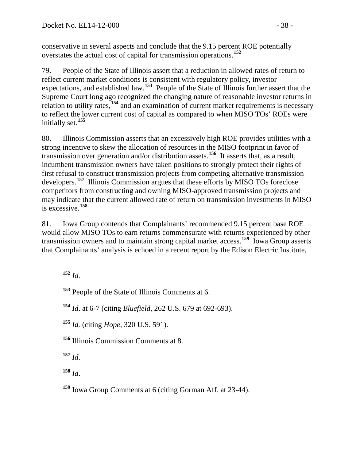conservative in several aspects and conclude that the 9.15 percent ROE potentially overstates the actual cost of capital for transmission operations.**[152](#page-37-0)**

79. People of the State of Illinois assert that a reduction in allowed rates of return to reflect current market conditions is consistent with regulatory policy, investor expectations, and established law.**[153](#page-37-1)** People of the State of Illinois further assert that the Supreme Court long ago recognized the changing nature of reasonable investor returns in relation to utility rates,**[154](#page-37-2)** and an examination of current market requirements is necessary to reflect the lower current cost of capital as compared to when MISO TOs' ROEs were initially set.**[155](#page-37-3)**

80. Illinois Commission asserts that an excessively high ROE provides utilities with a strong incentive to skew the allocation of resources in the MISO footprint in favor of transmission over generation and/or distribution assets.**[156](#page-37-4)** It asserts that, as a result, incumbent transmission owners have taken positions to strongly protect their rights of first refusal to construct transmission projects from competing alternative transmission developers.**[157](#page-37-5)** Illinois Commission argues that these efforts by MISO TOs foreclose competitors from constructing and owning MISO-approved transmission projects and may indicate that the current allowed rate of return on transmission investments in MISO is excessive. **[158](#page-37-6)**

81. Iowa Group contends that Complainants' recommended 9.15 percent base ROE would allow MISO TOs to earn returns commensurate with returns experienced by other transmission owners and to maintain strong capital market access.<sup>[159](#page-37-7)</sup> Iowa Group asserts that Complainants' analysis is echoed in a recent report by the Edison Electric Institute,

<span id="page-37-0"></span>**<sup>152</sup>** *Id*.

<span id="page-37-1"></span>**<sup>153</sup>** People of the State of Illinois Comments at 6.

<span id="page-37-2"></span>**<sup>154</sup>** *Id*. at 6-7 (citing *Bluefield,* 262 U.S. 679 at 692-693).

<span id="page-37-3"></span>**<sup>155</sup>** *Id.* (citing *Hope*, 320 U.S. 591).

<span id="page-37-4"></span>**<sup>156</sup>** Illinois Commission Comments at 8.

<span id="page-37-5"></span>**<sup>157</sup>** *Id*.

<span id="page-37-6"></span>**<sup>158</sup>** *Id*.

<span id="page-37-7"></span>**<sup>159</sup>** Iowa Group Comments at 6 (citing Gorman Aff. at 23-44).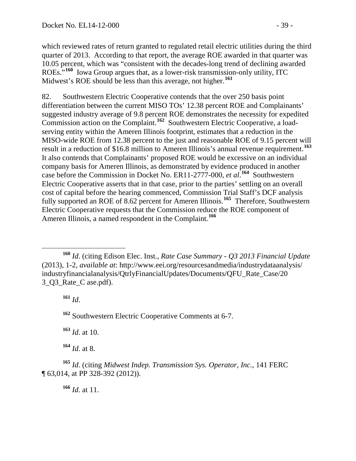which reviewed rates of return granted to regulated retail electric utilities during the third quarter of 2013. According to that report, the average ROE awarded in that quarter was 10.05 percent, which was "consistent with the decades-long trend of declining awarded ROEs."**[160](#page-38-0)** Iowa Group argues that, as a lower-risk transmission-only utility, ITC Midwest's ROE should be less than this average, not higher.**[161](#page-38-1)**

82. Southwestern Electric Cooperative contends that the over 250 basis point differentiation between the current MISO TOs' 12.38 percent ROE and Complainants' suggested industry average of 9.8 percent ROE demonstrates the necessity for expedited Commission action on the Complaint.**[162](#page-38-2)** Southwestern Electric Cooperative, a loadserving entity within the Ameren Illinois footprint, estimates that a reduction in the MISO-wide ROE from 12.38 percent to the just and reasonable ROE of 9.15 percent will result in a reduction of \$16.8 million to Ameren Illinois's annual revenue requirement.**[163](#page-38-3)** It also contends that Complainants' proposed ROE would be excessive on an individual company basis for Ameren Illinois, as demonstrated by evidence produced in another case before the Commission in Docket No. ER11-2777-000, *et al*. **[164](#page-38-4)** Southwestern Electric Cooperative asserts that in that case, prior to the parties' settling on an overall cost of capital before the hearing commenced, Commission Trial Staff's DCF analysis fully supported an ROE of 8.62 percent for Ameren Illinois.**[165](#page-38-5)** Therefore, Southwestern Electric Cooperative requests that the Commission reduce the ROE component of Ameren Illinois, a named respondent in the Complaint.<sup>[166](#page-38-6)</sup>

**<sup>161</sup>** *Id*.

<span id="page-38-2"></span>**<sup>162</sup>** Southwestern Electric Cooperative Comments at 6-7.

**<sup>163</sup>** *Id*. at 10.

**<sup>164</sup>** *Id*. at 8.

<span id="page-38-6"></span><span id="page-38-5"></span><span id="page-38-4"></span><span id="page-38-3"></span>**<sup>165</sup>** *Id*. (citing *Midwest Indep. Transmission Sys. Operator, Inc.*, 141 FERC ¶ 63,014, at PP 328-392 (2012)).

**<sup>166</sup>** *Id*. at 11.

<span id="page-38-1"></span><span id="page-38-0"></span>**<sup>160</sup>** *Id*. (citing Edison Elec. Inst., *Rate Case Summary - Q3 2013 Financial Update*  (2013), 1-2, *available at*: http://www.eei.org/resourcesandmedia/industrydataanalysis/ industryfinancialanalysis/QtrlyFinancialUpdates/Documents/QFU\_Rate\_Case/20 3 O3 Rate C ase.pdf).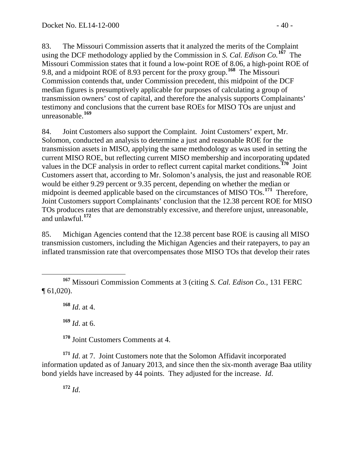83. The Missouri Commission asserts that it analyzed the merits of the Complaint using the DCF methodology applied by the Commission in *S. Cal. Edison Co.***[167](#page-39-0)** The Missouri Commission states that it found a low-point ROE of 8.06, a high-point ROE of 9.8, and a midpoint ROE of 8.93 percent for the proxy group.**[168](#page-39-1)** The Missouri Commission contends that, under Commission precedent, this midpoint of the DCF median figures is presumptively applicable for purposes of calculating a group of transmission owners' cost of capital, and therefore the analysis supports Complainants' testimony and conclusions that the current base ROEs for MISO TOs are unjust and unreasonable.**[169](#page-39-2)**

84. Joint Customers also support the Complaint. Joint Customers' expert, Mr. Solomon, conducted an analysis to determine a just and reasonable ROE for the transmission assets in MISO, applying the same methodology as was used in setting the current MISO ROE, but reflecting current MISO membership and incorporating updated values in the DCF analysis in order to reflect current capital market conditions.**[170](#page-39-3)** Joint Customers assert that, according to Mr. Solomon's analysis, the just and reasonable ROE would be either 9.29 percent or 9.35 percent, depending on whether the median or midpoint is deemed applicable based on the circumstances of MISO TOs. **[171](#page-39-4)** Therefore, Joint Customers support Complainants' conclusion that the 12.38 percent ROE for MISO TOs produces rates that are demonstrably excessive, and therefore unjust, unreasonable, and unlawful.**[172](#page-39-5)**

85. Michigan Agencies contend that the 12.38 percent base ROE is causing all MISO transmission customers, including the Michigan Agencies and their ratepayers, to pay an inflated transmission rate that overcompensates those MISO TOs that develop their rates

**<sup>168</sup>** *Id*. at 4.

**<sup>169</sup>** *Id*. at 6.

**<sup>170</sup>** Joint Customers Comments at 4.

<span id="page-39-5"></span><span id="page-39-4"></span><span id="page-39-3"></span><span id="page-39-2"></span>**<sup>171</sup>** *Id*. at 7. Joint Customers note that the Solomon Affidavit incorporated information updated as of January 2013, and since then the six-month average Baa utility bond yields have increased by 44 points. They adjusted for the increase. *Id*.

**<sup>172</sup>** *Id*.

<span id="page-39-1"></span><span id="page-39-0"></span>**<sup>167</sup>** Missouri Commission Comments at 3 (citing *S. Cal. Edison Co.*, 131 FERC ¶ 61,020).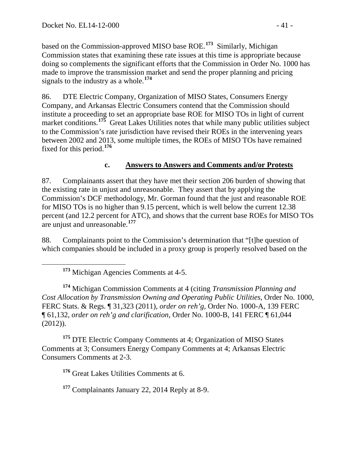based on the Commission-approved MISO base ROE.**[173](#page-40-0)** Similarly, Michigan Commission states that examining these rate issues at this time is appropriate because doing so complements the significant efforts that the Commission in Order No. 1000 has made to improve the transmission market and send the proper planning and pricing signals to the industry as a whole.**[174](#page-40-1)**

86. DTE Electric Company, Organization of MISO States, Consumers Energy Company, and Arkansas Electric Consumers contend that the Commission should institute a proceeding to set an appropriate base ROE for MISO TOs in light of current market conditions.<sup>[175](#page-40-2)</sup> Great Lakes Utilities notes that while many public utilities subject to the Commission's rate jurisdiction have revised their ROEs in the intervening years between 2002 and 2013, some multiple times, the ROEs of MISO TOs have remained fixed for this period.**[176](#page-40-3)**

### **c. Answers to Answers and Comments and/or Protests**

87. Complainants assert that they have met their section 206 burden of showing that the existing rate in unjust and unreasonable. They assert that by applying the Commission's DCF methodology, Mr. Gorman found that the just and reasonable ROE for MISO TOs is no higher than 9.15 percent, which is well below the current 12.38 percent (and 12.2 percent for ATC), and shows that the current base ROEs for MISO TOs are unjust and unreasonable.**[177](#page-40-4)**

88. Complainants point to the Commission's determination that "[t]he question of which companies should be included in a proxy group is properly resolved based on the

**<sup>173</sup>** Michigan Agencies Comments at 4-5.

<span id="page-40-1"></span><span id="page-40-0"></span>**<sup>174</sup>** Michigan Commission Comments at 4 (citing *Transmission Planning and Cost Allocation by Transmission Owning and Operating Public Utilities*, Order No. 1000, FERC Stats. & Regs. ¶ 31,323 (2011), *order on reh'g,* Order No. 1000-A, 139 FERC ¶ 61,132, *order on reh'g and clarification*, Order No. 1000-B, 141 FERC ¶ 61,044 (2012)).

<span id="page-40-3"></span><span id="page-40-2"></span>**<sup>175</sup>** DTE Electric Company Comments at 4; Organization of MISO States Comments at 3; Consumers Energy Company Comments at 4; Arkansas Electric Consumers Comments at 2-3.

**<sup>176</sup>** Great Lakes Utilities Comments at 6.

<span id="page-40-4"></span>**<sup>177</sup>** Complainants January 22, 2014 Reply at 8-9.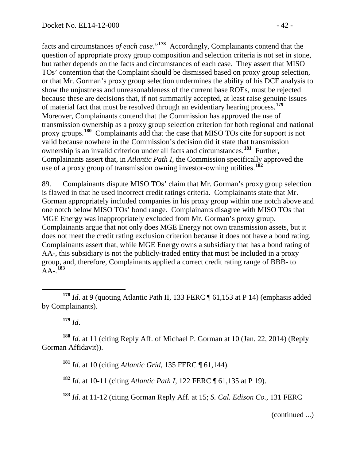facts and circumstances *of each case*."**[178](#page-41-0)** Accordingly, Complainants contend that the question of appropriate proxy group composition and selection criteria is not set in stone, but rather depends on the facts and circumstances of each case. They assert that MISO TOs' contention that the Complaint should be dismissed based on proxy group selection, or that Mr. Gorman's proxy group selection undermines the ability of his DCF analysis to show the unjustness and unreasonableness of the current base ROEs, must be rejected because these are decisions that, if not summarily accepted, at least raise genuine issues of material fact that must be resolved through an evidentiary hearing process.**[179](#page-41-1)** Moreover, Complainants contend that the Commission has approved the use of transmission ownership as a proxy group selection criterion for both regional and national proxy groups.**[180](#page-41-2)** Complainants add that the case that MISO TOs cite for support is not valid because nowhere in the Commission's decision did it state that transmission ownership is an invalid criterion under all facts and circumstances.**[181](#page-41-3)** Further, Complainants assert that, in *Atlantic Path I*, the Commission specifically approved the use of a proxy group of transmission owning investor-owning utilities.**[182](#page-41-4)**

89. Complainants dispute MISO TOs' claim that Mr. Gorman's proxy group selection is flawed in that he used incorrect credit ratings criteria. Complainants state that Mr. Gorman appropriately included companies in his proxy group within one notch above and one notch below MISO TOs' bond range. Complainants disagree with MISO TOs that MGE Energy was inappropriately excluded from Mr. Gorman's proxy group. Complainants argue that not only does MGE Energy not own transmission assets, but it does not meet the credit rating exclusion criterion because it does not have a bond rating. Complainants assert that, while MGE Energy owns a subsidiary that has a bond rating of AA-, this subsidiary is not the publicly-traded entity that must be included in a proxy group, and, therefore, Complainants applied a correct credit rating range of BBB- to AA-. **[183](#page-41-5)**

**<sup>179</sup>** *Id*.

<span id="page-41-4"></span><span id="page-41-3"></span><span id="page-41-2"></span><span id="page-41-1"></span>**<sup>180</sup>** *Id*. at 11 (citing Reply Aff. of Michael P. Gorman at 10 (Jan. 22, 2014) (Reply Gorman Affidavit)).

**<sup>181</sup>** *Id*. at 10 (citing *Atlantic Grid*, 135 FERC ¶ 61,144).

**<sup>182</sup>** *Id*. at 10-11 (citing *Atlantic Path I*, 122 FERC ¶ 61,135 at P 19).

<span id="page-41-5"></span>**<sup>183</sup>** *Id*. at 11-12 (citing Gorman Reply Aff. at 15; *S. Cal. Edison Co.*, 131 FERC

(continued ...)

<span id="page-41-0"></span>**<sup>178</sup>** *Id*. at 9 (quoting Atlantic Path II, 133 FERC ¶ 61,153 at P 14) (emphasis added by Complainants).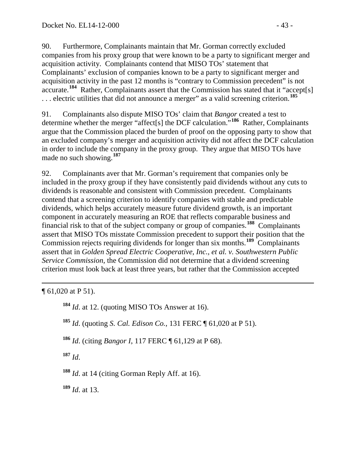90. Furthermore, Complainants maintain that Mr. Gorman correctly excluded companies from his proxy group that were known to be a party to significant merger and acquisition activity. Complainants contend that MISO TOs' statement that Complainants' exclusion of companies known to be a party to significant merger and acquisition activity in the past 12 months is "contrary to Commission precedent" is not accurate.**[184](#page-42-0)** Rather, Complainants assert that the Commission has stated that it "accept[s] . . . electric utilities that did not announce a merger" as a valid screening criterion.**[185](#page-42-1)**

91. Complainants also dispute MISO TOs' claim that *Bangor* created a test to determine whether the merger "affect[s] the DCF calculation."**[186](#page-42-2)** Rather, Complainants argue that the Commission placed the burden of proof on the opposing party to show that an excluded company's merger and acquisition activity did not affect the DCF calculation in order to include the company in the proxy group. They argue that MISO TOs have made no such showing.**[187](#page-42-3)**

92. Complainants aver that Mr. Gorman's requirement that companies only be included in the proxy group if they have consistently paid dividends without any cuts to dividends is reasonable and consistent with Commission precedent. Complainants contend that a screening criterion to identify companies with stable and predictable dividends, which helps accurately measure future dividend growth, is an important component in accurately measuring an ROE that reflects comparable business and financial risk to that of the subject company or group of companies.**[188](#page-42-4)** Complainants assert that MISO TOs misstate Commission precedent to support their position that the Commission rejects requiring dividends for longer than six months.**[189](#page-42-5)** Complainants assert that in *Golden Spread Electric Cooperative, Inc., et al. v. Southwestern Public Service Commission*, the Commission did not determine that a dividend screening criterion must look back at least three years, but rather that the Commission accepted

<span id="page-42-1"></span><span id="page-42-0"></span> $\overline{a}$ ¶ 61,020 at P 51).

**<sup>184</sup>** *Id*. at 12. (quoting MISO TOs Answer at 16).

**<sup>185</sup>** *Id*. (quoting *S. Cal. Edison Co.*, 131 FERC ¶ 61,020 at P 51).

<span id="page-42-2"></span>**<sup>186</sup>** *Id*. (citing *Bangor I*, 117 FERC ¶ 61,129 at P 68).

<span id="page-42-3"></span>**<sup>187</sup>** *Id*.

<span id="page-42-4"></span>**<sup>188</sup>** *Id*. at 14 (citing Gorman Reply Aff. at 16).

<span id="page-42-5"></span>**<sup>189</sup>** *Id*. at 13.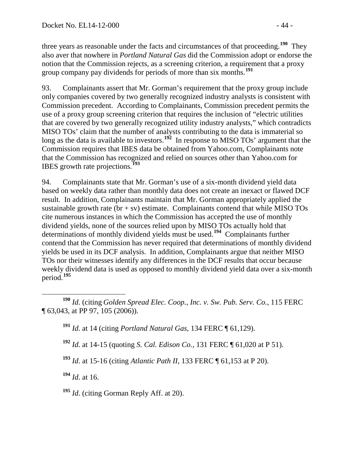three years as reasonable under the facts and circumstances of that proceeding.**[190](#page-43-0)** They also aver that nowhere in *Portland Natural Gas* did the Commission adopt or endorse the notion that the Commission rejects, as a screening criterion, a requirement that a proxy group company pay dividends for periods of more than six months.**[191](#page-43-1)**

93. Complainants assert that Mr. Gorman's requirement that the proxy group include only companies covered by two generally recognized industry analysts is consistent with Commission precedent. According to Complainants, Commission precedent permits the use of a proxy group screening criterion that requires the inclusion of "electric utilities that are covered by two generally recognized utility industry analysts," which contradicts MISO TOs' claim that the number of analysts contributing to the data is immaterial so long as the data is available to investors.<sup>[192](#page-43-2)</sup> In response to MISO TOs' argument that the Commission requires that IBES data be obtained from Yahoo.com, Complainants note that the Commission has recognized and relied on sources other than Yahoo.com for IBES growth rate projections.**[193](#page-43-3)**

94. Complainants state that Mr. Gorman's use of a six-month dividend yield data based on weekly data rather than monthly data does not create an inexact or flawed DCF result. In addition, Complainants maintain that Mr. Gorman appropriately applied the sustainable growth rate  $(br + sv)$  estimate. Complainants contend that while MISO TOs cite numerous instances in which the Commission has accepted the use of monthly dividend yields, none of the sources relied upon by MISO TOs actually hold that determinations of monthly dividend yields must be used.**[194](#page-43-4)** Complainants further contend that the Commission has never required that determinations of monthly dividend yields be used in its DCF analysis. In addition, Complainants argue that neither MISO TOs nor their witnesses identify any differences in the DCF results that occur because weekly dividend data is used as opposed to monthly dividend yield data over a six-month period.**[195](#page-43-5)**

**<sup>191</sup>** *Id*. at 14 (citing *Portland Natural Gas*, 134 FERC ¶ 61,129).

- **<sup>192</sup>** *Id*. at 14-15 (quoting *S. Cal. Edison Co.*, 131 FERC ¶ 61,020 at P 51).
- <span id="page-43-3"></span>**<sup>193</sup>** *Id*. at 15-16 (citing *Atlantic Path II*, 133 FERC ¶ 61,153 at P 20).

<span id="page-43-4"></span>**<sup>194</sup>** *Id*. at 16.

<span id="page-43-5"></span>**<sup>195</sup>** *Id*. (citing Gorman Reply Aff. at 20).

<span id="page-43-2"></span><span id="page-43-1"></span><span id="page-43-0"></span>**<sup>190</sup>** *Id*. (citing *Golden Spread Elec. Coop., Inc. v. Sw. Pub. Serv. Co.*, 115 FERC ¶ 63,043, at PP 97, 105 (2006)).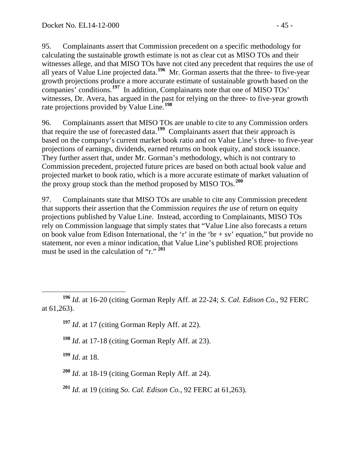95. Complainants assert that Commission precedent on a specific methodology for calculating the sustainable growth estimate is not as clear cut as MISO TOs and their witnesses allege, and that MISO TOs have not cited any precedent that requires the use of all years of Value Line projected data. **[196](#page-44-0)** Mr. Gorman asserts that the three- to five-year growth projections produce a more accurate estimate of sustainable growth based on the companies' conditions.**[197](#page-44-1)** In addition, Complainants note that one of MISO TOs' witnesses, Dr. Avera, has argued in the past for relying on the three- to five-year growth rate projections provided by Value Line.**[198](#page-44-2)**

96. Complainants assert that MISO TOs are unable to cite to any Commission orders that require the use of forecasted data.<sup>[199](#page-44-3)</sup> Complainants assert that their approach is based on the company's current market book ratio and on Value Line's three- to five-year projections of earnings, dividends, earned returns on book equity, and stock issuance. They further assert that, under Mr. Gorman's methodology, which is not contrary to Commission precedent, projected future prices are based on both actual book value and projected market to book ratio, which is a more accurate estimate of market valuation of the proxy group stock than the method proposed by MISO TOs. **[200](#page-44-4)**

97. Complainants state that MISO TOs are unable to cite any Commission precedent that supports their assertion that the Commission *requires the use* of return on equity projections published by Value Line. Instead, according to Complainants, MISO TOs rely on Commission language that simply states that "Value Line also forecasts a return on book value from Edison International, the 'r' in the 'br + sv' equation," but provide no statement, nor even a minor indication, that Value Line's published ROE projections must be used in the calculation of "r." **[201](#page-44-5)**

- **<sup>197</sup>** *Id*. at 17 (citing Gorman Reply Aff. at 22).
- **<sup>198</sup>** *Id*. at 17-18 (citing Gorman Reply Aff. at 23).
- <span id="page-44-3"></span>**<sup>199</sup>** *Id*. at 18.
- <span id="page-44-4"></span>**<sup>200</sup>** *Id*. at 18-19 (citing Gorman Reply Aff. at 24).
- <span id="page-44-5"></span>**<sup>201</sup>** *Id*. at 19 (citing *So. Cal. Edison Co.*, 92 FERC at 61,263).

<span id="page-44-2"></span><span id="page-44-1"></span><span id="page-44-0"></span>**<sup>196</sup>** *Id.* at 16-20 (citing Gorman Reply Aff. at 22-24; *S. Cal. Edison Co.*, 92 FERC at 61,263).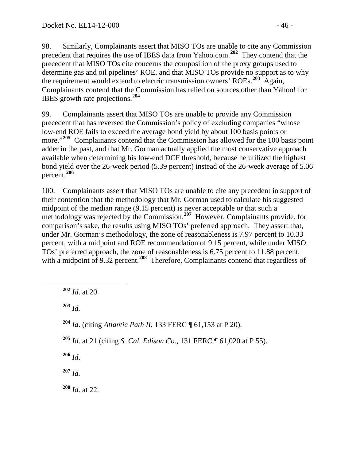98. Similarly, Complainants assert that MISO TOs are unable to cite any Commission precedent that requires the use of IBES data from Yahoo.com.**[202](#page-45-0)** They contend that the precedent that MISO TOs cite concerns the composition of the proxy groups used to determine gas and oil pipelines' ROE, and that MISO TOs provide no support as to why the requirement would extend to electric transmission owners' ROEs.**[203](#page-45-1)** Again, Complainants contend that the Commission has relied on sources other than Yahoo! for IBES growth rate projections.**[204](#page-45-2)**

99. Complainants assert that MISO TOs are unable to provide any Commission precedent that has reversed the Commission's policy of excluding companies "whose low-end ROE fails to exceed the average bond yield by about 100 basis points or more."<sup>[205](#page-45-3)</sup> Complainants contend that the Commission has allowed for the 100 basis point adder in the past, and that Mr. Gorman actually applied the most conservative approach available when determining his low-end DCF threshold, because he utilized the highest bond yield over the 26-week period (5.39 percent) instead of the 26-week average of 5.06 percent.**[206](#page-45-4)**

100. Complainants assert that MISO TOs are unable to cite any precedent in support of their contention that the methodology that Mr. Gorman used to calculate his suggested midpoint of the median range (9.15 percent) is never acceptable or that such a methodology was rejected by the Commission.**[207](#page-45-5)** However, Complainants provide, for comparison's sake, the results using MISO TOs' preferred approach. They assert that, under Mr. Gorman's methodology, the zone of reasonableness is 7.97 percent to 10.33 percent, with a midpoint and ROE recommendation of 9.15 percent, while under MISO TOs' preferred approach, the zone of reasonableness is 6.75 percent to 11.88 percent, with a midpoint of 9.32 percent.<sup>[208](#page-45-6)</sup> Therefore, Complainants contend that regardless of

<span id="page-45-0"></span>**<sup>202</sup>** *Id*. at 20.

<span id="page-45-1"></span>**<sup>203</sup>** *Id.*

- <span id="page-45-2"></span>**<sup>204</sup>** *Id*. (citing *Atlantic Path II*, 133 FERC ¶ 61,153 at P 20).
- <span id="page-45-3"></span>**<sup>205</sup>** *Id*. at 21 (citing *S. Cal. Edison Co.*, 131 FERC ¶ 61,020 at P 55).

<span id="page-45-4"></span>**<sup>206</sup>** *Id*.

<span id="page-45-5"></span>**<sup>207</sup>** *Id.*

<span id="page-45-6"></span>**<sup>208</sup>** *Id*. at 22.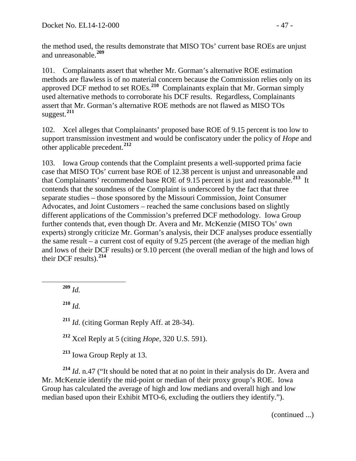the method used, the results demonstrate that MISO TOs' current base ROEs are unjust and unreasonable.**[209](#page-46-0)**

101. Complainants assert that whether Mr. Gorman's alternative ROE estimation methods are flawless is of no material concern because the Commission relies only on its approved DCF method to set ROEs.**[210](#page-46-1)** Complainants explain that Mr. Gorman simply used alternative methods to corroborate his DCF results. Regardless, Complainants assert that Mr. Gorman's alternative ROE methods are not flawed as MISO TOs suggest.**[211](#page-46-2)**

102. Xcel alleges that Complainants' proposed base ROE of 9.15 percent is too low to support transmission investment and would be confiscatory under the policy of *Hope* and other applicable precedent.**[212](#page-46-3)**

103. Iowa Group contends that the Complaint presents a well-supported prima facie case that MISO TOs' current base ROE of 12.38 percent is unjust and unreasonable and that Complainants' recommended base ROE of 9.15 percent is just and reasonable.**[213](#page-46-4)** It contends that the soundness of the Complaint is underscored by the fact that three separate studies – those sponsored by the Missouri Commission, Joint Consumer Advocates, and Joint Customers – reached the same conclusions based on slightly different applications of the Commission's preferred DCF methodology. Iowa Group further contends that, even though Dr. Avera and Mr. McKenzie (MISO TOs' own experts) strongly criticize Mr. Gorman's analysis, their DCF analyses produce essentially the same result – a current cost of equity of 9.25 percent (the average of the median high and lows of their DCF results) or 9.10 percent (the overall median of the high and lows of their DCF results).**[214](#page-46-5)**

<span id="page-46-0"></span>**<sup>209</sup>** *Id.*

<span id="page-46-1"></span>**<sup>210</sup>** *Id.*

<span id="page-46-2"></span>**<sup>211</sup>** *Id*. (citing Gorman Reply Aff. at 28-34).

**<sup>212</sup>** Xcel Reply at 5 (citing *Hope*, 320 U.S. 591).

**<sup>213</sup>** Iowa Group Reply at 13.

<span id="page-46-5"></span><span id="page-46-4"></span><span id="page-46-3"></span>**<sup>214</sup>** *Id*. n.47 ("It should be noted that at no point in their analysis do Dr. Avera and Mr. McKenzie identify the mid-point or median of their proxy group's ROE. Iowa Group has calculated the average of high and low medians and overall high and low median based upon their Exhibit MTO-6, excluding the outliers they identify.").

(continued ...)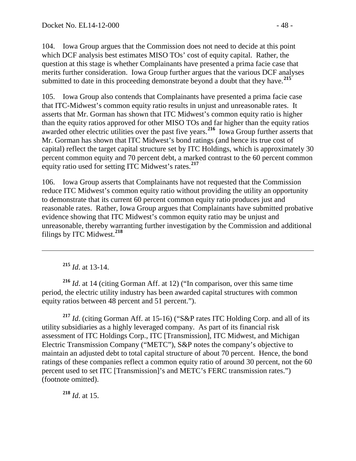104. Iowa Group argues that the Commission does not need to decide at this point which DCF analysis best estimates MISO TOs' cost of equity capital. Rather, the question at this stage is whether Complainants have presented a prima facie case that merits further consideration. Iowa Group further argues that the various DCF analyses submitted to date in this proceeding demonstrate beyond a doubt that they have.**[215](#page-47-0)**

105. Iowa Group also contends that Complainants have presented a prima facie case that ITC-Midwest's common equity ratio results in unjust and unreasonable rates. It asserts that Mr. Gorman has shown that ITC Midwest's common equity ratio is higher than the equity ratios approved for other MISO TOs and far higher than the equity ratios awarded other electric utilities over the past five years.**[216](#page-47-1)** Iowa Group further asserts that Mr. Gorman has shown that ITC Midwest's bond ratings (and hence its true cost of capital) reflect the target capital structure set by ITC Holdings, which is approximately 30 percent common equity and 70 percent debt, a marked contrast to the 60 percent common equity ratio used for setting ITC Midwest's rates.**[217](#page-47-2)**

106. Iowa Group asserts that Complainants have not requested that the Commission reduce ITC Midwest's common equity ratio without providing the utility an opportunity to demonstrate that its current 60 percent common equity ratio produces just and reasonable rates. Rather, Iowa Group argues that Complainants have submitted probative evidence showing that ITC Midwest's common equity ratio may be unjust and unreasonable, thereby warranting further investigation by the Commission and additional filings by ITC Midwest.**[218](#page-47-3)**

**<sup>215</sup>** *Id*. at 13-14.

 $\overline{a}$ 

<span id="page-47-1"></span><span id="page-47-0"></span>**<sup>216</sup>** *Id*. at 14 (citing Gorman Aff. at 12) ("In comparison, over this same time period, the electric utility industry has been awarded capital structures with common equity ratios between 48 percent and 51 percent.").

<span id="page-47-2"></span>**<sup>217</sup>** *Id*. (citing Gorman Aff. at 15-16) ("S&P rates ITC Holding Corp. and all of its utility subsidiaries as a highly leveraged company. As part of its financial risk assessment of ITC Holdings Corp., ITC [Transmission], ITC Midwest, and Michigan Electric Transmission Company ("METC"), S&P notes the company's objective to maintain an adjusted debt to total capital structure of about 70 percent. Hence, the bond ratings of these companies reflect a common equity ratio of around 30 percent, not the 60 percent used to set ITC [Transmission]'s and METC's FERC transmission rates.") (footnote omitted).

<span id="page-47-3"></span>**<sup>218</sup>** *Id*. at 15.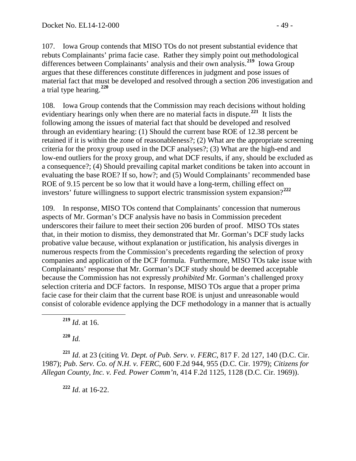107. Iowa Group contends that MISO TOs do not present substantial evidence that rebuts Complainants' prima facie case. Rather they simply point out methodological differences between Complainants' analysis and their own analysis.**[219](#page-48-0)** Iowa Group argues that these differences constitute differences in judgment and pose issues of material fact that must be developed and resolved through a section 206 investigation and a trial type hearing.**[220](#page-48-1)**

108. Iowa Group contends that the Commission may reach decisions without holding evidentiary hearings only when there are no material facts in dispute.**[221](#page-48-2)** It lists the following among the issues of material fact that should be developed and resolved through an evidentiary hearing: (1) Should the current base ROE of 12.38 percent be retained if it is within the zone of reasonableness?; (2) What are the appropriate screening criteria for the proxy group used in the DCF analyses?; (3) What are the high-end and low-end outliers for the proxy group, and what DCF results, if any, should be excluded as a consequence?; (4) Should prevailing capital market conditions be taken into account in evaluating the base ROE? If so, how?; and (5) Would Complainants' recommended base ROE of 9.15 percent be so low that it would have a long-term, chilling effect on investors' future willingness to support electric transmission system expansion?**[222](#page-48-3)**

109. In response, MISO TOs contend that Complainants' concession that numerous aspects of Mr. Gorman's DCF analysis have no basis in Commission precedent underscores their failure to meet their section 206 burden of proof. MISO TOs states that, in their motion to dismiss, they demonstrated that Mr. Gorman's DCF study lacks probative value because, without explanation or justification, his analysis diverges in numerous respects from the Commission's precedents regarding the selection of proxy companies and application of the DCF formula. Furthermore, MISO TOs take issue with Complainants' response that Mr. Gorman's DCF study should be deemed acceptable because the Commission has not expressly *prohibited* Mr. Gorman's challenged proxy selection criteria and DCF factors. In response, MISO TOs argue that a proper prima facie case for their claim that the current base ROE is unjust and unreasonable would consist of colorable evidence applying the DCF methodology in a manner that is actually

**<sup>219</sup>** *Id*. at 16.

**<sup>220</sup>** *Id.*

<span id="page-48-3"></span><span id="page-48-2"></span><span id="page-48-1"></span><span id="page-48-0"></span>**<sup>221</sup>** *Id*. at 23 (citing *Vt. Dept. of Pub. Serv. v. FERC*, 817 F. 2d 127, 140 (D.C. Cir. 1987); *Pub. Serv. Co. of N.H. v. FERC*, 600 F.2d 944, 955 (D.C. Cir. 1979); *Citizens for Allegan County, Inc. v. Fed. Power Comm'n*, 414 F.2d 1125, 1128 (D.C. Cir. 1969)).

**<sup>222</sup>** *Id*. at 16-22.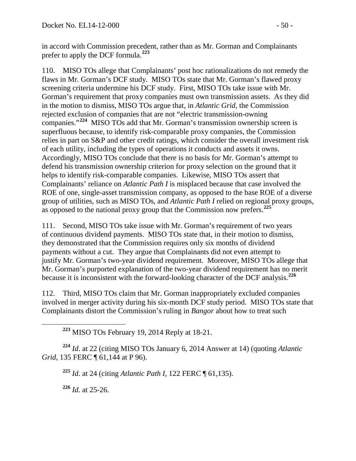in accord with Commission precedent, rather than as Mr. Gorman and Complainants prefer to apply the DCF formula.**[223](#page-49-0)**

110. MISO TOs allege that Complainants' post hoc rationalizations do not remedy the flaws in Mr. Gorman's DCF study. MISO TOs state that Mr. Gorman's flawed proxy screening criteria undermine his DCF study. First, MISO TOs take issue with Mr. Gorman's requirement that proxy companies must own transmission assets. As they did in the motion to dismiss, MISO TOs argue that, in *Atlantic Grid*, the Commission rejected exclusion of companies that are not "electric transmission-owning companies."**[224](#page-49-1)** MISO TOs add that Mr. Gorman's transmission ownership screen is superfluous because, to identify risk-comparable proxy companies, the Commission relies in part on S&P and other credit ratings, which consider the overall investment risk of each utility, including the types of operations it conducts and assets it owns. Accordingly, MISO TOs conclude that there is no basis for Mr. Gorman's attempt to defend his transmission ownership criterion for proxy selection on the ground that it helps to identify risk-comparable companies. Likewise, MISO TOs assert that Complainants' reliance on *Atlantic Path I* is misplaced because that case involved the ROE of one, single-asset transmission company, as opposed to the base ROE of a diverse group of utilities, such as MISO TOs, and *Atlantic Path I* relied on regional proxy groups, as opposed to the national proxy group that the Commission now prefers.**[225](#page-49-2)**

111. Second, MISO TOs take issue with Mr. Gorman's requirement of two years of continuous dividend payments. MISO TOs state that, in their motion to dismiss, they demonstrated that the Commission requires only six months of dividend payments without a cut. They argue that Complainants did not even attempt to justify Mr. Gorman's two-year dividend requirement. Moreover, MISO TOs allege that Mr. Gorman's purported explanation of the two-year dividend requirement has no merit because it is inconsistent with the forward-looking character of the DCF analysis.**[226](#page-49-3)**

112. Third, MISO TOs claim that Mr. Gorman inappropriately excluded companies involved in merger activity during his six-month DCF study period. MISO TOs state that Complainants distort the Commission's ruling in *Bangor* about how to treat such

**<sup>223</sup>** MISO TOs February 19, 2014 Reply at 18-21.

<span id="page-49-3"></span><span id="page-49-2"></span><span id="page-49-1"></span><span id="page-49-0"></span>**<sup>224</sup>** *Id*. at 22 (citing MISO TOs January 6, 2014 Answer at 14) (quoting *Atlantic Grid*, 135 FERC ¶ 61,144 at P 96).

**<sup>225</sup>** *Id*. at 24 (citing *Atlantic Path I,* 122 FERC ¶ 61,135).

**<sup>226</sup>** *Id*. at 25-26.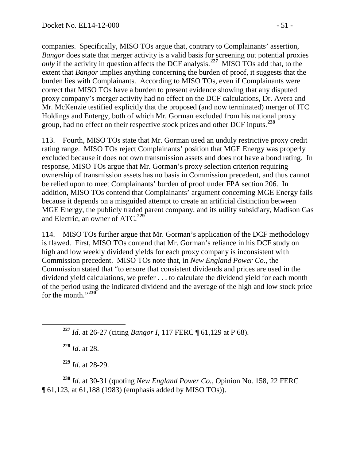companies. Specifically, MISO TOs argue that, contrary to Complainants' assertion, *Bangor* does state that merger activity is a valid basis for screening out potential proxies *only* if the activity in question affects the DCF analysis.<sup>[227](#page-50-0)</sup> MISO TOs add that, to the extent that *Bangor* implies anything concerning the burden of proof, it suggests that the burden lies with Complainants. According to MISO TOs, even if Complainants were correct that MISO TOs have a burden to present evidence showing that any disputed proxy company's merger activity had no effect on the DCF calculations, Dr. Avera and Mr. McKenzie testified explicitly that the proposed (and now terminated) merger of ITC Holdings and Entergy, both of which Mr. Gorman excluded from his national proxy group, had no effect on their respective stock prices and other DCF inputs.**[228](#page-50-1)**

113. Fourth, MISO TOs state that Mr. Gorman used an unduly restrictive proxy credit rating range. MISO TOs reject Complainants' position that MGE Energy was properly excluded because it does not own transmission assets and does not have a bond rating. In response, MISO TOs argue that Mr. Gorman's proxy selection criterion requiring ownership of transmission assets has no basis in Commission precedent, and thus cannot be relied upon to meet Complainants' burden of proof under FPA section 206. In addition, MISO TOs contend that Complainants' argument concerning MGE Energy fails because it depends on a misguided attempt to create an artificial distinction between MGE Energy, the publicly traded parent company, and its utility subsidiary, Madison Gas and Electric, an owner of ATC.**[229](#page-50-2)**

114. MISO TOs further argue that Mr. Gorman's application of the DCF methodology is flawed. First, MISO TOs contend that Mr. Gorman's reliance in his DCF study on high and low weekly dividend yields for each proxy company is inconsistent with Commission precedent. MISO TOs note that, in *New England Power Co*., the Commission stated that "to ensure that consistent dividends and prices are used in the dividend yield calculations, we prefer . . . to calculate the dividend yield for each month of the period using the indicated dividend and the average of the high and low stock price for the month."**[230](#page-50-3)**

<span id="page-50-0"></span>**<sup>227</sup>** *Id*. at 26-27 (citing *Bangor I*, 117 FERC ¶ 61,129 at P 68).

**<sup>228</sup>** *Id*. at 28.

**<sup>229</sup>** *Id*. at 28-29.

<span id="page-50-3"></span><span id="page-50-2"></span><span id="page-50-1"></span>**<sup>230</sup>** *Id*. at 30-31 (quoting *New England Power Co.*, Opinion No. 158, 22 FERC ¶ 61,123, at 61,188 (1983) (emphasis added by MISO TOs)).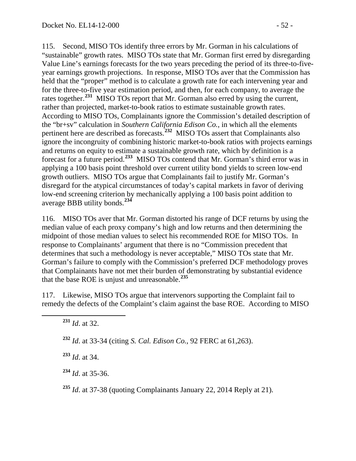115. Second, MISO TOs identify three errors by Mr. Gorman in his calculations of "sustainable" growth rates. MISO TOs state that Mr. Gorman first erred by disregarding Value Line's earnings forecasts for the two years preceding the period of its three-to-fiveyear earnings growth projections. In response, MISO TOs aver that the Commission has held that the "proper" method is to calculate a growth rate for each intervening year and for the three-to-five year estimation period, and then, for each company, to average the rates together.**[231](#page-51-0)** MISO TOs report that Mr. Gorman also erred by using the current, rather than projected, market-to-book ratios to estimate sustainable growth rates. According to MISO TOs, Complainants ignore the Commission's detailed description of the "br+sv" calculation in *Southern California Edison Co.*, in which all the elements pertinent here are described as forecasts.**[232](#page-51-1)** MISO TOs assert that Complainants also ignore the incongruity of combining historic market-to-book ratios with projects earnings and returns on equity to estimate a sustainable growth rate, which by definition is a forecast for a future period.**[233](#page-51-2)** MISO TOs contend that Mr. Gorman's third error was in applying a 100 basis point threshold over current utility bond yields to screen low-end growth outliers. MISO TOs argue that Complainants fail to justify Mr. Gorman's disregard for the atypical circumstances of today's capital markets in favor of deriving low-end screening criterion by mechanically applying a 100 basis point addition to average BBB utility bonds.**[234](#page-51-3)**

116. MISO TOs aver that Mr. Gorman distorted his range of DCF returns by using the median value of each proxy company's high and low returns and then determining the midpoint of those median values to select his recommended ROE for MISO TOs. In response to Complainants' argument that there is no "Commission precedent that determines that such a methodology is never acceptable," MISO TOs state that Mr. Gorman's failure to comply with the Commission's preferred DCF methodology proves that Complainants have not met their burden of demonstrating by substantial evidence that the base ROE is unjust and unreasonable.**[235](#page-51-4)**

<span id="page-51-1"></span><span id="page-51-0"></span>117. Likewise, MISO TOs argue that intervenors supporting the Complaint fail to remedy the defects of the Complaint's claim against the base ROE. According to MISO

**<sup>232</sup>** *Id*. at 33-34 (citing *S. Cal. Edison Co.*, 92 FERC at 61,263).

<span id="page-51-2"></span>**<sup>233</sup>** *Id*. at 34.

<span id="page-51-3"></span>**<sup>234</sup>** *Id*. at 35-36.

<span id="page-51-4"></span>**<sup>235</sup>** *Id*. at 37-38 (quoting Complainants January 22, 2014 Reply at 21).

**<sup>231</sup>** *Id*. at 32.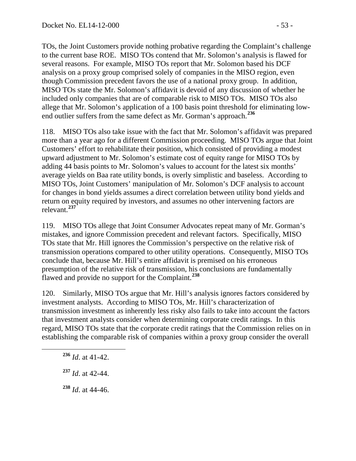TOs, the Joint Customers provide nothing probative regarding the Complaint's challenge to the current base ROE. MISO TOs contend that Mr. Solomon's analysis is flawed for several reasons. For example, MISO TOs report that Mr. Solomon based his DCF analysis on a proxy group comprised solely of companies in the MISO region, even though Commission precedent favors the use of a national proxy group. In addition, MISO TOs state the Mr. Solomon's affidavit is devoid of any discussion of whether he included only companies that are of comparable risk to MISO TOs. MISO TOs also allege that Mr. Solomon's application of a 100 basis point threshold for eliminating lowend outlier suffers from the same defect as Mr. Gorman's approach.**[236](#page-52-0)**

118. MISO TOs also take issue with the fact that Mr. Solomon's affidavit was prepared more than a year ago for a different Commission proceeding. MISO TOs argue that Joint Customers' effort to rehabilitate their position, which consisted of providing a modest upward adjustment to Mr. Solomon's estimate cost of equity range for MISO TOs by adding 44 basis points to Mr. Solomon's values to account for the latest six months' average yields on Baa rate utility bonds, is overly simplistic and baseless. According to MISO TOs, Joint Customers' manipulation of Mr. Solomon's DCF analysis to account for changes in bond yields assumes a direct correlation between utility bond yields and return on equity required by investors, and assumes no other intervening factors are relevant.**[237](#page-52-1)**

119. MISO TOs allege that Joint Consumer Advocates repeat many of Mr. Gorman's mistakes, and ignore Commission precedent and relevant factors. Specifically, MISO TOs state that Mr. Hill ignores the Commission's perspective on the relative risk of transmission operations compared to other utility operations. Consequently, MISO TOs conclude that, because Mr. Hill's entire affidavit is premised on his erroneous presumption of the relative risk of transmission, his conclusions are fundamentally flawed and provide no support for the Complaint.**[238](#page-52-2)**

120. Similarly, MISO TOs argue that Mr. Hill's analysis ignores factors considered by investment analysts. According to MISO TOs, Mr. Hill's characterization of transmission investment as inherently less risky also fails to take into account the factors that investment analysts consider when determining corporate credit ratings. In this regard, MISO TOs state that the corporate credit ratings that the Commission relies on in establishing the comparable risk of companies within a proxy group consider the overall

- <span id="page-52-0"></span>**<sup>236</sup>** *Id*. at 41-42.
- <span id="page-52-1"></span>**<sup>237</sup>** *Id*. at 42-44.
- <span id="page-52-2"></span>**<sup>238</sup>** *Id*. at 44-46.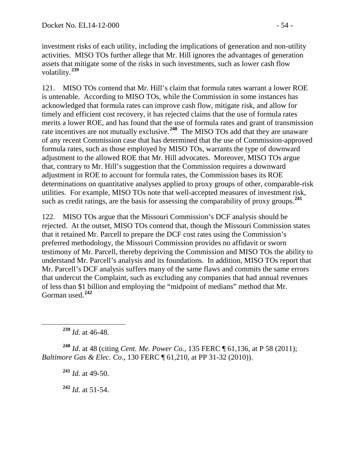investment risks of each utility, including the implications of generation and non-utility activities. MISO TOs further allege that Mr. Hill ignores the advantages of generation assets that mitigate some of the risks in such investments, such as lower cash flow volatility.**[239](#page-53-0)**

121. MISO TOs contend that Mr. Hill's claim that formula rates warrant a lower ROE is untenable. According to MISO TOs, while the Commission in some instances has acknowledged that formula rates can improve cash flow, mitigate risk, and allow for timely and efficient cost recovery, it has rejected claims that the use of formula rates merits a lower ROE, and has found that the use of formula rates and grant of transmission rate incentives are not mutually exclusive.**[240](#page-53-1)** The MISO TOs add that they are unaware of any recent Commission case that has determined that the use of Commission-approved formula rates, such as those employed by MISO TOs, warrants the type of downward adjustment to the allowed ROE that Mr. Hill advocates. Moreover, MISO TOs argue that, contrary to Mr. Hill's suggestion that the Commission requires a downward adjustment in ROE to account for formula rates, the Commission bases its ROE determinations on quantitative analyses applied to proxy groups of other, comparable-risk utilities. For example, MISO TOs note that well-accepted measures of investment risk, such as credit ratings, are the basis for assessing the comparability of proxy groups.**[241](#page-53-2)**

122. MISO TOs argue that the Missouri Commission's DCF analysis should be rejected. At the outset, MISO TOs contend that, though the Missouri Commission states that it retained Mr. Parcell to prepare the DCF cost rates using the Commission's preferred methodology, the Missouri Commission provides no affidavit or sworn testimony of Mr. Parcell, thereby depriving the Commission and MISO TOs the ability to understand Mr. Parcell's analysis and its foundations. In addition, MISO TOs report that Mr. Parcell's DCF analysis suffers many of the same flaws and commits the same errors that undercut the Complaint, such as excluding any companies that had annual revenues of less than \$1 billion and employing the "midpoint of medians" method that Mr. Gorman used.**[242](#page-53-3)**

**<sup>239</sup>** *Id*. at 46-48.

<span id="page-53-3"></span><span id="page-53-2"></span><span id="page-53-1"></span><span id="page-53-0"></span>**<sup>240</sup>** *Id*. at 48 (citing *Cent. Me. Power Co.*, 135 FERC ¶ 61,136, at P 58 (2011); *Baltimore Gas & Elec. Co*., 130 FERC ¶ 61,210, at PP 31-32 (2010)).

**<sup>241</sup>** *Id.* at 49-50.

**<sup>242</sup>** *Id*. at 51-54.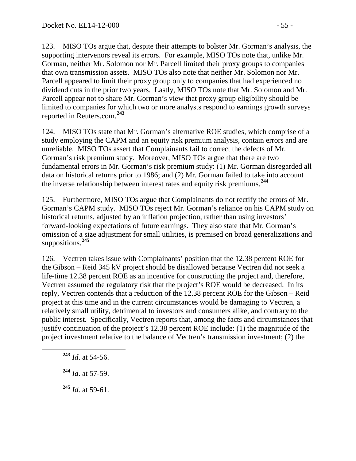123. MISO TOs argue that, despite their attempts to bolster Mr. Gorman's analysis, the supporting intervenors reveal its errors. For example, MISO TOs note that, unlike Mr. Gorman, neither Mr. Solomon nor Mr. Parcell limited their proxy groups to companies that own transmission assets. MISO TOs also note that neither Mr. Solomon nor Mr. Parcell appeared to limit their proxy group only to companies that had experienced no dividend cuts in the prior two years. Lastly, MISO TOs note that Mr. Solomon and Mr. Parcell appear not to share Mr. Gorman's view that proxy group eligibility should be limited to companies for which two or more analysts respond to earnings growth surveys reported in Reuters.com.**[243](#page-54-0)**

124. MISO TOs state that Mr. Gorman's alternative ROE studies, which comprise of a study employing the CAPM and an equity risk premium analysis, contain errors and are unreliable. MISO TOs assert that Complainants fail to correct the defects of Mr. Gorman's risk premium study. Moreover, MISO TOs argue that there are two fundamental errors in Mr. Gorman's risk premium study: (1) Mr. Gorman disregarded all data on historical returns prior to 1986; and (2) Mr. Gorman failed to take into account the inverse relationship between interest rates and equity risk premiums.**[244](#page-54-1)**

125. Furthermore, MISO TOs argue that Complainants do not rectify the errors of Mr. Gorman's CAPM study. MISO TOs reject Mr. Gorman's reliance on his CAPM study on historical returns, adjusted by an inflation projection, rather than using investors' forward-looking expectations of future earnings. They also state that Mr. Gorman's omission of a size adjustment for small utilities, is premised on broad generalizations and suppositions.**[245](#page-54-2)**

126. Vectren takes issue with Complainants' position that the 12.38 percent ROE for the Gibson – Reid 345 kV project should be disallowed because Vectren did not seek a life-time 12.38 percent ROE as an incentive for constructing the project and, therefore, Vectren assumed the regulatory risk that the project's ROE would be decreased. In its reply, Vectren contends that a reduction of the 12.38 percent ROE for the Gibson – Reid project at this time and in the current circumstances would be damaging to Vectren, a relatively small utility, detrimental to investors and consumers alike, and contrary to the public interest. Specifically, Vectren reports that, among the facts and circumstances that justify continuation of the project's 12.38 percent ROE include: (1) the magnitude of the project investment relative to the balance of Vectren's transmission investment; (2) the

<span id="page-54-2"></span>**<sup>245</sup>** *Id*. at 59-61.

<span id="page-54-0"></span>**<sup>243</sup>** *Id*. at 54-56.

<span id="page-54-1"></span>**<sup>244</sup>** *Id*. at 57-59.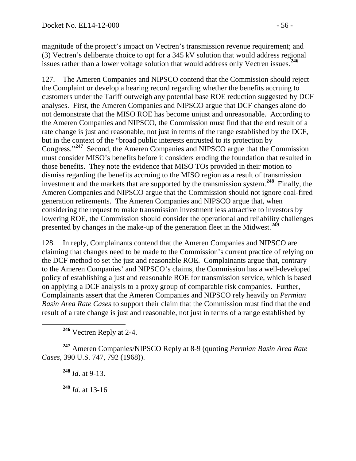magnitude of the project's impact on Vectren's transmission revenue requirement; and (3) Vectren's deliberate choice to opt for a 345 kV solution that would address regional issues rather than a lower voltage solution that would address only Vectren issues.**[246](#page-55-0)**

127. The Ameren Companies and NIPSCO contend that the Commission should reject the Complaint or develop a hearing record regarding whether the benefits accruing to customers under the Tariff outweigh any potential base ROE reduction suggested by DCF analyses. First, the Ameren Companies and NIPSCO argue that DCF changes alone do not demonstrate that the MISO ROE has become unjust and unreasonable. According to the Ameren Companies and NIPSCO, the Commission must find that the end result of a rate change is just and reasonable, not just in terms of the range established by the DCF, but in the context of the "broad public interests entrusted to its protection by Congress."**[247](#page-55-1)** Second, the Ameren Companies and NIPSCO argue that the Commission must consider MISO's benefits before it considers eroding the foundation that resulted in those benefits. They note the evidence that MISO TOs provided in their motion to dismiss regarding the benefits accruing to the MISO region as a result of transmission investment and the markets that are supported by the transmission system.**[248](#page-55-2)** Finally, the Ameren Companies and NIPSCO argue that the Commission should not ignore coal-fired generation retirements. The Ameren Companies and NIPSCO argue that, when considering the request to make transmission investment less attractive to investors by lowering ROE, the Commission should consider the operational and reliability challenges presented by changes in the make-up of the generation fleet in the Midwest.**[249](#page-55-3)**

128. In reply, Complainants contend that the Ameren Companies and NIPSCO are claiming that changes need to be made to the Commission's current practice of relying on the DCF method to set the just and reasonable ROE. Complainants argue that, contrary to the Ameren Companies' and NIPSCO's claims, the Commission has a well-developed policy of establishing a just and reasonable ROE for transmission service, which is based on applying a DCF analysis to a proxy group of comparable risk companies. Further, Complainants assert that the Ameren Companies and NIPSCO rely heavily on *Permian Basin Area Rate Cases* to support their claim that the Commission must find that the end result of a rate change is just and reasonable, not just in terms of a range established by

**<sup>246</sup>** Vectren Reply at 2-4.

<span id="page-55-3"></span><span id="page-55-2"></span><span id="page-55-1"></span><span id="page-55-0"></span>**<sup>247</sup>** Ameren Companies/NIPSCO Reply at 8-9 (quoting *Permian Basin Area Rate Cases*, 390 U.S. 747, 792 (1968)).

**<sup>248</sup>** *Id*. at 9-13.

**<sup>249</sup>** *Id*. at 13-16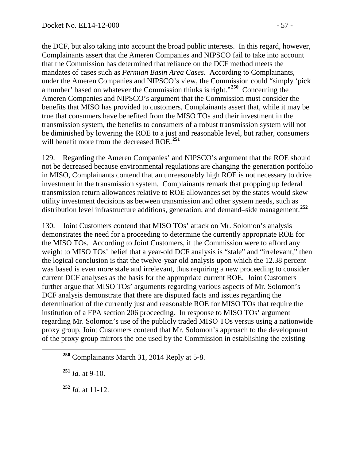the DCF, but also taking into account the broad public interests. In this regard, however, Complainants assert that the Ameren Companies and NIPSCO fail to take into account that the Commission has determined that reliance on the DCF method meets the mandates of cases such as *Permian Basin Area Cases*. According to Complainants, under the Ameren Companies and NIPSCO's view, the Commission could "simply 'pick a number' based on whatever the Commission thinks is right."**[250](#page-56-0)** Concerning the Ameren Companies and NIPSCO's argument that the Commission must consider the benefits that MISO has provided to customers, Complainants assert that, while it may be true that consumers have benefited from the MISO TOs and their investment in the transmission system, the benefits to consumers of a robust transmission system will not be diminished by lowering the ROE to a just and reasonable level, but rather, consumers will benefit more from the decreased ROE.**[251](#page-56-1)**

129. Regarding the Ameren Companies' and NIPSCO's argument that the ROE should not be decreased because environmental regulations are changing the generation portfolio in MISO, Complainants contend that an unreasonably high ROE is not necessary to drive investment in the transmission system. Complainants remark that propping up federal transmission return allowances relative to ROE allowances set by the states would skew utility investment decisions as between transmission and other system needs, such as distribution level infrastructure additions, generation, and demand–side management.**[252](#page-56-2)**

130. Joint Customers contend that MISO TOs' attack on Mr. Solomon's analysis demonstrates the need for a proceeding to determine the currently appropriate ROE for the MISO TOs. According to Joint Customers, if the Commission were to afford any weight to MISO TOs' belief that a year-old DCF analysis is "stale" and "irrelevant," then the logical conclusion is that the twelve-year old analysis upon which the 12.38 percent was based is even more stale and irrelevant, thus requiring a new proceeding to consider current DCF analyses as the basis for the appropriate current ROE. Joint Customers further argue that MISO TOs' arguments regarding various aspects of Mr. Solomon's DCF analysis demonstrate that there are disputed facts and issues regarding the determination of the currently just and reasonable ROE for MISO TOs that require the institution of a FPA section 206 proceeding. In response to MISO TOs' argument regarding Mr. Solomon's use of the publicly traded MISO TOs versus using a nationwide proxy group, Joint Customers contend that Mr. Solomon's approach to the development of the proxy group mirrors the one used by the Commission in establishing the existing

<span id="page-56-1"></span>**<sup>251</sup>** *Id.* at 9-10.

<span id="page-56-2"></span>**<sup>252</sup>** *Id.* at 11-12.

<span id="page-56-0"></span>**<sup>250</sup>** Complainants March 31, 2014 Reply at 5-8.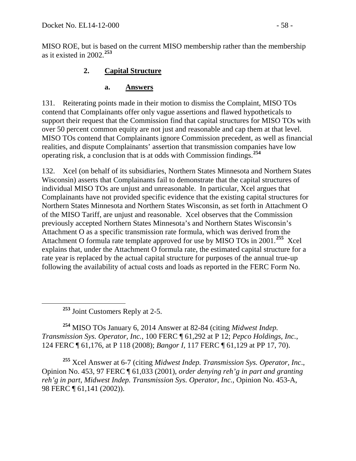MISO ROE, but is based on the current MISO membership rather than the membership as it existed in 2002.**[253](#page-57-0)**

# **2. Capital Structure**

#### **a. Answers**

131. Reiterating points made in their motion to dismiss the Complaint, MISO TOs contend that Complainants offer only vague assertions and flawed hypotheticals to support their request that the Commission find that capital structures for MISO TOs with over 50 percent common equity are not just and reasonable and cap them at that level. MISO TOs contend that Complainants ignore Commission precedent, as well as financial realities, and dispute Complainants' assertion that transmission companies have low operating risk, a conclusion that is at odds with Commission findings.**[254](#page-57-1)**

132. Xcel (on behalf of its subsidiaries, Northern States Minnesota and Northern States Wisconsin) asserts that Complainants fail to demonstrate that the capital structures of individual MISO TOs are unjust and unreasonable. In particular, Xcel argues that Complainants have not provided specific evidence that the existing capital structures for Northern States Minnesota and Northern States Wisconsin, as set forth in Attachment O of the MISO Tariff, are unjust and reasonable. Xcel observes that the Commission previously accepted Northern States Minnesota's and Northern States Wisconsin's Attachment O as a specific transmission rate formula, which was derived from the Attachment O formula rate template approved for use by MISO TOs in 2001.**[255](#page-57-2)** Xcel explains that, under the Attachment O formula rate, the estimated capital structure for a rate year is replaced by the actual capital structure for purposes of the annual true-up following the availability of actual costs and loads as reported in the FERC Form No.

**<sup>253</sup>** Joint Customers Reply at 2-5.

<span id="page-57-1"></span><span id="page-57-0"></span>**<sup>254</sup>** MISO TOs January 6, 2014 Answer at 82-84 (citing *Midwest Indep. Transmission Sys. Operator, Inc.*, 100 FERC ¶ 61,292 at P 12; *Pepco Holdings, Inc.*, 124 FERC ¶ 61,176, at P 118 (2008); *Bangor I*, 117 FERC ¶ 61,129 at PP 17, 70).

<span id="page-57-2"></span>**<sup>255</sup>** Xcel Answer at 6-7 (citing *Midwest Indep. Transmission Sys. Operator, Inc*., Opinion No. 453, 97 FERC ¶ 61,033 (2001), *order denying reh'g in part and granting reh'g in part*, *Midwest Indep. Transmission Sys. Operator, Inc.,* Opinion No. 453-A, 98 FERC ¶ 61,141 (2002)).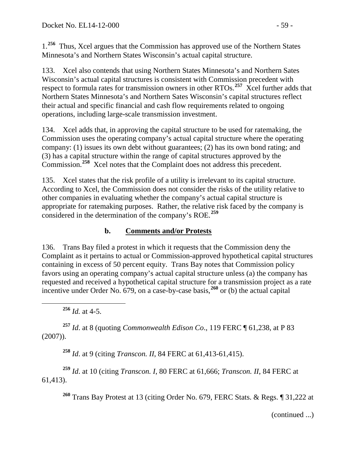1.**[256](#page-58-0)** Thus, Xcel argues that the Commission has approved use of the Northern States Minnesota's and Northern States Wisconsin's actual capital structure.

133. Xcel also contends that using Northern States Minnesota's and Northern Sates Wisconsin's actual capital structures is consistent with Commission precedent with respect to formula rates for transmission owners in other RTOs.<sup>[257](#page-58-1)</sup> Xcel further adds that Northern States Minnesota's and Northern Sates Wisconsin's capital structures reflect their actual and specific financial and cash flow requirements related to ongoing operations, including large-scale transmission investment.

134. Xcel adds that, in approving the capital structure to be used for ratemaking, the Commission uses the operating company's actual capital structure where the operating company: (1) issues its own debt without guarantees; (2) has its own bond rating; and (3) has a capital structure within the range of capital structures approved by the Commission.**[258](#page-58-2)** Xcel notes that the Complaint does not address this precedent.

135. Xcel states that the risk profile of a utility is irrelevant to its capital structure. According to Xcel, the Commission does not consider the risks of the utility relative to other companies in evaluating whether the company's actual capital structure is appropriate for ratemaking purposes. Rather, the relative risk faced by the company is considered in the determination of the company's ROE.**[259](#page-58-3)**

# **b. Comments and/or Protests**

136. Trans Bay filed a protest in which it requests that the Commission deny the Complaint as it pertains to actual or Commission-approved hypothetical capital structures containing in excess of 50 percent equity. Trans Bay notes that Commission policy favors using an operating company's actual capital structure unless (a) the company has requested and received a hypothetical capital structure for a transmission project as a rate incentive under Order No. 679, on a case-by-case basis,**[260](#page-58-4)** or (b) the actual capital

**<sup>256</sup>** *Id.* at 4-5.

<span id="page-58-1"></span><span id="page-58-0"></span>**<sup>257</sup>** *Id*. at 8 (quoting *Commonwealth Edison Co*., 119 FERC ¶ 61,238, at P 83 (2007)).

**<sup>258</sup>** *Id*. at 9 (citing *Transcon. II*, 84 FERC at 61,413-61,415).

<span id="page-58-4"></span><span id="page-58-3"></span><span id="page-58-2"></span>**<sup>259</sup>** *Id*. at 10 (citing *Transcon. I*, 80 FERC at 61,666; *Transcon. II*, 84 FERC at 61,413).

**<sup>260</sup>** Trans Bay Protest at 13 (citing Order No. 679, FERC Stats. & Regs. ¶ 31,222 at

(continued ...)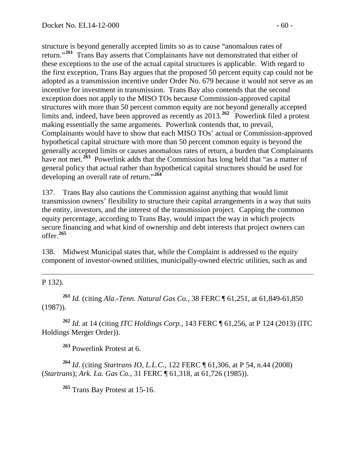structure is beyond generally accepted limits so as to cause "anomalous rates of return."**[261](#page-59-0)** Trans Bay asserts that Complainants have not demonstrated that either of these exceptions to the use of the actual capital structures is applicable. With regard to the first exception, Trans Bay argues that the proposed 50 percent equity cap could not be adopted as a transmission incentive under Order No. 679 because it would not serve as an incentive for investment in transmission. Trans Bay also contends that the second exception does not apply to the MISO TOs because Commission-approved capital structures with more than 50 percent common equity are not beyond generally accepted limits and, indeed, have been approved as recently as 2013.<sup>[262](#page-59-1)</sup> Powerlink filed a protest making essentially the same arguments. Powerlink contends that, to prevail, Complainants would have to show that each MISO TOs' actual or Commission-approved hypothetical capital structure with more than 50 percent common equity is beyond the generally accepted limits or causes anomalous rates of return, a burden that Complainants have not met.<sup>[263](#page-59-2)</sup> Powerlink adds that the Commission has long held that "as a matter of general policy that actual rather than hypothetical capital structures should be used for developing an overall rate of return."**[264](#page-59-3)**

137. Trans Bay also cautions the Commission against anything that would limit transmission owners' flexibility to structure their capital arrangements in a way that suits the entity, investors, and the interest of the transmission project. Capping the common equity percentage, according to Trans Bay, would impact the way in which projects secure financing and what kind of ownership and debt interests that project owners can offer.**[265](#page-59-4)**

138. Midwest Municipal states that, while the Complaint is addressed to the equity component of investor-owned utilities, municipally-owned electric utilities, such as and

 $\overline{a}$ P 132).

<span id="page-59-0"></span>**<sup>261</sup>** *Id.* (citing *Ala.-Tenn. Natural Gas Co.*, 38 FERC ¶ 61,251, at 61,849-61,850 (1987)).

<span id="page-59-1"></span>**<sup>262</sup>** *Id.* at 14 (citing *ITC Holdings Corp.*, 143 FERC ¶ 61,256, at P 124 (2013) (ITC Holdings Merger Order)).

**<sup>263</sup>** Powerlink Protest at 6.

<span id="page-59-4"></span><span id="page-59-3"></span><span id="page-59-2"></span>**<sup>264</sup>** *Id*. (citing *Startrans IO, L.L.C.*, 122 FERC ¶ 61,306, at P 54, n.44 (2008) (*Startrans*); *Ark. La. Gas Co.*, 31 FERC ¶ 61,318, at 61,726 (1985)).

**<sup>265</sup>** Trans Bay Protest at 15-16.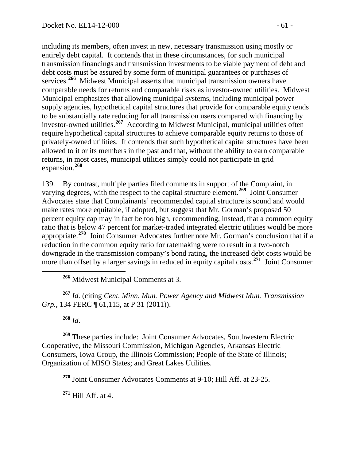including its members, often invest in new, necessary transmission using mostly or entirely debt capital. It contends that in these circumstances, for such municipal transmission financings and transmission investments to be viable payment of debt and debt costs must be assured by some form of municipal guarantees or purchases of services.**[266](#page-60-0)** Midwest Municipal asserts that municipal transmission owners have comparable needs for returns and comparable risks as investor-owned utilities. Midwest Municipal emphasizes that allowing municipal systems, including municipal power supply agencies, hypothetical capital structures that provide for comparable equity tends to be substantially rate reducing for all transmission users compared with financing by investor-owned utilities.**[267](#page-60-1)** According to Midwest Municipal, municipal utilities often require hypothetical capital structures to achieve comparable equity returns to those of privately-owned utilities. It contends that such hypothetical capital structures have been allowed to it or its members in the past and that, without the ability to earn comparable returns, in most cases, municipal utilities simply could not participate in grid expansion.**[268](#page-60-2)**

139. By contrast, multiple parties filed comments in support of the Complaint, in varying degrees, with the respect to the capital structure element. **[269](#page-60-3)** Joint Consumer Advocates state that Complainants' recommended capital structure is sound and would make rates more equitable, if adopted, but suggest that Mr. Gorman's proposed 50 percent equity cap may in fact be too high, recommending, instead, that a common equity ratio that is below 47 percent for market-traded integrated electric utilities would be more appropriate.**[270](#page-60-4)** Joint Consumer Advocates further note Mr. Gorman's conclusion that if a reduction in the common equity ratio for ratemaking were to result in a two-notch downgrade in the transmission company's bond rating, the increased debt costs would be more than offset by a larger savings in reduced in equity capital costs.<sup>[271](#page-60-5)</sup> Joint Consumer

**<sup>266</sup>** Midwest Municipal Comments at 3.

<span id="page-60-1"></span><span id="page-60-0"></span>**<sup>267</sup>** *Id*. (citing *Cent. Minn. Mun. Power Agency and Midwest Mun. Transmission Grp.*, 134 FERC ¶ 61,115, at P 31 (2011)).

**<sup>268</sup>** *Id*.

<span id="page-60-4"></span><span id="page-60-3"></span><span id="page-60-2"></span>**<sup>269</sup>** These parties include: Joint Consumer Advocates, Southwestern Electric Cooperative, the Missouri Commission, Michigan Agencies, Arkansas Electric Consumers, Iowa Group, the Illinois Commission; People of the State of Illinois; Organization of MISO States; and Great Lakes Utilities.

**<sup>270</sup>** Joint Consumer Advocates Comments at 9-10; Hill Aff. at 23-25.

<span id="page-60-5"></span>**<sup>271</sup>** Hill Aff. at 4.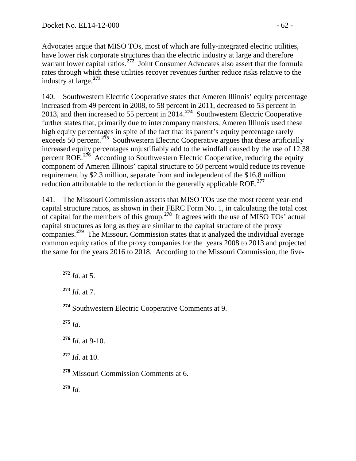Advocates argue that MISO TOs, most of which are fully-integrated electric utilities, have lower risk corporate structures than the electric industry at large and therefore warrant lower capital ratios.<sup>[272](#page-61-0)</sup> Joint Consumer Advocates also assert that the formula rates through which these utilities recover revenues further reduce risks relative to the industry at large.**[273](#page-61-1)**

140. Southwestern Electric Cooperative states that Ameren Illinois' equity percentage increased from 49 percent in 2008, to 58 percent in 2011, decreased to 53 percent in 2013, and then increased to 55 percent in 2014.**[274](#page-61-2)** Southwestern Electric Cooperative further states that, primarily due to intercompany transfers, Ameren Illinois used these high equity percentages in spite of the fact that its parent's equity percentage rarely exceeds 50 percent.<sup>[275](#page-61-3)</sup> Southwestern Electric Cooperative argues that these artificially increased equity percentages unjustifiably add to the windfall caused by the use of 12.38 percent ROE.<sup>[276](#page-61-4)</sup> According to Southwestern Electric Cooperative, reducing the equity component of Ameren Illinois' capital structure to 50 percent would reduce its revenue requirement by \$2.3 million, separate from and independent of the \$16.8 million reduction attributable to the reduction in the generally applicable ROE.**[277](#page-61-5)**

141. The Missouri Commission asserts that MISO TOs use the most recent year-end capital structure ratios, as shown in their FERC Form No. 1, in calculating the total cost of capital for the members of this group.**[278](#page-61-6)** It agrees with the use of MISO TOs' actual capital structures as long as they are similar to the capital structure of the proxy companies.**[279](#page-61-7)** The Missouri Commission states that it analyzed the individual average common equity ratios of the proxy companies for the years 2008 to 2013 and projected the same for the years 2016 to 2018. According to the Missouri Commission, the five-

<span id="page-61-0"></span>**<sup>272</sup>** *Id*. at 5.

<span id="page-61-1"></span>**<sup>273</sup>** *Id*. at 7.

<span id="page-61-2"></span>**<sup>274</sup>** Southwestern Electric Cooperative Comments at 9.

<span id="page-61-3"></span>**<sup>275</sup>** *Id*.

<span id="page-61-4"></span>**<sup>276</sup>** *Id*. at 9-10.

<span id="page-61-5"></span>**<sup>277</sup>** *Id*. at 10.

<span id="page-61-6"></span>**<sup>278</sup>** Missouri Commission Comments at 6.

<span id="page-61-7"></span>**<sup>279</sup>** *Id.*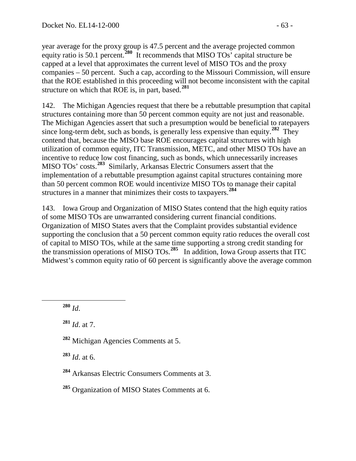year average for the proxy group is 47.5 percent and the average projected common equity ratio is 50.1 percent.**[280](#page-62-0)** It recommends that MISO TOs' capital structure be capped at a level that approximates the current level of MISO TOs and the proxy companies – 50 percent. Such a cap, according to the Missouri Commission, will ensure that the ROE established in this proceeding will not become inconsistent with the capital structure on which that ROE is, in part, based.**[281](#page-62-1)**

142. The Michigan Agencies request that there be a rebuttable presumption that capital structures containing more than 50 percent common equity are not just and reasonable. The Michigan Agencies assert that such a presumption would be beneficial to ratepayers since long-term debt, such as bonds, is generally less expensive than equity.**[282](#page-62-2)** They contend that, because the MISO base ROE encourages capital structures with high utilization of common equity, ITC Transmission, METC, and other MISO TOs have an incentive to reduce low cost financing, such as bonds, which unnecessarily increases MISO TOs' costs.**[283](#page-62-3)** Similarly, Arkansas Electric Consumers assert that the implementation of a rebuttable presumption against capital structures containing more than 50 percent common ROE would incentivize MISO TOs to manage their capital structures in a manner that minimizes their costs to taxpayers.**[284](#page-62-4)**

143. Iowa Group and Organization of MISO States contend that the high equity ratios of some MISO TOs are unwarranted considering current financial conditions. Organization of MISO States avers that the Complaint provides substantial evidence supporting the conclusion that a 50 percent common equity ratio reduces the overall cost of capital to MISO TOs, while at the same time supporting a strong credit standing for the transmission operations of MISO TOs. **[285](#page-62-5)** In addition, Iowa Group asserts that ITC Midwest's common equity ratio of 60 percent is significantly above the average common

<span id="page-62-0"></span>**<sup>280</sup>** *Id*.

<span id="page-62-1"></span>**<sup>281</sup>** *Id*. at 7.

<span id="page-62-2"></span>**<sup>282</sup>** Michigan Agencies Comments at 5.

<span id="page-62-3"></span>**<sup>283</sup>** *Id*. at 6.

<span id="page-62-5"></span>**<sup>285</sup>** Organization of MISO States Comments at 6.

<span id="page-62-4"></span>**<sup>284</sup>** Arkansas Electric Consumers Comments at 3.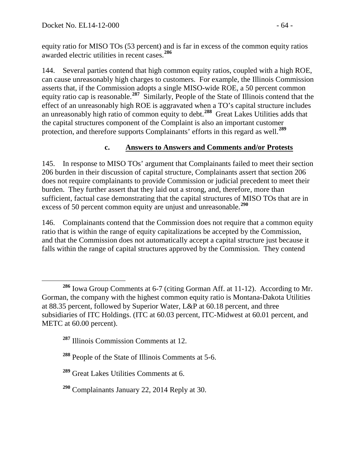equity ratio for MISO TOs (53 percent) and is far in excess of the common equity ratios awarded electric utilities in recent cases.**[286](#page-63-0)**

144. Several parties contend that high common equity ratios, coupled with a high ROE, can cause unreasonably high charges to customers. For example, the Illinois Commission asserts that, if the Commission adopts a single MISO-wide ROE, a 50 percent common equity ratio cap is reasonable.**[287](#page-63-1)** Similarly, People of the State of Illinois contend that the effect of an unreasonably high ROE is aggravated when a TO's capital structure includes an unreasonably high ratio of common equity to debt.**[288](#page-63-2)** Great Lakes Utilities adds that the capital structures component of the Complaint is also an important customer protection, and therefore supports Complainants' efforts in this regard as well.**[289](#page-63-3)**

### **c. Answers to Answers and Comments and/or Protests**

145. In response to MISO TOs' argument that Complainants failed to meet their section 206 burden in their discussion of capital structure, Complainants assert that section 206 does not require complainants to provide Commission or judicial precedent to meet their burden. They further assert that they laid out a strong, and, therefore, more than sufficient, factual case demonstrating that the capital structures of MISO TOs that are in excess of 50 percent common equity are unjust and unreasonable.**[290](#page-63-4)**

146. Complainants contend that the Commission does not require that a common equity ratio that is within the range of equity capitalizations be accepted by the Commission, and that the Commission does not automatically accept a capital structure just because it falls within the range of capital structures approved by the Commission. They contend

<span id="page-63-0"></span>**<sup>286</sup>** Iowa Group Comments at 6-7 (citing Gorman Aff. at 11-12). According to Mr. Gorman, the company with the highest common equity ratio is Montana-Dakota Utilities at 88.35 percent, followed by Superior Water, L&P at 60.18 percent, and three subsidiaries of ITC Holdings. (ITC at 60.03 percent, ITC-Midwest at 60.01 percent, and METC at 60.00 percent).

<span id="page-63-1"></span>**<sup>287</sup>** Illinois Commission Comments at 12.

<span id="page-63-2"></span>**<sup>288</sup>** People of the State of Illinois Comments at 5-6.

<span id="page-63-3"></span>**<sup>289</sup>** Great Lakes Utilities Comments at 6.

<span id="page-63-4"></span>**<sup>290</sup>** Complainants January 22, 2014 Reply at 30.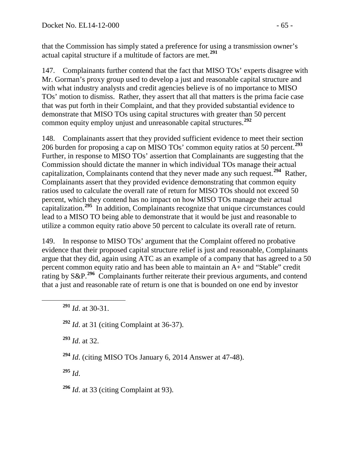that the Commission has simply stated a preference for using a transmission owner's actual capital structure if a multitude of factors are met.**[291](#page-64-0)**

147. Complainants further contend that the fact that MISO TOs' experts disagree with Mr. Gorman's proxy group used to develop a just and reasonable capital structure and with what industry analysts and credit agencies believe is of no importance to MISO TOs' motion to dismiss. Rather, they assert that all that matters is the prima facie case that was put forth in their Complaint, and that they provided substantial evidence to demonstrate that MISO TOs using capital structures with greater than 50 percent common equity employ unjust and unreasonable capital structures.**[292](#page-64-1)**

148. Complainants assert that they provided sufficient evidence to meet their section 206 burden for proposing a cap on MISO TOs' common equity ratios at 50 percent.**[293](#page-64-2)** Further, in response to MISO TOs' assertion that Complainants are suggesting that the Commission should dictate the manner in which individual TOs manage their actual capitalization, Complainants contend that they never made any such request.**[294](#page-64-3)** Rather, Complainants assert that they provided evidence demonstrating that common equity ratios used to calculate the overall rate of return for MISO TOs should not exceed 50 percent, which they contend has no impact on how MISO TOs manage their actual capitalization.**[295](#page-64-4)** In addition, Complainants recognize that unique circumstances could lead to a MISO TO being able to demonstrate that it would be just and reasonable to utilize a common equity ratio above 50 percent to calculate its overall rate of return.

149. In response to MISO TOs' argument that the Complaint offered no probative evidence that their proposed capital structure relief is just and reasonable, Complainants argue that they did, again using ATC as an example of a company that has agreed to a 50 percent common equity ratio and has been able to maintain an A+ and "Stable" credit rating by S&P.<sup>[296](#page-64-5)</sup> Complainants further reiterate their previous arguments, and contend that a just and reasonable rate of return is one that is bounded on one end by investor

<span id="page-64-2"></span>**<sup>293</sup>** *Id*. at 32.

<span id="page-64-3"></span>**<sup>294</sup>** *Id*. (citing MISO TOs January 6, 2014 Answer at 47-48).

<span id="page-64-4"></span>**<sup>295</sup>** *Id*.

<span id="page-64-5"></span>**<sup>296</sup>** *Id*. at 33 (citing Complaint at 93).

<span id="page-64-0"></span>**<sup>291</sup>** *Id*. at 30-31.

<span id="page-64-1"></span>**<sup>292</sup>** *Id*. at 31 (citing Complaint at 36-37).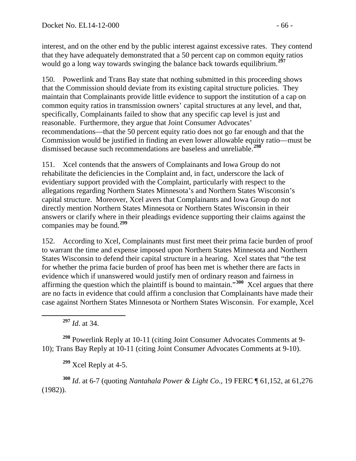interest, and on the other end by the public interest against excessive rates. They contend that they have adequately demonstrated that a 50 percent cap on common equity ratios would go a long way towards swinging the balance back towards equilibrium.**[297](#page-65-0)**

150. Powerlink and Trans Bay state that nothing submitted in this proceeding shows that the Commission should deviate from its existing capital structure policies. They maintain that Complainants provide little evidence to support the institution of a cap on common equity ratios in transmission owners' capital structures at any level, and that, specifically, Complainants failed to show that any specific cap level is just and reasonable. Furthermore, they argue that Joint Consumer Advocates' recommendations—that the 50 percent equity ratio does not go far enough and that the Commission would be justified in finding an even lower allowable equity ratio—must be dismissed because such recommendations are baseless and unreliable.**[298](#page-65-1)**

151. Xcel contends that the answers of Complainants and Iowa Group do not rehabilitate the deficiencies in the Complaint and, in fact, underscore the lack of evidentiary support provided with the Complaint, particularly with respect to the allegations regarding Northern States Minnesota's and Northern States Wisconsin's capital structure. Moreover, Xcel avers that Complainants and Iowa Group do not directly mention Northern States Minnesota or Northern States Wisconsin in their answers or clarify where in their pleadings evidence supporting their claims against the companies may be found.**[299](#page-65-2)**

152. According to Xcel, Complainants must first meet their prima facie burden of proof to warrant the time and expense imposed upon Northern States Minnesota and Northern States Wisconsin to defend their capital structure in a hearing. Xcel states that "the test for whether the prima facie burden of proof has been met is whether there are facts in evidence which if unanswered would justify men of ordinary reason and fairness in affirming the question which the plaintiff is bound to maintain."**[300](#page-65-3)** Xcel argues that there are no facts in evidence that could affirm a conclusion that Complainants have made their case against Northern States Minnesota or Northern States Wisconsin. For example, Xcel

**<sup>297</sup>** *Id*. at 34.

<span id="page-65-1"></span><span id="page-65-0"></span>**<sup>298</sup>** Powerlink Reply at 10-11 (citing Joint Consumer Advocates Comments at 9- 10); Trans Bay Reply at 10-11 (citing Joint Consumer Advocates Comments at 9-10).

**<sup>299</sup>** Xcel Reply at 4-5.

<span id="page-65-3"></span><span id="page-65-2"></span>**<sup>300</sup>** *Id*. at 6-7 (quoting *Nantahala Power & Light Co*., 19 FERC ¶ 61,152, at 61,276 (1982)).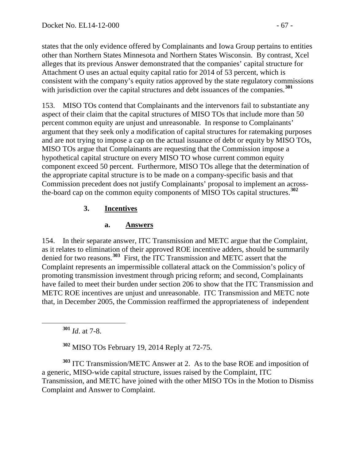states that the only evidence offered by Complainants and Iowa Group pertains to entities other than Northern States Minnesota and Northern States Wisconsin. By contrast, Xcel alleges that its previous Answer demonstrated that the companies' capital structure for Attachment O uses an actual equity capital ratio for 2014 of 53 percent, which is consistent with the company's equity ratios approved by the state regulatory commissions with jurisdiction over the capital structures and debt issuances of the companies.<sup>[301](#page-66-0)</sup>

153. MISO TOs contend that Complainants and the intervenors fail to substantiate any aspect of their claim that the capital structures of MISO TOs that include more than 50 percent common equity are unjust and unreasonable. In response to Complainants' argument that they seek only a modification of capital structures for ratemaking purposes and are not trying to impose a cap on the actual issuance of debt or equity by MISO TOs, MISO TOs argue that Complainants are requesting that the Commission impose a hypothetical capital structure on every MISO TO whose current common equity component exceed 50 percent. Furthermore, MISO TOs allege that the determination of the appropriate capital structure is to be made on a company-specific basis and that Commission precedent does not justify Complainants' proposal to implement an acrossthe-board cap on the common equity components of MISO TOs capital structures.**[302](#page-66-1)**

# **3. Incentives**

# **a. Answers**

154. In their separate answer, ITC Transmission and METC argue that the Complaint, as it relates to elimination of their approved ROE incentive adders, should be summarily denied for two reasons.**[303](#page-66-2)** First, the ITC Transmission and METC assert that the Complaint represents an impermissible collateral attack on the Commission's policy of promoting transmission investment through pricing reform; and second, Complainants have failed to meet their burden under section 206 to show that the ITC Transmission and METC ROE incentives are unjust and unreasonable. ITC Transmission and METC note that, in December 2005, the Commission reaffirmed the appropriateness of independent

**<sup>301</sup>** *Id*. at 7-8.

**<sup>302</sup>** MISO TOs February 19, 2014 Reply at 72-75.

<span id="page-66-2"></span><span id="page-66-1"></span><span id="page-66-0"></span>**<sup>303</sup>** ITC Transmission/METC Answer at 2. As to the base ROE and imposition of a generic, MISO-wide capital structure, issues raised by the Complaint, ITC Transmission, and METC have joined with the other MISO TOs in the Motion to Dismiss Complaint and Answer to Complaint.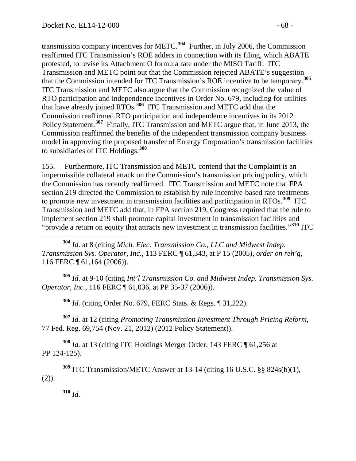transmission company incentives for METC.**[304](#page-67-0)** Further, in July 2006, the Commission reaffirmed ITC Transmission's ROE adders in connection with its filing, which ABATE protested, to revise its Attachment O formula rate under the MISO Tariff. ITC Transmission and METC point out that the Commission rejected ABATE's suggestion that the Commission intended for ITC Transmission's ROE incentive to be temporary.**[305](#page-67-1)** ITC Transmission and METC also argue that the Commission recognized the value of RTO participation and independence incentives in Order No. 679, including for utilities that have already joined RTOs.**[306](#page-67-2)** ITC Transmission and METC add that the Commission reaffirmed RTO participation and independence incentives in its 2012 Policy Statement.<sup>[307](#page-67-3)</sup> Finally, ITC Transmission and METC argue that, in June 2013, the Commission reaffirmed the benefits of the independent transmission company business model in approving the proposed transfer of Entergy Corporation's transmission facilities to subsidiaries of ITC Holdings.**[308](#page-67-4)**

155. Furthermore, ITC Transmission and METC contend that the Complaint is an impermissible collateral attack on the Commission's transmission pricing policy, which the Commission has recently reaffirmed. ITC Transmission and METC note that FPA section 219 directed the Commission to establish by rule incentive-based rate treatments to promote new investment in transmission facilities and participation in RTOs. **[309](#page-67-5)** ITC Transmission and METC add that, in FPA section 219, Congress required that the rule to implement section 219 shall promote capital investment in transmission facilities and "provide a return on equity that attracts new investment in transmission facilities."**[310](#page-67-6)** ITC

<span id="page-67-0"></span> **<sup>304</sup>** *Id*. at 8 (citing *Mich. Elec. Transmission Co., LLC and Midwest Indep. Transmission Sys. Operator, Inc.*, 113 FERC ¶ 61,343, at P 15 (2005), *order on reh'g*, 116 FERC ¶ 61,164 (2006)).

<span id="page-67-1"></span>**<sup>305</sup>** *Id*. at 9-10 (citing *Int'l Transmission Co. and Midwest Indep. Transmission Sys. Operator, Inc.*, 116 FERC ¶ 61,036, at PP 35-37 (2006)).

**<sup>306</sup>** *Id.* (citing Order No. 679, FERC Stats. & Regs. ¶ 31,222).

<span id="page-67-3"></span><span id="page-67-2"></span>**<sup>307</sup>** *Id.* at 12 (citing *Promoting Transmission Investment Through Pricing Reform*, 77 Fed. Reg. 69,754 (Nov. 21, 2012) (2012 Policy Statement)).

<span id="page-67-4"></span>**<sup>308</sup>** *Id.* at 13 (citing ITC Holdings Merger Order, 143 FERC ¶ 61,256 at PP 124-125).

<span id="page-67-6"></span><span id="page-67-5"></span>**<sup>309</sup>** ITC Transmission/METC Answer at 13-14 (citing 16 U.S.C. §§ 824s(b)(1),  $(2)$ ).

**<sup>310</sup>** *Id.*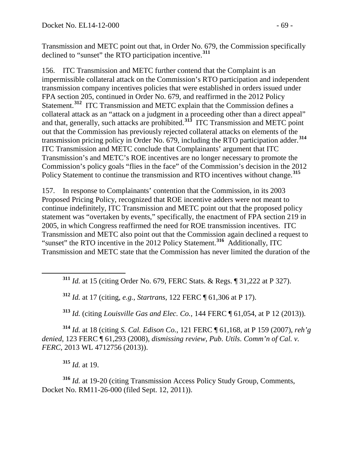Transmission and METC point out that, in Order No. 679, the Commission specifically declined to "sunset" the RTO participation incentive.**[311](#page-68-0)**

156. ITC Transmission and METC further contend that the Complaint is an impermissible collateral attack on the Commission's RTO participation and independent transmission company incentives policies that were established in orders issued under FPA section 205, continued in Order No. 679, and reaffirmed in the 2012 Policy Statement.**[312](#page-68-1)** ITC Transmission and METC explain that the Commission defines a collateral attack as an "attack on a judgment in a proceeding other than a direct appeal" and that, generally, such attacks are prohibited.**[313](#page-68-2)** ITC Transmission and METC point out that the Commission has previously rejected collateral attacks on elements of the transmission pricing policy in Order No. 679, including the RTO participation adder.**[314](#page-68-3)** ITC Transmission and METC conclude that Complainants' argument that ITC Transmission's and METC's ROE incentives are no longer necessary to promote the Commission's policy goals "flies in the face" of the Commission's decision in the 2012 Policy Statement to continue the transmission and RTO incentives without change. **[315](#page-68-4)**

157. In response to Complainants' contention that the Commission, in its 2003 Proposed Pricing Policy, recognized that ROE incentive adders were not meant to continue indefinitely, ITC Transmission and METC point out that the proposed policy statement was "overtaken by events," specifically, the enactment of FPA section 219 in 2005, in which Congress reaffirmed the need for ROE transmission incentives. ITC Transmission and METC also point out that the Commission again declined a request to "sunset" the RTO incentive in the 2012 Policy Statement.**[316](#page-68-5)** Additionally, ITC Transmission and METC state that the Commission has never limited the duration of the

**<sup>312</sup>** *Id.* at 17 (citing, *e.g., Startrans*, 122 FERC ¶ 61,306 at P 17).

**<sup>313</sup>** *Id.* (citing *Louisville Gas and Elec. Co.,* 144 FERC ¶ 61,054, at P 12 (2013)).

<span id="page-68-3"></span><span id="page-68-2"></span><span id="page-68-1"></span>**<sup>314</sup>** *Id.* at 18 (citing *S. Cal. Edison Co.*, 121 FERC ¶ 61,168, at P 159 (2007), *reh'g denied*, 123 FERC ¶ 61,293 (2008), *dismissing review*, *Pub. Utils. Comm'n of Cal. v. FERC*, 2013 WL 4712756 (2013)).

**<sup>315</sup>** *Id.* at 19.

<span id="page-68-5"></span><span id="page-68-4"></span>**<sup>316</sup>** *Id.* at 19-20 (citing Transmission Access Policy Study Group, Comments, Docket No. RM11-26-000 (filed Sept. 12, 2011)).

<span id="page-68-0"></span>**<sup>311</sup>** *Id.* at 15 (citing Order No. 679, FERC Stats. & Regs. ¶ 31,222 at P 327).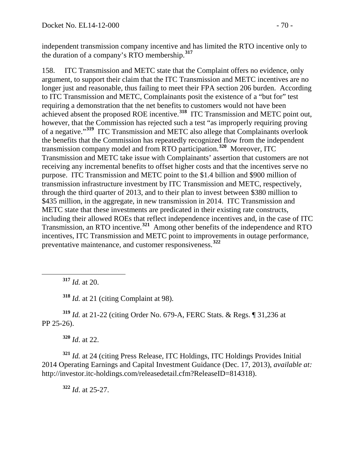independent transmission company incentive and has limited the RTO incentive only to the duration of a company's RTO membership. **[317](#page-69-0)**

158. ITC Transmission and METC state that the Complaint offers no evidence, only argument, to support their claim that the ITC Transmission and METC incentives are no longer just and reasonable, thus failing to meet their FPA section 206 burden. According to ITC Transmission and METC, Complainants posit the existence of a "but for" test requiring a demonstration that the net benefits to customers would not have been achieved absent the proposed ROE incentive.**[318](#page-69-1)** ITC Transmission and METC point out, however, that the Commission has rejected such a test "as improperly requiring proving of a negative."**[319](#page-69-2)** ITC Transmission and METC also allege that Complainants overlook the benefits that the Commission has repeatedly recognized flow from the independent transmission company model and from RTO participation.**[320](#page-69-3)** Moreover, ITC Transmission and METC take issue with Complainants' assertion that customers are not receiving any incremental benefits to offset higher costs and that the incentives serve no purpose. ITC Transmission and METC point to the \$1.4 billion and \$900 million of transmission infrastructure investment by ITC Transmission and METC, respectively, through the third quarter of 2013, and to their plan to invest between \$380 million to \$435 million, in the aggregate, in new transmission in 2014. ITC Transmission and METC state that these investments are predicated in their existing rate constructs, including their allowed ROEs that reflect independence incentives and, in the case of ITC Transmission, an RTO incentive. **[321](#page-69-4)** Among other benefits of the independence and RTO incentives, ITC Transmission and METC point to improvements in outage performance, preventative maintenance, and customer responsiveness.**[322](#page-69-5)**

**<sup>317</sup>** *Id.* at 20.

**<sup>318</sup>** *Id.* at 21 (citing Complaint at 98).

<span id="page-69-2"></span><span id="page-69-1"></span><span id="page-69-0"></span>**<sup>319</sup>** *Id.* at 21-22 (citing Order No. 679-A, FERC Stats. & Regs. ¶ 31,236 at PP 25-26).

**<sup>320</sup>** *Id*. at 22.

<span id="page-69-5"></span><span id="page-69-4"></span><span id="page-69-3"></span>**<sup>321</sup>** *Id.* at 24 (citing Press Release, ITC Holdings, ITC Holdings Provides Initial 2014 Operating Earnings and Capital Investment Guidance (Dec. 17, 2013), *available at:* http://investor.itc-holdings.com/releasedetail.cfm?ReleaseID=814318).

**<sup>322</sup>** *Id*. at 25-27.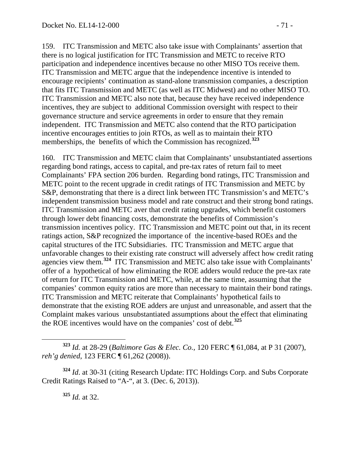159. ITC Transmission and METC also take issue with Complainants' assertion that there is no logical justification for ITC Transmission and METC to receive RTO participation and independence incentives because no other MISO TOs receive them. ITC Transmission and METC argue that the independence incentive is intended to encourage recipients' continuation as stand-alone transmission companies, a description that fits ITC Transmission and METC (as well as ITC Midwest) and no other MISO TO. ITC Transmission and METC also note that, because they have received independence incentives, they are subject to additional Commission oversight with respect to their governance structure and service agreements in order to ensure that they remain independent. ITC Transmission and METC also contend that the RTO participation incentive encourages entities to join RTOs, as well as to maintain their RTO memberships, the benefits of which the Commission has recognized.**[323](#page-70-0)**

160. ITC Transmission and METC claim that Complainants' unsubstantiated assertions regarding bond ratings, access to capital, and pre-tax rates of return fail to meet Complainants' FPA section 206 burden. Regarding bond ratings, ITC Transmission and METC point to the recent upgrade in credit ratings of ITC Transmission and METC by S&P, demonstrating that there is a direct link between ITC Transmission's and METC's independent transmission business model and rate construct and their strong bond ratings. ITC Transmission and METC aver that credit rating upgrades, which benefit customers through lower debt financing costs, demonstrate the benefits of Commission's transmission incentives policy. ITC Transmission and METC point out that, in its recent ratings action, S&P recognized the importance of the incentive-based ROEs and the capital structures of the ITC Subsidiaries. ITC Transmission and METC argue that unfavorable changes to their existing rate construct will adversely affect how credit rating agencies view them.**[324](#page-70-1)** ITC Transmission and METC also take issue with Complainants' offer of a hypothetical of how eliminating the ROE adders would reduce the pre-tax rate of return for ITC Transmission and METC, while, at the same time, assuming that the companies' common equity ratios are more than necessary to maintain their bond ratings. ITC Transmission and METC reiterate that Complainants' hypothetical fails to demonstrate that the existing ROE adders are unjust and unreasonable, and assert that the Complaint makes various unsubstantiated assumptions about the effect that eliminating the ROE incentives would have on the companies' cost of debt. **[325](#page-70-2)**

<span id="page-70-2"></span><span id="page-70-1"></span>**<sup>324</sup>** *Id*. at 30-31 (citing Research Update: ITC Holdings Corp. and Subs Corporate Credit Ratings Raised to "A-", at 3. (Dec. 6, 2013)).

**<sup>325</sup>** *Id.* at 32.

<span id="page-70-0"></span>**<sup>323</sup>** *Id.* at 28-29 (*Baltimore Gas & Elec. Co.,* 120 FERC ¶ 61,084, at P 31 (2007), *reh'g denied*, 123 FERC ¶ 61,262 (2008)).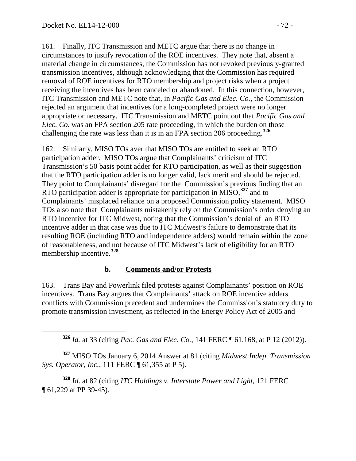161. Finally, ITC Transmission and METC argue that there is no change in circumstances to justify revocation of the ROE incentives. They note that, absent a material change in circumstances, the Commission has not revoked previously-granted transmission incentives, although acknowledging that the Commission has required removal of ROE incentives for RTO membership and project risks when a project receiving the incentives has been canceled or abandoned. In this connection, however, ITC Transmission and METC note that, in *Pacific Gas and Elec. Co.*, the Commission rejected an argument that incentives for a long-completed project were no longer appropriate or necessary. ITC Transmission and METC point out that *Pacific Gas and Elec. Co.* was an FPA section 205 rate proceeding, in which the burden on those challenging the rate was less than it is in an FPA section 206 proceeding.**[326](#page-71-0)**

162. Similarly, MISO TOs aver that MISO TOs are entitled to seek an RTO participation adder. MISO TOs argue that Complainants' criticism of ITC Transmission's 50 basis point adder for RTO participation, as well as their suggestion that the RTO participation adder is no longer valid, lack merit and should be rejected. They point to Complainants' disregard for the Commission's previous finding that an RTO participation adder is appropriate for participation in MISO, **[327](#page-71-1)** and to Complainants' misplaced reliance on a proposed Commission policy statement. MISO TOs also note that Complainants mistakenly rely on the Commission's order denying an RTO incentive for ITC Midwest, noting that the Commission's denial of an RTO incentive adder in that case was due to ITC Midwest's failure to demonstrate that its resulting ROE (including RTO and independence adders) would remain within the zone of reasonableness, and not because of ITC Midwest's lack of eligibility for an RTO membership incentive. **[328](#page-71-2)**

#### **b. Comments and/or Protests**

163. Trans Bay and Powerlink filed protests against Complainants' position on ROE incentives. Trans Bay argues that Complainants' attack on ROE incentive adders conflicts with Commission precedent and undermines the Commission's statutory duty to promote transmission investment, as reflected in the Energy Policy Act of 2005 and

**<sup>326</sup>** *Id.* at 33 (citing *Pac. Gas and Elec. Co.*, 141 FERC ¶ 61,168, at P 12 (2012)).

<span id="page-71-1"></span><span id="page-71-0"></span>**<sup>327</sup>** MISO TOs January 6, 2014 Answer at 81 (citing *Midwest Indep. Transmission Sys. Operator, Inc.*, 111 FERC ¶ 61,355 at P 5).

<span id="page-71-2"></span>**<sup>328</sup>** *Id*. at 82 (citing *ITC Holdings v. Interstate Power and Light*, 121 FERC ¶ 61,229 at PP 39-45).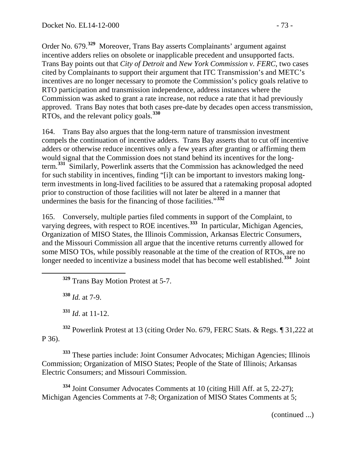Order No. 679.**[329](#page-72-0)** Moreover, Trans Bay asserts Complainants' argument against incentive adders relies on obsolete or inapplicable precedent and unsupported facts. Trans Bay points out that *City of Detroit* and *New York Commission v. FERC,* two cases cited by Complainants to support their argument that ITC Transmission's and METC's incentives are no longer necessary to promote the Commission's policy goals relative to RTO participation and transmission independence, address instances where the Commission was asked to grant a rate increase, not reduce a rate that it had previously approved. Trans Bay notes that both cases pre-date by decades open access transmission, RTOs, and the relevant policy goals.**[330](#page-72-1)**

164. Trans Bay also argues that the long-term nature of transmission investment compels the continuation of incentive adders. Trans Bay asserts that to cut off incentive adders or otherwise reduce incentives only a few years after granting or affirming them would signal that the Commission does not stand behind its incentives for the longterm.**[331](#page-72-2)** Similarly, Powerlink asserts that the Commission has acknowledged the need for such stability in incentives, finding "[i]t can be important to investors making longterm investments in long-lived facilities to be assured that a ratemaking proposal adopted prior to construction of those facilities will not later be altered in a manner that undermines the basis for the financing of those facilities."**[332](#page-72-3)**

165. Conversely, multiple parties filed comments in support of the Complaint, to varying degrees, with respect to ROE incentives.<sup>[333](#page-72-4)</sup> In particular, Michigan Agencies, Organization of MISO States, the Illinois Commission, Arkansas Electric Consumers, and the Missouri Commission all argue that the incentive returns currently allowed for some MISO TOs, while possibly reasonable at the time of the creation of RTOs, are no longer needed to incentivize a business model that has become well established.<sup>[334](#page-72-5)</sup> Joint

<span id="page-72-0"></span>**<sup>329</sup>** Trans Bay Motion Protest at 5-7.

**<sup>330</sup>** *Id.* at 7-9.

**<sup>331</sup>** *Id*. at 11-12.

<span id="page-72-3"></span><span id="page-72-2"></span><span id="page-72-1"></span>**<sup>332</sup>** Powerlink Protest at 13 (citing Order No. 679, FERC Stats. & Regs. ¶ 31,222 at P 36).

<span id="page-72-4"></span>**<sup>333</sup>** These parties include: Joint Consumer Advocates; Michigan Agencies; Illinois Commission; Organization of MISO States; People of the State of Illinois; Arkansas Electric Consumers; and Missouri Commission.

<span id="page-72-5"></span>**<sup>334</sup>** Joint Consumer Advocates Comments at 10 (citing Hill Aff. at 5, 22-27); Michigan Agencies Comments at 7-8; Organization of MISO States Comments at 5;

(continued ...)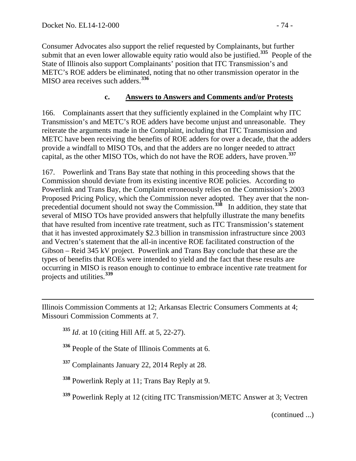Consumer Advocates also support the relief requested by Complainants, but further submit that an even lower allowable equity ratio would also be justified.**[335](#page-73-0)** People of the State of Illinois also support Complainants' position that ITC Transmission's and METC's ROE adders be eliminated, noting that no other transmission operator in the MISO area receives such adders. **[336](#page-73-1)**

### **c. Answers to Answers and Comments and/or Protests**

166. Complainants assert that they sufficiently explained in the Complaint why ITC Transmission's and METC's ROE adders have become unjust and unreasonable. They reiterate the arguments made in the Complaint, including that ITC Transmission and METC have been receiving the benefits of ROE adders for over a decade, that the adders provide a windfall to MISO TOs, and that the adders are no longer needed to attract capital, as the other MISO TOs, which do not have the ROE adders, have proven.**[337](#page-73-2)**

167. Powerlink and Trans Bay state that nothing in this proceeding shows that the Commission should deviate from its existing incentive ROE policies. According to Powerlink and Trans Bay, the Complaint erroneously relies on the Commission's 2003 Proposed Pricing Policy, which the Commission never adopted. They aver that the non-precedential document should not sway the Commission.<sup>[338](#page-73-3)</sup> In addition, they state that several of MISO TOs have provided answers that helpfully illustrate the many benefits that have resulted from incentive rate treatment, such as ITC Transmission's statement that it has invested approximately \$2.3 billion in transmission infrastructure since 2003 and Vectren's statement that the all-in incentive ROE facilitated construction of the Gibson – Reid 345 kV project. Powerlink and Trans Bay conclude that these are the types of benefits that ROEs were intended to yield and the fact that these results are occurring in MISO is reason enough to continue to embrace incentive rate treatment for projects and utilities.**[339](#page-73-4)**

<span id="page-73-1"></span><span id="page-73-0"></span>Illinois Commission Comments at 12; Arkansas Electric Consumers Comments at 4; Missouri Commission Comments at 7.

**<sup>335</sup>** *Id*. at 10 (citing Hill Aff. at 5, 22-27).

 $\overline{a}$ 

**<sup>336</sup>** People of the State of Illinois Comments at 6.

<span id="page-73-2"></span>**<sup>337</sup>** Complainants January 22, 2014 Reply at 28.

<span id="page-73-3"></span>**<sup>338</sup>** Powerlink Reply at 11; Trans Bay Reply at 9.

<span id="page-73-4"></span>**<sup>339</sup>** Powerlink Reply at 12 (citing ITC Transmission/METC Answer at 3; Vectren

(continued ...)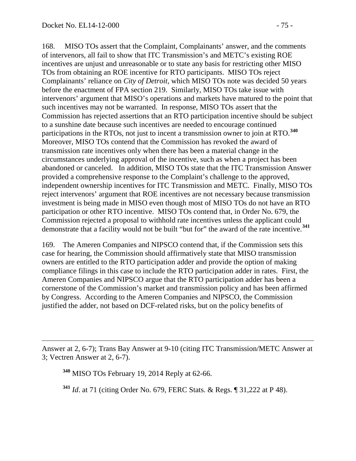$\overline{a}$ 

168. MISO TOs assert that the Complaint, Complainants' answer, and the comments of intervenors, all fail to show that ITC Transmission's and METC's existing ROE incentives are unjust and unreasonable or to state any basis for restricting other MISO TOs from obtaining an ROE incentive for RTO participants. MISO TOs reject Complainants' reliance on *City of Detroit*, which MISO TOs note was decided 50 years before the enactment of FPA section 219. Similarly, MISO TOs take issue with intervenors' argument that MISO's operations and markets have matured to the point that such incentives may not be warranted. In response, MISO TOs assert that the Commission has rejected assertions that an RTO participation incentive should be subject to a sunshine date because such incentives are needed to encourage continued participations in the RTOs, not just to incent a transmission owner to join at RTO.**[340](#page-74-0)** Moreover, MISO TOs contend that the Commission has revoked the award of transmission rate incentives only when there has been a material change in the circumstances underlying approval of the incentive, such as when a project has been abandoned or canceled. In addition, MISO TOs state that the ITC Transmission Answer provided a comprehensive response to the Complaint's challenge to the approved, independent ownership incentives for ITC Transmission and METC. Finally, MISO TOs reject intervenors' argument that ROE incentives are not necessary because transmission investment is being made in MISO even though most of MISO TOs do not have an RTO participation or other RTO incentive. MISO TOs contend that, in Order No. 679, the Commission rejected a proposal to withhold rate incentives unless the applicant could demonstrate that a facility would not be built "but for" the award of the rate incentive.**[341](#page-74-1)**

169. The Ameren Companies and NIPSCO contend that, if the Commission sets this case for hearing, the Commission should affirmatively state that MISO transmission owners are entitled to the RTO participation adder and provide the option of making compliance filings in this case to include the RTO participation adder in rates. First, the Ameren Companies and NIPSCO argue that the RTO participation adder has been a cornerstone of the Commission's market and transmission policy and has been affirmed by Congress. According to the Ameren Companies and NIPSCO, the Commission justified the adder, not based on DCF-related risks, but on the policy benefits of

**<sup>341</sup>** *Id*. at 71 (citing Order No. 679, FERC Stats. & Regs. ¶ 31,222 at P 48).

<span id="page-74-1"></span><span id="page-74-0"></span>Answer at 2, 6-7); Trans Bay Answer at 9-10 (citing ITC Transmission/METC Answer at 3; Vectren Answer at 2, 6-7).

**<sup>340</sup>** MISO TOs February 19, 2014 Reply at 62-66.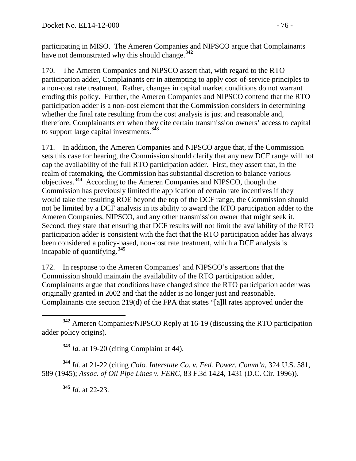participating in MISO. The Ameren Companies and NIPSCO argue that Complainants have not demonstrated why this should change.**[342](#page-75-0)**

170. The Ameren Companies and NIPSCO assert that, with regard to the RTO participation adder, Complainants err in attempting to apply cost-of-service principles to a non-cost rate treatment. Rather, changes in capital market conditions do not warrant eroding this policy. Further, the Ameren Companies and NIPSCO contend that the RTO participation adder is a non-cost element that the Commission considers in determining whether the final rate resulting from the cost analysis is just and reasonable and, therefore, Complainants err when they cite certain transmission owners' access to capital to support large capital investments.**[343](#page-75-1)**

171. In addition, the Ameren Companies and NIPSCO argue that, if the Commission sets this case for hearing, the Commission should clarify that any new DCF range will not cap the availability of the full RTO participation adder. First, they assert that, in the realm of ratemaking, the Commission has substantial discretion to balance various objectives.**[344](#page-75-2)** According to the Ameren Companies and NIPSCO, though the Commission has previously limited the application of certain rate incentives if they would take the resulting ROE beyond the top of the DCF range, the Commission should not be limited by a DCF analysis in its ability to award the RTO participation adder to the Ameren Companies, NIPSCO, and any other transmission owner that might seek it. Second, they state that ensuring that DCF results will not limit the availability of the RTO participation adder is consistent with the fact that the RTO participation adder has always been considered a policy-based, non-cost rate treatment, which a DCF analysis is incapable of quantifying.**[345](#page-75-3)**

172. In response to the Ameren Companies' and NIPSCO's assertions that the Commission should maintain the availability of the RTO participation adder, Complainants argue that conditions have changed since the RTO participation adder was originally granted in 2002 and that the adder is no longer just and reasonable. Complainants cite section 219(d) of the FPA that states "[a]ll rates approved under the

<span id="page-75-0"></span> **<sup>342</sup>** Ameren Companies/NIPSCO Reply at 16-19 (discussing the RTO participation adder policy origins).

**<sup>343</sup>** *Id.* at 19-20 (citing Complaint at 44).

<span id="page-75-3"></span><span id="page-75-2"></span><span id="page-75-1"></span>**<sup>344</sup>** *Id.* at 21-22 (citing *Colo. Interstate Co. v. Fed. Power. Comm'n*, 324 U.S. 581, 589 (1945); *Assoc. of Oil Pipe Lines v. FERC*, 83 F.3d 1424, 1431 (D.C. Cir. 1996)).

**<sup>345</sup>** *Id*. at 22-23.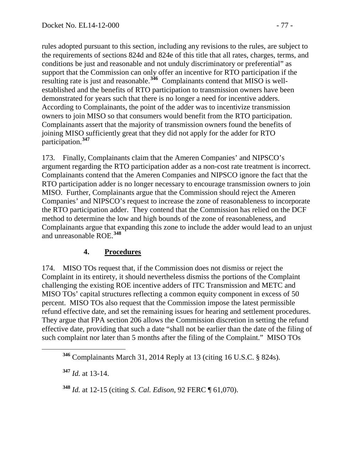rules adopted pursuant to this section, including any revisions to the rules, are subject to the requirements of sections 824d and 824e of this title that all rates, charges, terms, and conditions be just and reasonable and not unduly discriminatory or preferential" as support that the Commission can only offer an incentive for RTO participation if the resulting rate is just and reasonable.**[346](#page-76-0)** Complainants contend that MISO is wellestablished and the benefits of RTO participation to transmission owners have been demonstrated for years such that there is no longer a need for incentive adders. According to Complainants, the point of the adder was to incentivize transmission owners to join MISO so that consumers would benefit from the RTO participation. Complainants assert that the majority of transmission owners found the benefits of joining MISO sufficiently great that they did not apply for the adder for RTO participation.**[347](#page-76-1)**

173. Finally, Complainants claim that the Ameren Companies' and NIPSCO's argument regarding the RTO participation adder as a non-cost rate treatment is incorrect. Complainants contend that the Ameren Companies and NIPSCO ignore the fact that the RTO participation adder is no longer necessary to encourage transmission owners to join MISO. Further, Complainants argue that the Commission should reject the Ameren Companies' and NIPSCO's request to increase the zone of reasonableness to incorporate the RTO participation adder. They contend that the Commission has relied on the DCF method to determine the low and high bounds of the zone of reasonableness, and Complainants argue that expanding this zone to include the adder would lead to an unjust and unreasonable ROE.**[348](#page-76-2)**

# **4. Procedures**

174. MISO TOs request that, if the Commission does not dismiss or reject the Complaint in its entirety, it should nevertheless dismiss the portions of the Complaint challenging the existing ROE incentive adders of ITC Transmission and METC and MISO TOs' capital structures reflecting a common equity component in excess of 50 percent. MISO TOs also request that the Commission impose the latest permissible refund effective date, and set the remaining issues for hearing and settlement procedures. They argue that FPA section 206 allows the Commission discretion in setting the refund effective date, providing that such a date "shall not be earlier than the date of the filing of such complaint nor later than 5 months after the filing of the Complaint." MISO TOs

<span id="page-76-1"></span>**<sup>347</sup>** *Id.* at 13-14.

<span id="page-76-2"></span>**<sup>348</sup>** *Id.* at 12-15 (citing *S. Cal. Edison*, 92 FERC ¶ 61,070).

<span id="page-76-0"></span>**<sup>346</sup>** Complainants March 31, 2014 Reply at 13 (citing 16 U.S.C. § 824s).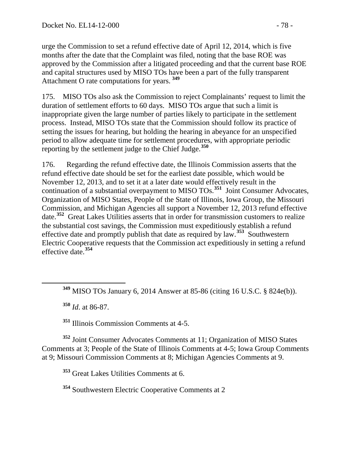urge the Commission to set a refund effective date of April 12, 2014, which is five months after the date that the Complaint was filed, noting that the base ROE was approved by the Commission after a litigated proceeding and that the current base ROE and capital structures used by MISO TOs have been a part of the fully transparent Attachment O rate computations for years. **[349](#page-77-0)**

175. MISO TOs also ask the Commission to reject Complainants' request to limit the duration of settlement efforts to 60 days. MISO TOs argue that such a limit is inappropriate given the large number of parties likely to participate in the settlement process. Instead, MISO TOs state that the Commission should follow its practice of setting the issues for hearing, but holding the hearing in abeyance for an unspecified period to allow adequate time for settlement procedures, with appropriate periodic reporting by the settlement judge to the Chief Judge.**[350](#page-77-1)**

176. Regarding the refund effective date, the Illinois Commission asserts that the refund effective date should be set for the earliest date possible, which would be November 12, 2013, and to set it at a later date would effectively result in the continuation of a substantial overpayment to MISO TOs. **[351](#page-77-2)** Joint Consumer Advocates, Organization of MISO States, People of the State of Illinois, Iowa Group, the Missouri Commission, and Michigan Agencies all support a November 12, 2013 refund effective date.**[352](#page-77-3)** Great Lakes Utilities asserts that in order for transmission customers to realize the substantial cost savings, the Commission must expeditiously establish a refund effective date and promptly publish that date as required by law.**[353](#page-77-4)** Southwestern Electric Cooperative requests that the Commission act expeditiously in setting a refund effective date.**[354](#page-77-5)**

**<sup>350</sup>** *Id*. at 86-87.

**<sup>351</sup>** Illinois Commission Comments at 4-5.

<span id="page-77-4"></span><span id="page-77-3"></span><span id="page-77-2"></span><span id="page-77-1"></span>**<sup>352</sup>** Joint Consumer Advocates Comments at 11; Organization of MISO States Comments at 3; People of the State of Illinois Comments at 4-5; Iowa Group Comments at 9; Missouri Commission Comments at 8; Michigan Agencies Comments at 9.

**<sup>353</sup>** Great Lakes Utilities Comments at 6.

<span id="page-77-5"></span>**<sup>354</sup>** Southwestern Electric Cooperative Comments at 2

<span id="page-77-0"></span>**<sup>349</sup>** MISO TOs January 6, 2014 Answer at 85-86 (citing 16 U.S.C. § 824e(b)).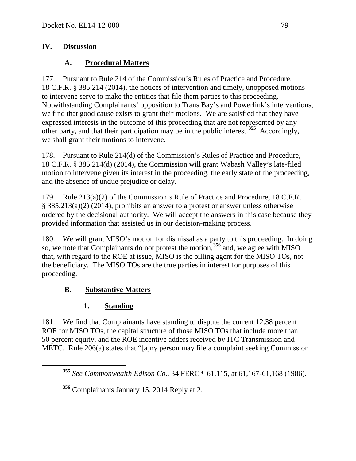### **IV. Discussion**

### **A. Procedural Matters**

177. Pursuant to Rule 214 of the Commission's Rules of Practice and Procedure, 18 C.F.R. § 385.214 (2014), the notices of intervention and timely, unopposed motions to intervene serve to make the entities that file them parties to this proceeding. Notwithstanding Complainants' opposition to Trans Bay's and Powerlink's interventions, we find that good cause exists to grant their motions. We are satisfied that they have expressed interests in the outcome of this proceeding that are not represented by any other party, and that their participation may be in the public interest.**[355](#page-78-0)** Accordingly, we shall grant their motions to intervene.

178. Pursuant to Rule 214(d) of the Commission's Rules of Practice and Procedure, 18 C.F.R. § 385.214(d) (2014), the Commission will grant Wabash Valley's late-filed motion to intervene given its interest in the proceeding, the early state of the proceeding, and the absence of undue prejudice or delay.

179. Rule 213(a)(2) of the Commission's Rule of Practice and Procedure, 18 C.F.R. § 385.213(a)(2) (2014), prohibits an answer to a protest or answer unless otherwise ordered by the decisional authority. We will accept the answers in this case because they provided information that assisted us in our decision-making process.

180. We will grant MISO's motion for dismissal as a party to this proceeding. In doing so, we note that Complainants do not protest the motion,<sup>[356](#page-78-1)</sup> and, we agree with MISO that, with regard to the ROE at issue, MISO is the billing agent for the MISO TOs, not the beneficiary. The MISO TOs are the true parties in interest for purposes of this proceeding.

# **B. Substantive Matters**

# **1. Standing**

181. We find that Complainants have standing to dispute the current 12.38 percent ROE for MISO TOs, the capital structure of those MISO TOs that include more than 50 percent equity, and the ROE incentive adders received by ITC Transmission and METC. Rule 206(a) states that "[a]ny person may file a complaint seeking Commission

<span id="page-78-0"></span>**<sup>355</sup>** *See Commonwealth Edison Co*., 34 FERC ¶ 61,115, at 61,167-61,168 (1986).

<span id="page-78-1"></span>**<sup>356</sup>** Complainants January 15, 2014 Reply at 2.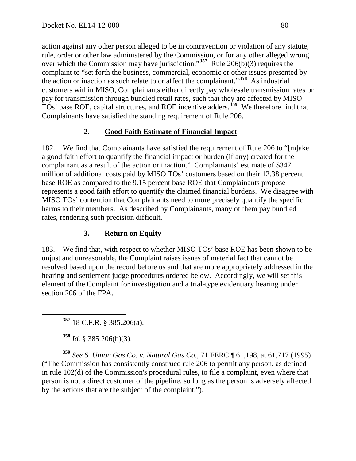action against any other person alleged to be in contravention or violation of any statute, rule, order or other law administered by the Commission, or for any other alleged wrong over which the Commission may have jurisdiction."**[357](#page-79-0)** Rule 206(b)(3) requires the complaint to "set forth the business, commercial, economic or other issues presented by the action or inaction as such relate to or affect the complainant."**[358](#page-79-1)** As industrial customers within MISO, Complainants either directly pay wholesale transmission rates or pay for transmission through bundled retail rates, such that they are affected by MISO TOs' base ROE, capital structures, and ROE incentive adders. **[359](#page-79-2)** We therefore find that Complainants have satisfied the standing requirement of Rule 206.

# **2. Good Faith Estimate of Financial Impact**

182. We find that Complainants have satisfied the requirement of Rule 206 to "[m]ake a good faith effort to quantify the financial impact or burden (if any) created for the complainant as a result of the action or inaction." Complainants' estimate of \$347 million of additional costs paid by MISO TOs' customers based on their 12.38 percent base ROE as compared to the 9.15 percent base ROE that Complainants propose represents a good faith effort to quantify the claimed financial burdens. We disagree with MISO TOs' contention that Complainants need to more precisely quantify the specific harms to their members. As described by Complainants, many of them pay bundled rates, rendering such precision difficult.

# **3. Return on Equity**

183. We find that, with respect to whether MISO TOs' base ROE has been shown to be unjust and unreasonable, the Complaint raises issues of material fact that cannot be resolved based upon the record before us and that are more appropriately addressed in the hearing and settlement judge procedures ordered below. Accordingly, we will set this element of the Complaint for investigation and a trial-type evidentiary hearing under section 206 of the FPA.

**<sup>357</sup>** 18 C.F.R. § 385.206(a).

**<sup>358</sup>** *Id*. § 385.206(b)(3).

<span id="page-79-2"></span><span id="page-79-1"></span><span id="page-79-0"></span>**<sup>359</sup>** *See S. Union Gas Co. v. Natural Gas Co*., 71 FERC ¶ 61,198, at 61,717 (1995) ("The Commission has consistently construed rule 206 to permit any person, as defined in rule 102(d) of the Commission's procedural rules, to file a complaint, even where that person is not a direct customer of the pipeline, so long as the person is adversely affected by the actions that are the subject of the complaint.").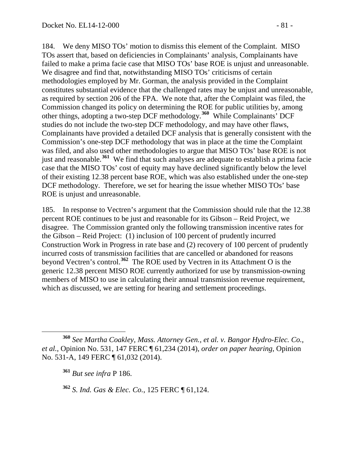184. We deny MISO TOs' motion to dismiss this element of the Complaint. MISO TOs assert that, based on deficiencies in Complainants' analysis, Complainants have failed to make a prima facie case that MISO TOs' base ROE is unjust and unreasonable. We disagree and find that, notwithstanding MISO TOs' criticisms of certain methodologies employed by Mr. Gorman, the analysis provided in the Complaint constitutes substantial evidence that the challenged rates may be unjust and unreasonable, as required by section 206 of the FPA. We note that, after the Complaint was filed, the Commission changed its policy on determining the ROE for public utilities by, among other things, adopting a two-step DCF methodology.**[360](#page-80-0)** While Complainants' DCF studies do not include the two-step DCF methodology, and may have other flaws, Complainants have provided a detailed DCF analysis that is generally consistent with the Commission's one-step DCF methodology that was in place at the time the Complaint was filed, and also used other methodologies to argue that MISO TOs' base ROE is not just and reasonable.**[361](#page-80-1)** We find that such analyses are adequate to establish a prima facie case that the MISO TOs' cost of equity may have declined significantly below the level of their existing 12.38 percent base ROE, which was also established under the one-step DCF methodology. Therefore, we set for hearing the issue whether MISO TOs' base ROE is unjust and unreasonable.

185. In response to Vectren's argument that the Commission should rule that the 12.38 percent ROE continues to be just and reasonable for its Gibson – Reid Project, we disagree. The Commission granted only the following transmission incentive rates for the Gibson – Reid Project: (1) inclusion of 100 percent of prudently incurred Construction Work in Progress in rate base and (2) recovery of 100 percent of prudently incurred costs of transmission facilities that are cancelled or abandoned for reasons beyond Vectren's control.**[362](#page-80-2)** The ROE used by Vectren in its Attachment O is the generic 12.38 percent MISO ROE currently authorized for use by transmission-owning members of MISO to use in calculating their annual transmission revenue requirement, which as discussed, we are setting for hearing and settlement proceedings.

<span id="page-80-2"></span>**<sup>362</sup>** *S. Ind. Gas & Elec. Co.*, 125 FERC ¶ 61,124.

<span id="page-80-1"></span><span id="page-80-0"></span>**<sup>360</sup>** *See Martha Coakley, Mass. Attorney Gen., et al. v. Bangor Hydro-Elec. Co., et al.*, Opinion No. 531, 147 FERC ¶ 61,234 (2014), *order on paper hearing*, Opinion No. 531-A, 149 FERC ¶ 61,032 (2014).

**<sup>361</sup>** *But see infra* P 186.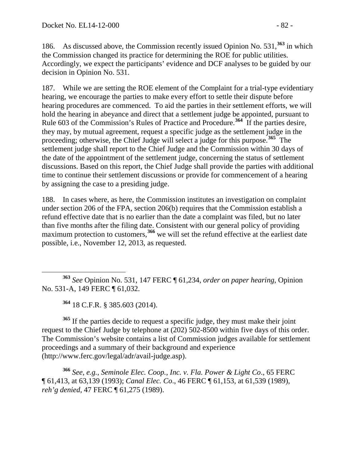186. As discussed above, the Commission recently issued Opinion No. 531,**[363](#page-81-0)** in which the Commission changed its practice for determining the ROE for public utilities. Accordingly, we expect the participants' evidence and DCF analyses to be guided by our decision in Opinion No. 531.

187. While we are setting the ROE element of the Complaint for a trial-type evidentiary hearing, we encourage the parties to make every effort to settle their dispute before hearing procedures are commenced. To aid the parties in their settlement efforts, we will hold the hearing in abeyance and direct that a settlement judge be appointed, pursuant to Rule 603 of the Commission's Rules of Practice and Procedure.**[364](#page-81-1)** If the parties desire, they may, by mutual agreement, request a specific judge as the settlement judge in the proceeding; otherwise, the Chief Judge will select a judge for this purpose.**[365](#page-81-2)** The settlement judge shall report to the Chief Judge and the Commission within 30 days of the date of the appointment of the settlement judge, concerning the status of settlement discussions. Based on this report, the Chief Judge shall provide the parties with additional time to continue their settlement discussions or provide for commencement of a hearing by assigning the case to a presiding judge.

188. In cases where, as here, the Commission institutes an investigation on complaint under section 206 of the FPA, section 206(b) requires that the Commission establish a refund effective date that is no earlier than the date a complaint was filed, but no later than five months after the filing date. Consistent with our general policy of providing maximum protection to customers,<sup>[366](#page-81-3)</sup> we will set the refund effective at the earliest date possible, i.e., November 12, 2013, as requested.

**<sup>364</sup>** 18 C.F.R. § 385.603 (2014).

<span id="page-81-2"></span><span id="page-81-1"></span>**<sup>365</sup>** If the parties decide to request a specific judge, they must make their joint request to the Chief Judge by telephone at (202) 502-8500 within five days of this order. The Commission's website contains a list of Commission judges available for settlement proceedings and a summary of their background and experience (http://www.ferc.gov/legal/adr/avail-judge.asp).

<span id="page-81-3"></span>**<sup>366</sup>** *See, e.g., Seminole Elec. Coop., Inc. v. Fla. Power & Light Co*., 65 FERC ¶ 61,413, at 63,139 (1993); *Canal Elec. Co*., 46 FERC ¶ 61,153, at 61,539 (1989)*, reh'g denied*, 47 FERC ¶ 61,275 (1989).

<span id="page-81-0"></span>**<sup>363</sup>** *See* Opinion No. 531, 147 FERC ¶ 61,234, *order on paper hearing*, Opinion No. 531-A, 149 FERC ¶ 61,032.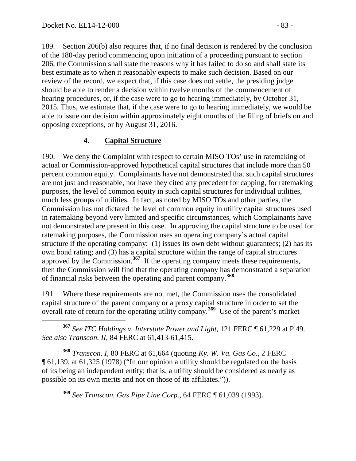189. Section 206(b) also requires that, if no final decision is rendered by the conclusion of the 180-day period commencing upon initiation of a proceeding pursuant to section 206, the Commission shall state the reasons why it has failed to do so and shall state its best estimate as to when it reasonably expects to make such decision. Based on our review of the record, we expect that, if this case does not settle, the presiding judge should be able to render a decision within twelve months of the commencement of hearing procedures, or, if the case were to go to hearing immediately, by October 31, 2015. Thus, we estimate that, if the case were to go to hearing immediately, we would be able to issue our decision within approximately eight months of the filing of briefs on and opposing exceptions, or by August 31, 2016.

### **4. Capital Structure**

190. We deny the Complaint with respect to certain MISO TOs' use in ratemaking of actual or Commission-approved hypothetical capital structures that include more than 50 percent common equity. Complainants have not demonstrated that such capital structures are not just and reasonable, nor have they cited any precedent for capping, for ratemaking purposes, the level of common equity in such capital structures for individual utilities, much less groups of utilities. In fact, as noted by MISO TOs and other parties, the Commission has not dictated the level of common equity in utility capital structures used in ratemaking beyond very limited and specific circumstances, which Complainants have not demonstrated are present in this case. In approving the capital structure to be used for ratemaking purposes, the Commission uses an operating company's actual capital structure if the operating company: (1) issues its own debt without guarantees; (2) has its own bond rating; and (3) has a capital structure within the range of capital structures approved by the Commission.**[367](#page-82-0)** If the operating company meets these requirements, then the Commission will find that the operating company has demonstrated a separation of financial risks between the operating and parent company.**[368](#page-82-1)**

191. Where these requirements are not met, the Commission uses the consolidated capital structure of the parent company or a proxy capital structure in order to set the overall rate of return for the operating utility company.**[369](#page-82-2)** Use of the parent's market

<span id="page-82-0"></span> **<sup>367</sup>** *See ITC Holdings v. Interstate Power and Light*, 121 FERC ¶ 61,229 at P 49. *See also Transcon. II*, 84 FERC at 61,413-61,415.

<span id="page-82-2"></span><span id="page-82-1"></span>**<sup>368</sup>** *Transcon. I*, 80 FERC at 61,664 (quoting *Ky. W. Va. Gas Co.*, 2 FERC ¶ 61,139, at 61,325 (1978) ("In our opinion a utility should be regulated on the basis of its being an independent entity; that is, a utility should be considered as nearly as possible on its own merits and not on those of its affiliates.")).

**<sup>369</sup>** *See Transcon. Gas Pipe Line Corp.,* 64 FERC ¶ 61,039 (1993).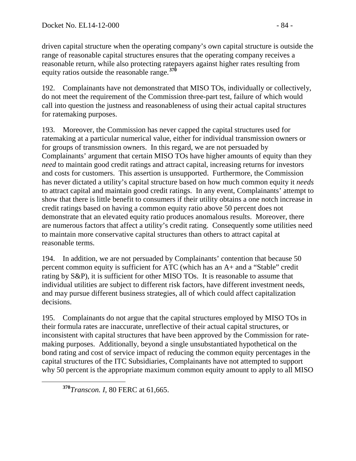driven capital structure when the operating company's own capital structure is outside the range of reasonable capital structures ensures that the operating company receives a reasonable return, while also protecting ratepayers against higher rates resulting from equity ratios outside the reasonable range.**[370](#page-83-0)**

192. Complainants have not demonstrated that MISO TOs, individually or collectively, do not meet the requirement of the Commission three-part test, failure of which would call into question the justness and reasonableness of using their actual capital structures for ratemaking purposes.

193. Moreover, the Commission has never capped the capital structures used for ratemaking at a particular numerical value, either for individual transmission owners or for groups of transmission owners. In this regard, we are not persuaded by Complainants' argument that certain MISO TOs have higher amounts of equity than they *need* to maintain good credit ratings and attract capital, increasing returns for investors and costs for customers. This assertion is unsupported. Furthermore, the Commission has never dictated a utility's capital structure based on how much common equity it *needs* to attract capital and maintain good credit ratings. In any event, Complainants' attempt to show that there is little benefit to consumers if their utility obtains a one notch increase in credit ratings based on having a common equity ratio above 50 percent does not demonstrate that an elevated equity ratio produces anomalous results. Moreover, there are numerous factors that affect a utility's credit rating. Consequently some utilities need to maintain more conservative capital structures than others to attract capital at reasonable terms.

194. In addition, we are not persuaded by Complainants' contention that because 50 percent common equity is sufficient for ATC (which has an A+ and a "Stable" credit rating by S&P), it is sufficient for other MISO TOs. It is reasonable to assume that individual utilities are subject to different risk factors, have different investment needs, and may pursue different business strategies, all of which could affect capitalization decisions.

195. Complainants do not argue that the capital structures employed by MISO TOs in their formula rates are inaccurate, unreflective of their actual capital structures, or inconsistent with capital structures that have been approved by the Commission for ratemaking purposes. Additionally, beyond a single unsubstantiated hypothetical on the bond rating and cost of service impact of reducing the common equity percentages in the capital structures of the ITC Subsidiaries, Complainants have not attempted to support why 50 percent is the appropriate maximum common equity amount to apply to all MISO

<span id="page-83-0"></span>**<sup>370</sup>***Transcon. <sup>I</sup>*, 80 FERC at 61,665.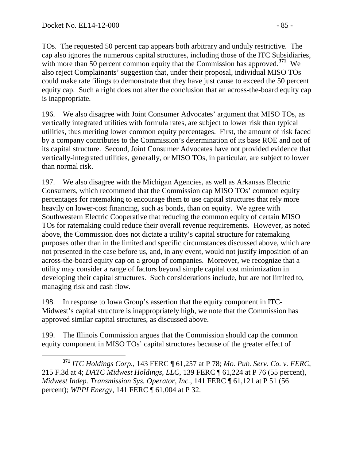TOs. The requested 50 percent cap appears both arbitrary and unduly restrictive. The cap also ignores the numerous capital structures, including those of the ITC Subsidiaries, with more than 50 percent common equity that the Commission has approved.<sup>[371](#page-84-0)</sup> We also reject Complainants' suggestion that, under their proposal, individual MISO TOs could make rate filings to demonstrate that they have just cause to exceed the 50 percent equity cap. Such a right does not alter the conclusion that an across-the-board equity cap is inappropriate.

196. We also disagree with Joint Consumer Advocates' argument that MISO TOs, as vertically integrated utilities with formula rates, are subject to lower risk than typical utilities, thus meriting lower common equity percentages. First, the amount of risk faced by a company contributes to the Commission's determination of its base ROE and not of its capital structure. Second, Joint Consumer Advocates have not provided evidence that vertically-integrated utilities, generally, or MISO TOs, in particular, are subject to lower than normal risk.

197. We also disagree with the Michigan Agencies, as well as Arkansas Electric Consumers, which recommend that the Commission cap MISO TOs' common equity percentages for ratemaking to encourage them to use capital structures that rely more heavily on lower-cost financing, such as bonds, than on equity. We agree with Southwestern Electric Cooperative that reducing the common equity of certain MISO TOs for ratemaking could reduce their overall revenue requirements. However, as noted above, the Commission does not dictate a utility's capital structure for ratemaking purposes other than in the limited and specific circumstances discussed above, which are not presented in the case before us, and, in any event, would not justify imposition of an across-the-board equity cap on a group of companies. Moreover, we recognize that a utility may consider a range of factors beyond simple capital cost minimization in developing their capital structures. Such considerations include, but are not limited to, managing risk and cash flow.

198. In response to Iowa Group's assertion that the equity component in ITC-Midwest's capital structure is inappropriately high, we note that the Commission has approved similar capital structures, as discussed above.

199. The Illinois Commission argues that the Commission should cap the common equity component in MISO TOs' capital structures because of the greater effect of

<span id="page-84-0"></span> **<sup>371</sup>** *ITC Holdings Corp.*, 143 FERC ¶ 61,257 at P 78; *Mo. Pub. Serv. Co. v. FERC*, 215 F.3d at 4; *DATC Midwest Holdings, LLC*, 139 FERC ¶ 61,224 at P 76 (55 percent), *Midwest Indep. Transmission Sys. Operator, Inc.*, 141 FERC ¶ 61,121 at P 51 (56 percent); *WPPI Energy*, 141 FERC ¶ 61,004 at P 32.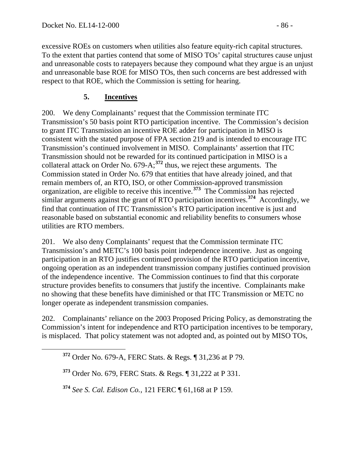excessive ROEs on customers when utilities also feature equity-rich capital structures. To the extent that parties contend that some of MISO TOs' capital structures cause unjust and unreasonable costs to ratepayers because they compound what they argue is an unjust and unreasonable base ROE for MISO TOs, then such concerns are best addressed with respect to that ROE, which the Commission is setting for hearing.

## **5. Incentives**

200. We deny Complainants' request that the Commission terminate ITC Transmission's 50 basis point RTO participation incentive. The Commission's decision to grant ITC Transmission an incentive ROE adder for participation in MISO is consistent with the stated purpose of FPA section 219 and is intended to encourage ITC Transmission's continued involvement in MISO. Complainants' assertion that ITC Transmission should not be rewarded for its continued participation in MISO is a collateral attack on Order No. 679-A; **[372](#page-85-0)** thus, we reject these arguments. The Commission stated in Order No. 679 that entities that have already joined, and that remain members of, an RTO, ISO, or other Commission-approved transmission organization, are eligible to receive this incentive.**[373](#page-85-1)** The Commission has rejected similar arguments against the grant of RTO participation incentives. **[374](#page-85-2)** Accordingly, we find that continuation of ITC Transmission's RTO participation incentive is just and reasonable based on substantial economic and reliability benefits to consumers whose utilities are RTO members.

201. We also deny Complainants' request that the Commission terminate ITC Transmission's and METC's 100 basis point independence incentive. Just as ongoing participation in an RTO justifies continued provision of the RTO participation incentive, ongoing operation as an independent transmission company justifies continued provision of the independence incentive. The Commission continues to find that this corporate structure provides benefits to consumers that justify the incentive. Complainants make no showing that these benefits have diminished or that ITC Transmission or METC no longer operate as independent transmission companies.

<span id="page-85-0"></span>202. Complainants' reliance on the 2003 Proposed Pricing Policy, as demonstrating the Commission's intent for independence and RTO participation incentives to be temporary, is misplaced. That policy statement was not adopted and, as pointed out by MISO TOs,

<span id="page-85-2"></span>**<sup>374</sup>** *See S. Cal. Edison Co.*, 121 FERC ¶ 61,168 at P 159.

**<sup>372</sup>** Order No. 679-A, FERC Stats. & Regs. ¶ 31,236 at P 79.

<span id="page-85-1"></span>**<sup>373</sup>** Order No. 679, FERC Stats. & Regs. ¶ 31,222 at P 331.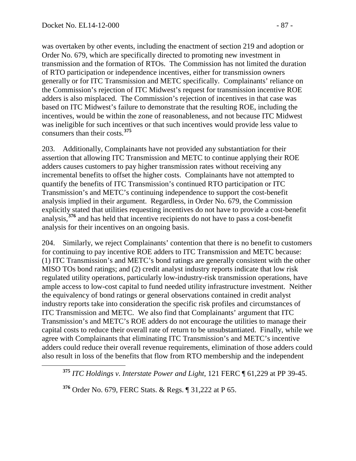was overtaken by other events, including the enactment of section 219 and adoption or Order No. 679, which are specifically directed to promoting new investment in transmission and the formation of RTOs. The Commission has not limited the duration of RTO participation or independence incentives, either for transmission owners generally or for ITC Transmission and METC specifically. Complainants' reliance on the Commission's rejection of ITC Midwest's request for transmission incentive ROE adders is also misplaced. The Commission's rejection of incentives in that case was based on ITC Midwest's failure to demonstrate that the resulting ROE, including the incentives, would be within the zone of reasonableness, and not because ITC Midwest was ineligible for such incentives or that such incentives would provide less value to consumers than their costs. **[375](#page-86-0)**

203. Additionally, Complainants have not provided any substantiation for their assertion that allowing ITC Transmission and METC to continue applying their ROE adders causes customers to pay higher transmission rates without receiving any incremental benefits to offset the higher costs. Complainants have not attempted to quantify the benefits of ITC Transmission's continued RTO participation or ITC Transmission's and METC's continuing independence to support the cost-benefit analysis implied in their argument. Regardless, in Order No. 679, the Commission explicitly stated that utilities requesting incentives do not have to provide a cost-benefit analysis, **[376](#page-86-1)** and has held that incentive recipients do not have to pass a cost-benefit analysis for their incentives on an ongoing basis.

204. Similarly, we reject Complainants' contention that there is no benefit to customers for continuing to pay incentive ROE adders to ITC Transmission and METC because: (1) ITC Transmission's and METC's bond ratings are generally consistent with the other MISO TOs bond ratings; and (2) credit analyst industry reports indicate that low risk regulated utility operations, particularly low-industry-risk transmission operations, have ample access to low-cost capital to fund needed utility infrastructure investment. Neither the equivalency of bond ratings or general observations contained in credit analyst industry reports take into consideration the specific risk profiles and circumstances of ITC Transmission and METC. We also find that Complainants' argument that ITC Transmission's and METC's ROE adders do not encourage the utilities to manage their capital costs to reduce their overall rate of return to be unsubstantiated. Finally, while we agree with Complainants that eliminating ITC Transmission's and METC's incentive adders could reduce their overall revenue requirements, elimination of those adders could also result in loss of the benefits that flow from RTO membership and the independent

<span id="page-86-0"></span>**<sup>375</sup>** *ITC Holdings v. Interstate Power and Light*, 121 FERC ¶ 61,229 at PP 39-45.

<span id="page-86-1"></span>**<sup>376</sup>** Order No. 679, FERC Stats. & Regs. ¶ 31,222 at P 65.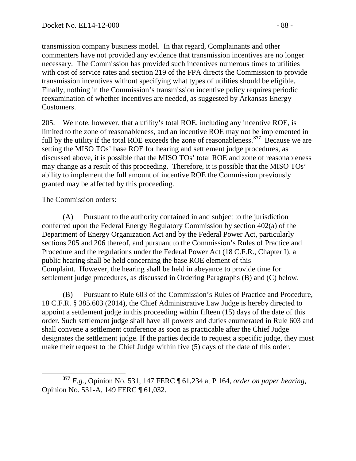transmission company business model. In that regard, Complainants and other commenters have not provided any evidence that transmission incentives are no longer necessary. The Commission has provided such incentives numerous times to utilities with cost of service rates and section 219 of the FPA directs the Commission to provide transmission incentives without specifying what types of utilities should be eligible. Finally, nothing in the Commission's transmission incentive policy requires periodic reexamination of whether incentives are needed, as suggested by Arkansas Energy Customers.

205. We note, however, that a utility's total ROE, including any incentive ROE, is limited to the zone of reasonableness, and an incentive ROE may not be implemented in full by the utility if the total ROE exceeds the zone of reasonableness.**[377](#page-87-0)** Because we are setting the MISO TOs' base ROE for hearing and settlement judge procedures, as discussed above, it is possible that the MISO TOs' total ROE and zone of reasonableness may change as a result of this proceeding. Therefore, it is possible that the MISO TOs' ability to implement the full amount of incentive ROE the Commission previously granted may be affected by this proceeding.

### The Commission orders:

(A) Pursuant to the authority contained in and subject to the jurisdiction conferred upon the Federal Energy Regulatory Commission by section 402(a) of the Department of Energy Organization Act and by the Federal Power Act, particularly sections 205 and 206 thereof, and pursuant to the Commission's Rules of Practice and Procedure and the regulations under the Federal Power Act (18 C.F.R., Chapter I), a public hearing shall be held concerning the base ROE element of this Complaint. However, the hearing shall be held in abeyance to provide time for settlement judge procedures, as discussed in Ordering Paragraphs (B) and (C) below.

(B) Pursuant to Rule 603 of the Commission's Rules of Practice and Procedure, 18 C.F.R. § 385.603 (2014), the Chief Administrative Law Judge is hereby directed to appoint a settlement judge in this proceeding within fifteen (15) days of the date of this order. Such settlement judge shall have all powers and duties enumerated in Rule 603 and shall convene a settlement conference as soon as practicable after the Chief Judge designates the settlement judge. If the parties decide to request a specific judge, they must make their request to the Chief Judge within five (5) days of the date of this order.

<span id="page-87-0"></span>**<sup>377</sup>** *E.g.*, Opinion No. 531, 147 FERC ¶ 61,234 at P 164, *order on paper hearing*, Opinion No. 531-A, 149 FERC ¶ 61,032.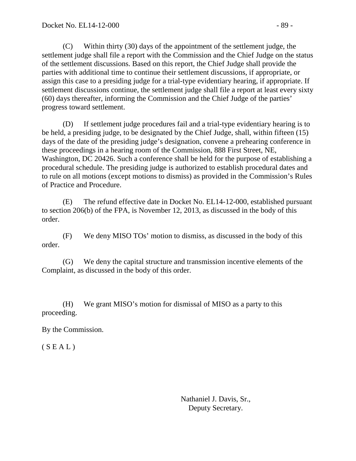(C) Within thirty (30) days of the appointment of the settlement judge, the settlement judge shall file a report with the Commission and the Chief Judge on the status of the settlement discussions. Based on this report, the Chief Judge shall provide the parties with additional time to continue their settlement discussions, if appropriate, or assign this case to a presiding judge for a trial-type evidentiary hearing, if appropriate. If settlement discussions continue, the settlement judge shall file a report at least every sixty (60) days thereafter, informing the Commission and the Chief Judge of the parties' progress toward settlement.

(D) If settlement judge procedures fail and a trial-type evidentiary hearing is to be held, a presiding judge, to be designated by the Chief Judge, shall, within fifteen (15) days of the date of the presiding judge's designation, convene a prehearing conference in these proceedings in a hearing room of the Commission, 888 First Street, NE, Washington, DC 20426. Such a conference shall be held for the purpose of establishing a procedural schedule. The presiding judge is authorized to establish procedural dates and to rule on all motions (except motions to dismiss) as provided in the Commission's Rules of Practice and Procedure.

(E) The refund effective date in Docket No. EL14-12-000, established pursuant to section 206(b) of the FPA, is November 12, 2013, as discussed in the body of this order.

(F) We deny MISO TOs' motion to dismiss, as discussed in the body of this order.

(G) We deny the capital structure and transmission incentive elements of the Complaint, as discussed in the body of this order.

(H) We grant MISO's motion for dismissal of MISO as a party to this proceeding.

By the Commission.

 $(S E A L)$ 

Nathaniel J. Davis, Sr., Deputy Secretary.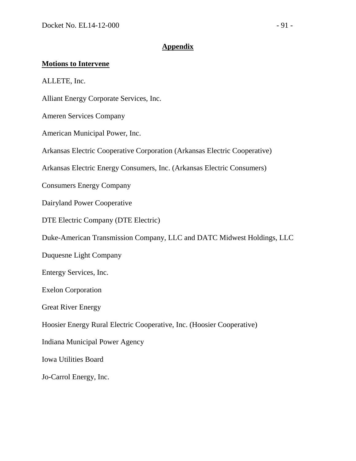#### **Appendix**

#### **Motions to Intervene**

ALLETE, Inc.

Alliant Energy Corporate Services, Inc.

Ameren Services Company

American Municipal Power, Inc.

Arkansas Electric Cooperative Corporation (Arkansas Electric Cooperative)

Arkansas Electric Energy Consumers, Inc. (Arkansas Electric Consumers)

Consumers Energy Company

Dairyland Power Cooperative

DTE Electric Company (DTE Electric)

Duke-American Transmission Company, LLC and DATC Midwest Holdings, LLC

Duquesne Light Company

Entergy Services, Inc.

Exelon Corporation

Great River Energy

Hoosier Energy Rural Electric Cooperative, Inc. (Hoosier Cooperative)

Indiana Municipal Power Agency

Iowa Utilities Board

Jo-Carrol Energy, Inc.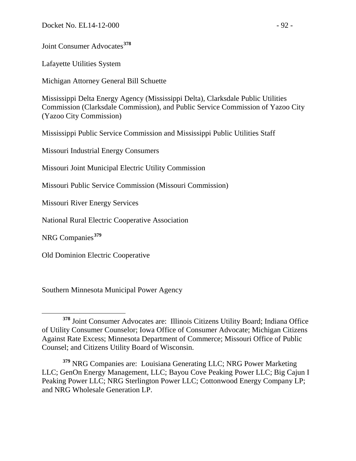Joint Consumer Advocates**[378](#page-91-0)**

Lafayette Utilities System

Michigan Attorney General Bill Schuette

Mississippi Delta Energy Agency (Mississippi Delta), Clarksdale Public Utilities Commission (Clarksdale Commission), and Public Service Commission of Yazoo City (Yazoo City Commission)

Mississippi Public Service Commission and Mississippi Public Utilities Staff

Missouri Industrial Energy Consumers

Missouri Joint Municipal Electric Utility Commission

Missouri Public Service Commission (Missouri Commission)

Missouri River Energy Services

National Rural Electric Cooperative Association

NRG Companies**[379](#page-91-1)**

Old Dominion Electric Cooperative

Southern Minnesota Municipal Power Agency

<span id="page-91-0"></span>**<sup>378</sup>** Joint Consumer Advocates are: Illinois Citizens Utility Board; Indiana Office of Utility Consumer Counselor; Iowa Office of Consumer Advocate; Michigan Citizens Against Rate Excess; Minnesota Department of Commerce; Missouri Office of Public Counsel; and Citizens Utility Board of Wisconsin.

<span id="page-91-1"></span>**<sup>379</sup>** NRG Companies are: Louisiana Generating LLC; NRG Power Marketing LLC; GenOn Energy Management, LLC; Bayou Cove Peaking Power LLC; Big Cajun I Peaking Power LLC; NRG Sterlington Power LLC; Cottonwood Energy Company LP; and NRG Wholesale Generation LP.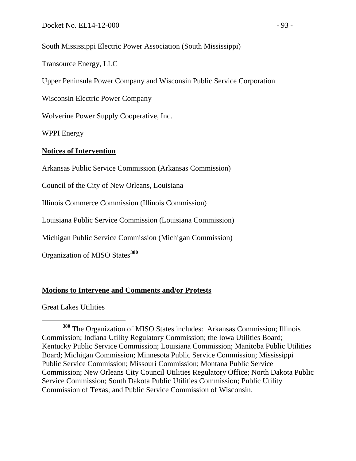South Mississippi Electric Power Association (South Mississippi)

Transource Energy, LLC

Upper Peninsula Power Company and Wisconsin Public Service Corporation

Wisconsin Electric Power Company

Wolverine Power Supply Cooperative, Inc.

WPPI Energy

#### **Notices of Intervention**

Arkansas Public Service Commission (Arkansas Commission)

Council of the City of New Orleans, Louisiana

Illinois Commerce Commission (Illinois Commission)

Louisiana Public Service Commission (Louisiana Commission)

Michigan Public Service Commission (Michigan Commission)

Organization of MISO States**[380](#page-92-0)**

#### **Motions to Intervene and Comments and/or Protests**

Great Lakes Utilities

<span id="page-92-0"></span>**<sup>380</sup>** The Organization of MISO States includes: Arkansas Commission; Illinois Commission; Indiana Utility Regulatory Commission; the Iowa Utilities Board; Kentucky Public Service Commission; Louisiana Commission; Manitoba Public Utilities Board; Michigan Commission; Minnesota Public Service Commission; Mississippi Public Service Commission; Missouri Commission; Montana Public Service Commission; New Orleans City Council Utilities Regulatory Office; North Dakota Public Service Commission; South Dakota Public Utilities Commission; Public Utility Commission of Texas; and Public Service Commission of Wisconsin.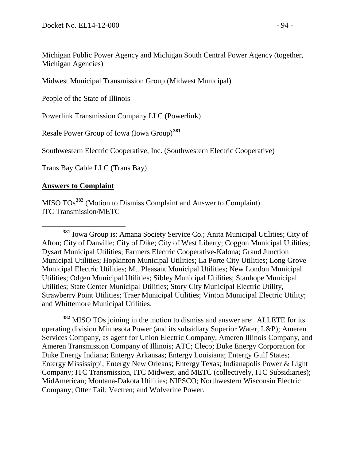Michigan Public Power Agency and Michigan South Central Power Agency (together, Michigan Agencies)

Midwest Municipal Transmission Group (Midwest Municipal)

People of the State of Illinois

Powerlink Transmission Company LLC (Powerlink)

Resale Power Group of Iowa (Iowa Group)**[381](#page-93-0)**

Southwestern Electric Cooperative, Inc. (Southwestern Electric Cooperative)

Trans Bay Cable LLC (Trans Bay)

#### **Answers to Complaint**

MISO TOs**[382](#page-93-1)** (Motion to Dismiss Complaint and Answer to Complaint) ITC Transmission/METC

<span id="page-93-1"></span>**<sup>382</sup>** MISO TOs joining in the motion to dismiss and answer are: ALLETE for its operating division Minnesota Power (and its subsidiary Superior Water, L&P); Ameren Services Company, as agent for Union Electric Company, Ameren Illinois Company, and Ameren Transmission Company of Illinois; ATC; Cleco; Duke Energy Corporation for Duke Energy Indiana; Entergy Arkansas; Entergy Louisiana; Entergy Gulf States; Entergy Mississippi; Entergy New Orleans; Entergy Texas; Indianapolis Power & Light Company; ITC Transmission, ITC Midwest, and METC (collectively, ITC Subsidiaries); MidAmerican; Montana-Dakota Utilities; NIPSCO; Northwestern Wisconsin Electric Company; Otter Tail; Vectren; and Wolverine Power.

<span id="page-93-0"></span>**<sup>381</sup>** Iowa Group is: Amana Society Service Co.; Anita Municipal Utilities; City of Afton; City of Danville; City of Dike; City of West Liberty; Coggon Municipal Utilities; Dysart Municipal Utilities; Farmers Electric Cooperative-Kalona; Grand Junction Municipal Utilities; Hopkinton Municipal Utilities; La Porte City Utilities; Long Grove Municipal Electric Utilities; Mt. Pleasant Municipal Utilities; New London Municipal Utilities; Odgen Municipal Utilities; Sibley Municipal Utilities; Stanhope Municipal Utilities; State Center Municipal Utilities; Story City Municipal Electric Utility, Strawberry Point Utilities; Traer Municipal Utilities; Vinton Municipal Electric Utility; and Whittemore Municipal Utilities.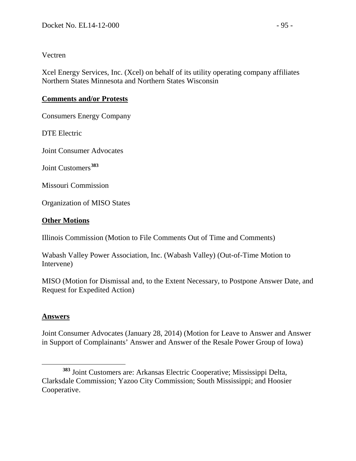#### Vectren

Xcel Energy Services, Inc. (Xcel) on behalf of its utility operating company affiliates Northern States Minnesota and Northern States Wisconsin

### **Comments and/or Protests**

Consumers Energy Company

DTE Electric

Joint Consumer Advocates

Joint Customers**[383](#page-94-0)**

Missouri Commission

Organization of MISO States

### **Other Motions**

Illinois Commission (Motion to File Comments Out of Time and Comments)

Wabash Valley Power Association, Inc. (Wabash Valley) (Out-of-Time Motion to Intervene)

MISO (Motion for Dismissal and, to the Extent Necessary, to Postpone Answer Date, and Request for Expedited Action)

### **Answers**

Joint Consumer Advocates (January 28, 2014) (Motion for Leave to Answer and Answer in Support of Complainants' Answer and Answer of the Resale Power Group of Iowa)

<span id="page-94-0"></span>**<sup>383</sup>** Joint Customers are: Arkansas Electric Cooperative; Mississippi Delta, Clarksdale Commission; Yazoo City Commission; South Mississippi; and Hoosier Cooperative.